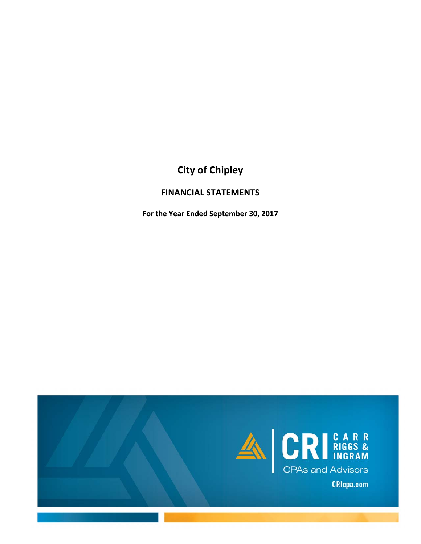# **City of Chipley**

### **FINANCIAL STATEMENTS**

**For the Year Ended September 30, 2017**

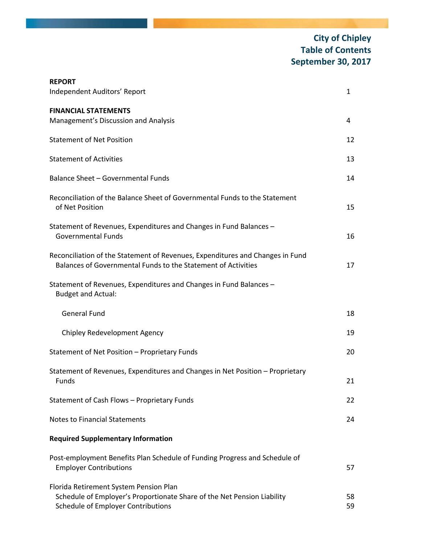# **City of Chipley Table of Contents September 30, 2017**

| <b>REPORT</b><br>Independent Auditors' Report                                                                                                           | 1        |
|---------------------------------------------------------------------------------------------------------------------------------------------------------|----------|
| <b>FINANCIAL STATEMENTS</b><br>Management's Discussion and Analysis                                                                                     | 4        |
| <b>Statement of Net Position</b>                                                                                                                        | 12       |
| <b>Statement of Activities</b>                                                                                                                          | 13       |
| Balance Sheet - Governmental Funds                                                                                                                      | 14       |
| Reconciliation of the Balance Sheet of Governmental Funds to the Statement<br>of Net Position                                                           | 15       |
| Statement of Revenues, Expenditures and Changes in Fund Balances -<br><b>Governmental Funds</b>                                                         | 16       |
| Reconciliation of the Statement of Revenues, Expenditures and Changes in Fund<br>Balances of Governmental Funds to the Statement of Activities          | 17       |
| Statement of Revenues, Expenditures and Changes in Fund Balances -<br><b>Budget and Actual:</b>                                                         |          |
| <b>General Fund</b>                                                                                                                                     | 18       |
| Chipley Redevelopment Agency                                                                                                                            | 19       |
| Statement of Net Position - Proprietary Funds                                                                                                           | 20       |
| Statement of Revenues, Expenditures and Changes in Net Position - Proprietary<br><b>Funds</b>                                                           | 21       |
| Statement of Cash Flows - Proprietary Funds                                                                                                             | 22       |
| <b>Notes to Financial Statements</b>                                                                                                                    | 24       |
| <b>Required Supplementary Information</b>                                                                                                               |          |
| Post-employment Benefits Plan Schedule of Funding Progress and Schedule of<br><b>Employer Contributions</b>                                             | 57       |
| Florida Retirement System Pension Plan<br>Schedule of Employer's Proportionate Share of the Net Pension Liability<br>Schedule of Employer Contributions | 58<br>59 |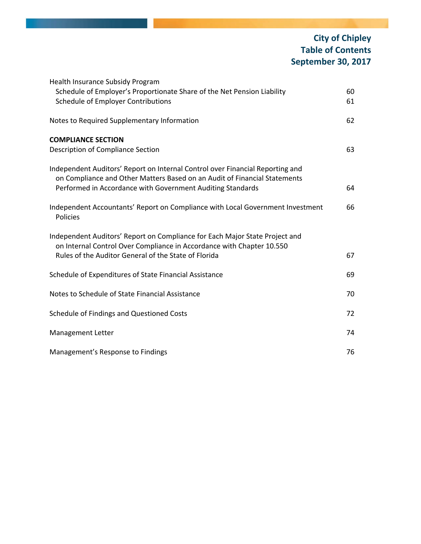# **City of Chipley Table of Contents September 30, 2017**

| Schedule of Employer's Proportionate Share of the Net Pension Liability<br><b>Schedule of Employer Contributions</b><br>Notes to Required Supplementary Information                                                      | 60<br>61<br>62<br>63 |
|--------------------------------------------------------------------------------------------------------------------------------------------------------------------------------------------------------------------------|----------------------|
|                                                                                                                                                                                                                          |                      |
|                                                                                                                                                                                                                          |                      |
| <b>COMPLIANCE SECTION</b>                                                                                                                                                                                                |                      |
| Description of Compliance Section                                                                                                                                                                                        |                      |
| Independent Auditors' Report on Internal Control over Financial Reporting and<br>on Compliance and Other Matters Based on an Audit of Financial Statements<br>Performed in Accordance with Government Auditing Standards | 64                   |
|                                                                                                                                                                                                                          |                      |
| Independent Accountants' Report on Compliance with Local Government Investment<br>Policies                                                                                                                               | 66                   |
| Independent Auditors' Report on Compliance for Each Major State Project and<br>on Internal Control Over Compliance in Accordance with Chapter 10.550                                                                     |                      |
| Rules of the Auditor General of the State of Florida                                                                                                                                                                     | 67                   |
| Schedule of Expenditures of State Financial Assistance                                                                                                                                                                   | 69                   |
| Notes to Schedule of State Financial Assistance                                                                                                                                                                          | 70                   |
| Schedule of Findings and Questioned Costs                                                                                                                                                                                | 72                   |
| Management Letter                                                                                                                                                                                                        | 74                   |
| Management's Response to Findings                                                                                                                                                                                        | 76                   |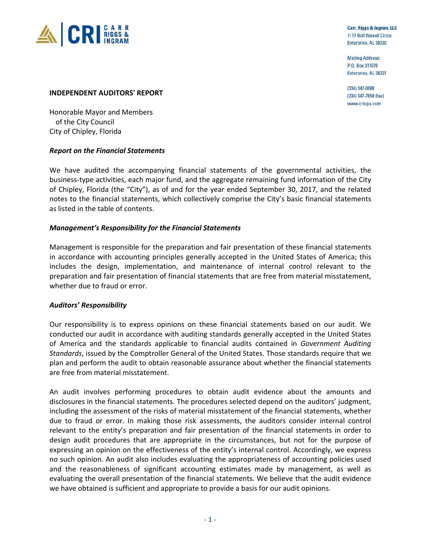

Carr, Riggs & Ingram, LLC 1117 Boll Weevil Circle Enterprise, AL 36330

**Mailing Address:** P.O. Box 311070 Enterprise, AL 36331

(334) 347-0088  $(334)$  347-7650 (fax) www.cricpa.com

#### **INDEPENDENT AUDITORS' REPORT**

Honorable Mayor and Members of the City Council City of Chipley, Florida

#### *Report on the Financial Statements*

We have audited the accompanying financial statements of the governmental activities, the business‐type activities, each major fund, and the aggregate remaining fund information of the City of Chipley, Florida (the "City"), as of and for the year ended September 30, 2017, and the related notes to the financial statements, which collectively comprise the City's basic financial statements as listed in the table of contents.

#### *Management's Responsibility for the Financial Statements*

Management is responsible for the preparation and fair presentation of these financial statements in accordance with accounting principles generally accepted in the United States of America; this includes the design, implementation, and maintenance of internal control relevant to the preparation and fair presentation of financial statements that are free from material misstatement, whether due to fraud or error.

#### *Auditors' Responsibility*

Our responsibility is to express opinions on these financial statements based on our audit. We conducted our audit in accordance with auditing standards generally accepted in the United States of America and the standards applicable to financial audits contained in *Government Auditing Standards*, issued by the Comptroller General of the United States. Those standards require that we plan and perform the audit to obtain reasonable assurance about whether the financial statements are free from material misstatement.

An audit involves performing procedures to obtain audit evidence about the amounts and disclosures in the financial statements. The procedures selected depend on the auditors' judgment, including the assessment of the risks of material misstatement of the financial statements, whether due to fraud or error. In making those risk assessments, the auditors consider internal control relevant to the entity's preparation and fair presentation of the financial statements in order to design audit procedures that are appropriate in the circumstances, but not for the purpose of expressing an opinion on the effectiveness of the entity's internal control. Accordingly, we express no such opinion. An audit also includes evaluating the appropriateness of accounting policies used and the reasonableness of significant accounting estimates made by management, as well as evaluating the overall presentation of the financial statements. We believe that the audit evidence we have obtained is sufficient and appropriate to provide a basis for our audit opinions.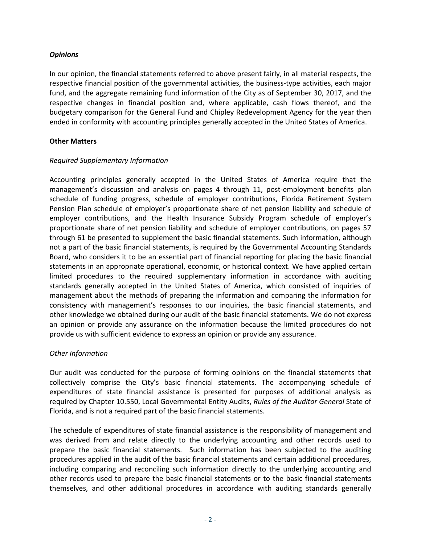#### *Opinions*

In our opinion, the financial statements referred to above present fairly, in all material respects, the respective financial position of the governmental activities, the business-type activities, each major fund, and the aggregate remaining fund information of the City as of September 30, 2017, and the respective changes in financial position and, where applicable, cash flows thereof, and the budgetary comparison for the General Fund and Chipley Redevelopment Agency for the year then ended in conformity with accounting principles generally accepted in the United States of America.

#### **Other Matters**

#### *Required Supplementary Information*

Accounting principles generally accepted in the United States of America require that the management's discussion and analysis on pages 4 through 11, post-employment benefits plan schedule of funding progress, schedule of employer contributions, Florida Retirement System Pension Plan schedule of employer's proportionate share of net pension liability and schedule of employer contributions, and the Health Insurance Subsidy Program schedule of employer's proportionate share of net pension liability and schedule of employer contributions, on pages 57 through 61 be presented to supplement the basic financial statements. Such information, although not a part of the basic financial statements, is required by the Governmental Accounting Standards Board, who considers it to be an essential part of financial reporting for placing the basic financial statements in an appropriate operational, economic, or historical context. We have applied certain limited procedures to the required supplementary information in accordance with auditing standards generally accepted in the United States of America, which consisted of inquiries of management about the methods of preparing the information and comparing the information for consistency with management's responses to our inquiries, the basic financial statements, and other knowledge we obtained during our audit of the basic financial statements. We do not express an opinion or provide any assurance on the information because the limited procedures do not provide us with sufficient evidence to express an opinion or provide any assurance.

#### *Other Information*

Our audit was conducted for the purpose of forming opinions on the financial statements that collectively comprise the City's basic financial statements. The accompanying schedule of expenditures of state financial assistance is presented for purposes of additional analysis as required by Chapter 10.550, Local Governmental Entity Audits, *Rules of the Auditor General* State of Florida, and is not a required part of the basic financial statements.

The schedule of expenditures of state financial assistance is the responsibility of management and was derived from and relate directly to the underlying accounting and other records used to prepare the basic financial statements. Such information has been subjected to the auditing procedures applied in the audit of the basic financial statements and certain additional procedures, including comparing and reconciling such information directly to the underlying accounting and other records used to prepare the basic financial statements or to the basic financial statements themselves, and other additional procedures in accordance with auditing standards generally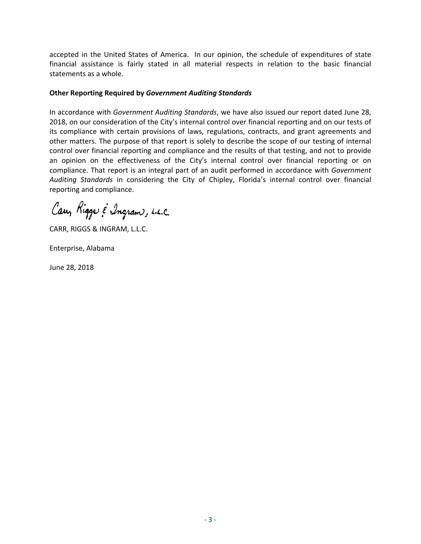accepted in the United States of America. In our opinion, the schedule of expenditures of state financial assistance is fairly stated in all material respects in relation to the basic financial statements as a whole.

#### **Other Reporting Required by** *Government Auditing Standards*

In accordance with *Government Auditing Standards*, we have also issued our report dated June 28, 2018, on our consideration of the City's internal control over financial reporting and on our tests of its compliance with certain provisions of laws, regulations, contracts, and grant agreements and other matters. The purpose of that report is solely to describe the scope of our testing of internal control over financial reporting and compliance and the results of that testing, and not to provide an opinion on the effectiveness of the City's internal control over financial reporting or on compliance. That report is an integral part of an audit performed in accordance with *Government Auditing Standards* in considering the City of Chipley, Florida's internal control over financial reporting and compliance.

Cary Rigge & Ingram, L.L.C.

CARR, RIGGS & INGRAM, L.L.C.

Enterprise, Alabama

June 28, 2018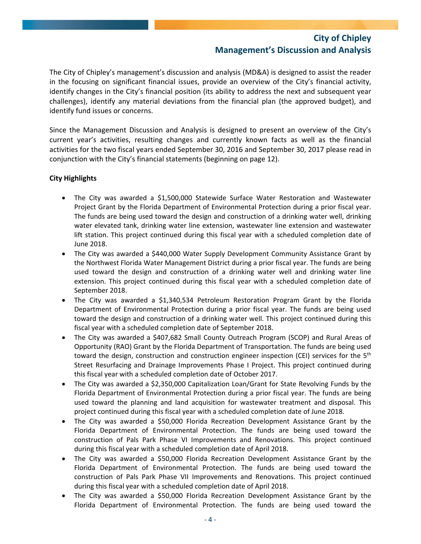The City of Chipley's management's discussion and analysis (MD&A) is designed to assist the reader in the focusing on significant financial issues, provide an overview of the City's financial activity, identify changes in the City's financial position (its ability to address the next and subsequent year challenges), identify any material deviations from the financial plan (the approved budget), and identify fund issues or concerns.

Since the Management Discussion and Analysis is designed to present an overview of the City's current year's activities, resulting changes and currently known facts as well as the financial activities for the two fiscal years ended September 30, 2016 and September 30, 2017 please read in conjunction with the City's financial statements (beginning on page 12).

#### **City Highlights**

- The City was awarded a \$1,500,000 Statewide Surface Water Restoration and Wastewater Project Grant by the Florida Department of Environmental Protection during a prior fiscal year. The funds are being used toward the design and construction of a drinking water well, drinking water elevated tank, drinking water line extension, wastewater line extension and wastewater lift station. This project continued during this fiscal year with a scheduled completion date of June 2018.
- The City was awarded a \$440,000 Water Supply Development Community Assistance Grant by the Northwest Florida Water Management District during a prior fiscal year. The funds are being used toward the design and construction of a drinking water well and drinking water line extension. This project continued during this fiscal year with a scheduled completion date of September 2018.
- The City was awarded a \$1,340,534 Petroleum Restoration Program Grant by the Florida Department of Environmental Protection during a prior fiscal year. The funds are being used toward the design and construction of a drinking water well. This project continued during this fiscal year with a scheduled completion date of September 2018.
- The City was awarded a \$407,682 Small County Outreach Program (SCOP) and Rural Areas of Opportunity (RAO) Grant by the Florida Department of Transportation. The funds are being used toward the design, construction and construction engineer inspection (CEI) services for the 5<sup>th</sup> Street Resurfacing and Drainage Improvements Phase I Project. This project continued during this fiscal year with a scheduled completion date of October 2017.
- The City was awarded a \$2,350,000 Capitalization Loan/Grant for State Revolving Funds by the Florida Department of Environmental Protection during a prior fiscal year. The funds are being used toward the planning and land acquisition for wastewater treatment and disposal. This project continued during this fiscal year with a scheduled completion date of June 2018.
- The City was awarded a \$50,000 Florida Recreation Development Assistance Grant by the Florida Department of Environmental Protection. The funds are being used toward the construction of Pals Park Phase VI Improvements and Renovations. This project continued during this fiscal year with a scheduled completion date of April 2018.
- The City was awarded a \$50,000 Florida Recreation Development Assistance Grant by the Florida Department of Environmental Protection. The funds are being used toward the construction of Pals Park Phase VII Improvements and Renovations. This project continued during this fiscal year with a scheduled completion date of April 2018.
- The City was awarded a \$50,000 Florida Recreation Development Assistance Grant by the Florida Department of Environmental Protection. The funds are being used toward the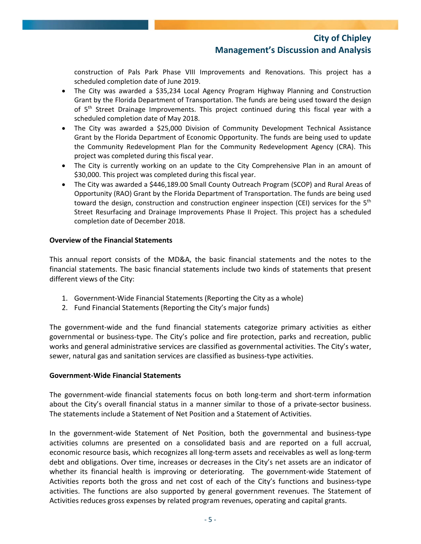construction of Pals Park Phase VIII Improvements and Renovations. This project has a scheduled completion date of June 2019.

- The City was awarded a \$35,234 Local Agency Program Highway Planning and Construction Grant by the Florida Department of Transportation. The funds are being used toward the design of 5<sup>th</sup> Street Drainage Improvements. This project continued during this fiscal year with a scheduled completion date of May 2018.
- The City was awarded a \$25,000 Division of Community Development Technical Assistance Grant by the Florida Department of Economic Opportunity. The funds are being used to update the Community Redevelopment Plan for the Community Redevelopment Agency (CRA). This project was completed during this fiscal year.
- The City is currently working on an update to the City Comprehensive Plan in an amount of \$30,000. This project was completed during this fiscal year.
- The City was awarded a \$446,189.00 Small County Outreach Program (SCOP) and Rural Areas of Opportunity (RAO) Grant by the Florida Department of Transportation. The funds are being used toward the design, construction and construction engineer inspection (CEI) services for the 5<sup>th</sup> Street Resurfacing and Drainage Improvements Phase II Project. This project has a scheduled completion date of December 2018.

#### **Overview of the Financial Statements**

This annual report consists of the MD&A, the basic financial statements and the notes to the financial statements. The basic financial statements include two kinds of statements that present different views of the City:

- 1. Government‐Wide Financial Statements (Reporting the City as a whole)
- 2. Fund Financial Statements (Reporting the City's major funds)

The government‐wide and the fund financial statements categorize primary activities as either governmental or business‐type. The City's police and fire protection, parks and recreation, public works and general administrative services are classified as governmental activities. The City's water, sewer, natural gas and sanitation services are classified as business‐type activities.

#### **Government‐Wide Financial Statements**

The government‐wide financial statements focus on both long‐term and short‐term information about the City's overall financial status in a manner similar to those of a private‐sector business. The statements include a Statement of Net Position and a Statement of Activities.

In the government-wide Statement of Net Position, both the governmental and business-type activities columns are presented on a consolidated basis and are reported on a full accrual, economic resource basis, which recognizes all long‐term assets and receivables as well as long‐term debt and obligations. Over time, increases or decreases in the City's net assets are an indicator of whether its financial health is improving or deteriorating. The government-wide Statement of Activities reports both the gross and net cost of each of the City's functions and business‐type activities. The functions are also supported by general government revenues. The Statement of Activities reduces gross expenses by related program revenues, operating and capital grants.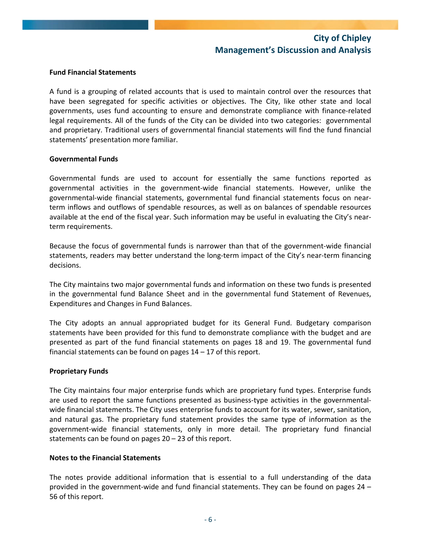#### **Fund Financial Statements**

A fund is a grouping of related accounts that is used to maintain control over the resources that have been segregated for specific activities or objectives. The City, like other state and local governments, uses fund accounting to ensure and demonstrate compliance with finance‐related legal requirements. All of the funds of the City can be divided into two categories: governmental and proprietary. Traditional users of governmental financial statements will find the fund financial statements' presentation more familiar.

#### **Governmental Funds**

Governmental funds are used to account for essentially the same functions reported as governmental activities in the government‐wide financial statements. However, unlike the governmental‐wide financial statements, governmental fund financial statements focus on near‐ term inflows and outflows of spendable resources, as well as on balances of spendable resources available at the end of the fiscal year. Such information may be useful in evaluating the City's near‐ term requirements.

Because the focus of governmental funds is narrower than that of the government-wide financial statements, readers may better understand the long‐term impact of the City's near‐term financing decisions.

The City maintains two major governmental funds and information on these two funds is presented in the governmental fund Balance Sheet and in the governmental fund Statement of Revenues, Expenditures and Changes in Fund Balances.

The City adopts an annual appropriated budget for its General Fund. Budgetary comparison statements have been provided for this fund to demonstrate compliance with the budget and are presented as part of the fund financial statements on pages 18 and 19. The governmental fund financial statements can be found on pages  $14 - 17$  of this report.

#### **Proprietary Funds**

The City maintains four major enterprise funds which are proprietary fund types. Enterprise funds are used to report the same functions presented as business-type activities in the governmentalwide financial statements. The City uses enterprise funds to account for its water, sewer, sanitation, and natural gas. The proprietary fund statement provides the same type of information as the government‐wide financial statements, only in more detail. The proprietary fund financial statements can be found on pages 20 – 23 of this report.

#### **Notes to the Financial Statements**

The notes provide additional information that is essential to a full understanding of the data provided in the government‐wide and fund financial statements. They can be found on pages 24 – 56 of this report.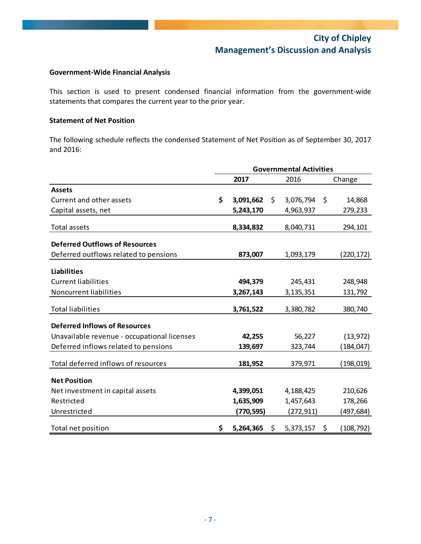#### **Government‐Wide Financial Analysis**

This section is used to present condensed financial information from the government-wide statements that compares the current year to the prior year.

#### **Statement of Net Position**

The following schedule reflects the condensed Statement of Net Position as of September 30, 2017 and 2016:

|                                             | <b>Governmental Activities</b> |           |     |           |     |            |
|---------------------------------------------|--------------------------------|-----------|-----|-----------|-----|------------|
|                                             |                                | 2017      |     | 2016      |     | Change     |
| <b>Assets</b>                               |                                |           |     |           |     |            |
| Current and other assets                    | \$                             | 3,091,662 | \$  | 3,076,794 | -\$ | 14,868     |
| Capital assets, net                         |                                | 5,243,170 |     | 4,963,937 |     | 279,233    |
| Total assets                                |                                | 8,334,832 |     | 8,040,731 |     | 294,101    |
| <b>Deferred Outflows of Resources</b>       |                                |           |     |           |     |            |
| Deferred outflows related to pensions       |                                | 873,007   |     | 1,093,179 |     | (220,172)  |
| <b>Liabilities</b>                          |                                |           |     |           |     |            |
| <b>Current liabilities</b>                  |                                | 494,379   |     | 245,431   |     | 248,948    |
| <b>Noncurrent liabilities</b>               |                                | 3,267,143 |     | 3,135,351 |     | 131,792    |
| <b>Total liabilities</b>                    |                                | 3,761,522 |     | 3,380,782 |     | 380,740    |
| <b>Deferred Inflows of Resources</b>        |                                |           |     |           |     |            |
| Unavailable revenue - occupational licenses |                                | 42,255    |     | 56,227    |     | (13, 972)  |
| Deferred inflows related to pensions        |                                | 139,697   |     | 323,744   |     | (184,047)  |
| Total deferred inflows of resources         |                                | 181,952   |     | 379,971   |     | (198,019)  |
| <b>Net Position</b>                         |                                |           |     |           |     |            |
| Net investment in capital assets            |                                | 4,399,051 |     | 4,188,425 |     | 210,626    |
| Restricted                                  |                                | 1,635,909 |     | 1,457,643 |     | 178,266    |
| Unrestricted                                |                                | (770,595) |     | (272,911) |     | (497,684)  |
| Total net position                          | \$.                            | 5,264,365 | \$. | 5,373,157 | \$  | (108, 792) |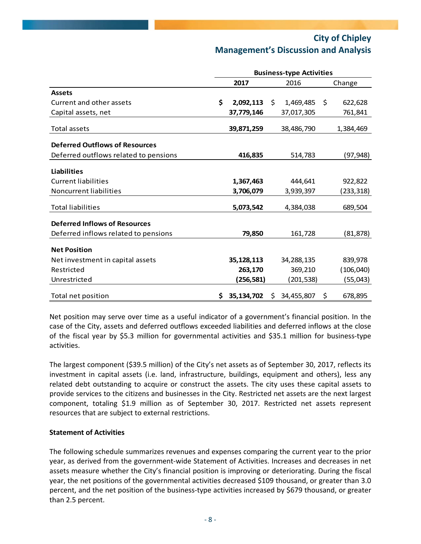|                                       | <b>Business-type Activities</b> |            |    |            |    |            |
|---------------------------------------|---------------------------------|------------|----|------------|----|------------|
|                                       |                                 | 2017       |    | 2016       |    | Change     |
| <b>Assets</b>                         |                                 |            |    |            |    |            |
| Current and other assets              | \$                              | 2,092,113  | \$ | 1,469,485  | \$ | 622,628    |
| Capital assets, net                   |                                 | 37,779,146 |    | 37,017,305 |    | 761,841    |
| Total assets                          |                                 | 39,871,259 |    | 38,486,790 |    | 1,384,469  |
| <b>Deferred Outflows of Resources</b> |                                 |            |    |            |    |            |
| Deferred outflows related to pensions |                                 | 416,835    |    | 514,783    |    | (97,948)   |
| <b>Liabilities</b>                    |                                 |            |    |            |    |            |
| <b>Current liabilities</b>            |                                 | 1,367,463  |    | 444,641    |    | 922,822    |
| Noncurrent liabilities                |                                 | 3,706,079  |    | 3,939,397  |    | (233,318)  |
| <b>Total liabilities</b>              |                                 | 5,073,542  |    | 4,384,038  |    | 689,504    |
| <b>Deferred Inflows of Resources</b>  |                                 |            |    |            |    |            |
| Deferred inflows related to pensions  |                                 | 79,850     |    | 161,728    |    | (81, 878)  |
| <b>Net Position</b>                   |                                 |            |    |            |    |            |
| Net investment in capital assets      |                                 | 35,128,113 |    | 34,288,135 |    | 839,978    |
| Restricted                            |                                 | 263,170    |    | 369,210    |    | (106, 040) |
| Unrestricted                          |                                 | (256,581)  |    | (201,538)  |    | (55,043)   |
| Total net position                    | S.                              | 35,134,702 | Ś. | 34,455,807 | \$ | 678,895    |

Net position may serve over time as a useful indicator of a government's financial position. In the case of the City, assets and deferred outflows exceeded liabilities and deferred inflows at the close of the fiscal year by \$5.3 million for governmental activities and \$35.1 million for business‐type activities.

The largest component (\$39.5 million) of the City's net assets as of September 30, 2017, reflects its investment in capital assets (i.e. land, infrastructure, buildings, equipment and others), less any related debt outstanding to acquire or construct the assets. The city uses these capital assets to provide services to the citizens and businesses in the City. Restricted net assets are the next largest component, totaling \$1.9 million as of September 30, 2017. Restricted net assets represent resources that are subject to external restrictions.

#### **Statement of Activities**

The following schedule summarizes revenues and expenses comparing the current year to the prior year, as derived from the government‐wide Statement of Activities. Increases and decreases in net assets measure whether the City's financial position is improving or deteriorating. During the fiscal year, the net positions of the governmental activities decreased \$109 thousand, or greater than 3.0 percent, and the net position of the business-type activities increased by \$679 thousand, or greater than 2.5 percent.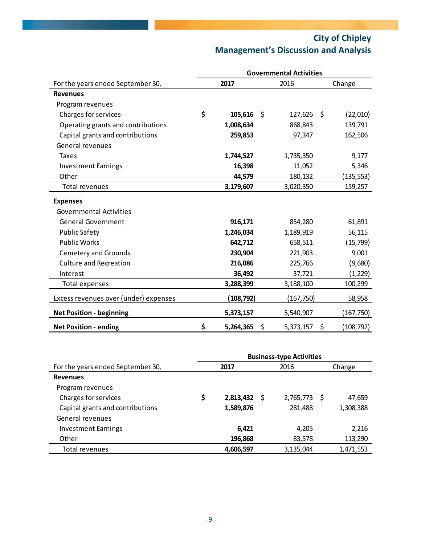|                                       | <b>Governmental Activities</b> |            |    |            |    |            |
|---------------------------------------|--------------------------------|------------|----|------------|----|------------|
| For the years ended September 30,     |                                | 2017       |    | 2016       |    | Change     |
| <b>Revenues</b>                       |                                |            |    |            |    |            |
| Program revenues                      |                                |            |    |            |    |            |
| Charges for services                  | \$                             | 105,616    | Ŝ. | 127,626    | \$ | (22,010)   |
| Operating grants and contributions    |                                | 1,008,634  |    | 868,843    |    | 139,791    |
| Capital grants and contributions      |                                | 259,853    |    | 97,347     |    | 162,506    |
| General revenues                      |                                |            |    |            |    |            |
| <b>Taxes</b>                          |                                | 1,744,527  |    | 1,735,350  |    | 9,177      |
| <b>Investment Earnings</b>            |                                | 16,398     |    | 11,052     |    | 5,346      |
| Other                                 |                                | 44,579     |    | 180,132    |    | (135, 553) |
| <b>Total revenues</b>                 |                                | 3,179,607  |    | 3,020,350  |    | 159,257    |
| <b>Expenses</b>                       |                                |            |    |            |    |            |
| <b>Governmental Activities</b>        |                                |            |    |            |    |            |
| <b>General Government</b>             |                                | 916,171    |    | 854,280    |    | 61,891     |
| Public Safety                         |                                | 1,246,034  |    | 1,189,919  |    | 56,115     |
| <b>Public Works</b>                   |                                | 642,712    |    | 658,511    |    | (15, 799)  |
| <b>Cemetery and Grounds</b>           |                                | 230,904    |    | 221,903    |    | 9,001      |
| <b>Culture and Recreation</b>         |                                | 216,086    |    | 225,766    |    | (9,680)    |
| Interest                              |                                | 36,492     |    | 37,721     |    | (1,229)    |
| Total expenses                        |                                | 3,288,399  |    | 3,188,100  |    | 100,299    |
| Excess revenues over (under) expenses |                                | (108, 792) |    | (167, 750) |    | 58,958     |
| <b>Net Position - beginning</b>       |                                | 5,373,157  |    | 5,540,907  |    | (167,750)  |
| <b>Net Position - ending</b>          | \$                             | 5,264,365  | \$ | 5,373,157  | \$ | (108,792)  |

|                                   | <b>Business-type Activities</b> |           |   |           |   |           |
|-----------------------------------|---------------------------------|-----------|---|-----------|---|-----------|
| For the years ended September 30, |                                 | 2017      |   | 2016      |   | Change    |
| <b>Revenues</b>                   |                                 |           |   |           |   |           |
| Program revenues                  |                                 |           |   |           |   |           |
| Charges for services              | \$                              | 2,813,432 | S | 2,765,773 | S | 47,659    |
| Capital grants and contributions  |                                 | 1,589,876 |   | 281,488   |   | 1,308,388 |
| General revenues                  |                                 |           |   |           |   |           |
| <b>Investment Earnings</b>        |                                 | 6,421     |   | 4,205     |   | 2,216     |
| Other                             |                                 | 196,868   |   | 83,578    |   | 113,290   |
| Total revenues                    |                                 | 4,606,597 |   | 3,135,044 |   | 1,471,553 |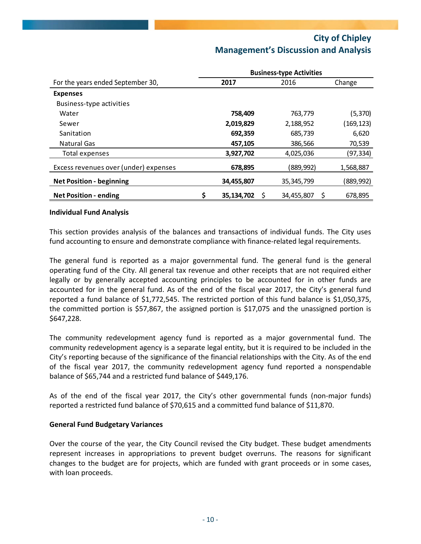|                                       | <b>Business-type Activities</b> |            |              |            |  |
|---------------------------------------|---------------------------------|------------|--------------|------------|--|
| For the years ended September 30,     |                                 | 2017       | 2016         | Change     |  |
| <b>Expenses</b>                       |                                 |            |              |            |  |
| Business-type activities              |                                 |            |              |            |  |
| Water                                 |                                 | 758,409    | 763,779      | (5,370)    |  |
| Sewer                                 |                                 | 2,019,829  | 2,188,952    | (169, 123) |  |
| Sanitation                            |                                 | 692,359    | 685,739      | 6,620      |  |
| <b>Natural Gas</b>                    |                                 | 457,105    | 386,566      | 70,539     |  |
| Total expenses                        |                                 | 3,927,702  | 4,025,036    | (97, 334)  |  |
| Excess revenues over (under) expenses |                                 | 678,895    | (889, 992)   | 1,568,887  |  |
| <b>Net Position - beginning</b>       |                                 | 34,455,807 | 35, 345, 799 | (889,992)  |  |
| <b>Net Position - ending</b>          |                                 | 35,134,702 | 34,455,807   | 678,895    |  |

#### **Individual Fund Analysis**

This section provides analysis of the balances and transactions of individual funds. The City uses fund accounting to ensure and demonstrate compliance with finance-related legal requirements.

The general fund is reported as a major governmental fund. The general fund is the general operating fund of the City. All general tax revenue and other receipts that are not required either legally or by generally accepted accounting principles to be accounted for in other funds are accounted for in the general fund. As of the end of the fiscal year 2017, the City's general fund reported a fund balance of \$1,772,545. The restricted portion of this fund balance is \$1,050,375, the committed portion is \$57,867, the assigned portion is \$17,075 and the unassigned portion is \$647,228.

The community redevelopment agency fund is reported as a major governmental fund. The community redevelopment agency is a separate legal entity, but it is required to be included in the City's reporting because of the significance of the financial relationships with the City. As of the end of the fiscal year 2017, the community redevelopment agency fund reported a nonspendable balance of \$65,744 and a restricted fund balance of \$449,176.

As of the end of the fiscal year 2017, the City's other governmental funds (non‐major funds) reported a restricted fund balance of \$70,615 and a committed fund balance of \$11,870.

#### **General Fund Budgetary Variances**

Over the course of the year, the City Council revised the City budget. These budget amendments represent increases in appropriations to prevent budget overruns. The reasons for significant changes to the budget are for projects, which are funded with grant proceeds or in some cases, with loan proceeds.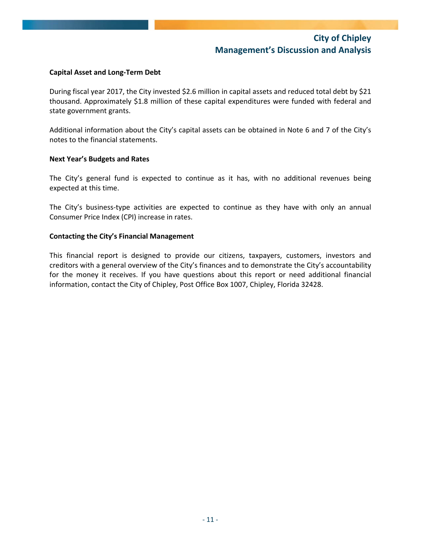#### **Capital Asset and Long‐Term Debt**

During fiscal year 2017, the City invested \$2.6 million in capital assets and reduced total debt by \$21 thousand. Approximately \$1.8 million of these capital expenditures were funded with federal and state government grants.

Additional information about the City's capital assets can be obtained in Note 6 and 7 of the City's notes to the financial statements.

#### **Next Year's Budgets and Rates**

The City's general fund is expected to continue as it has, with no additional revenues being expected at this time.

The City's business-type activities are expected to continue as they have with only an annual Consumer Price Index (CPI) increase in rates.

#### **Contacting the City's Financial Management**

This financial report is designed to provide our citizens, taxpayers, customers, investors and creditors with a general overview of the City's finances and to demonstrate the City's accountability for the money it receives. If you have questions about this report or need additional financial information, contact the City of Chipley, Post Office Box 1007, Chipley, Florida 32428.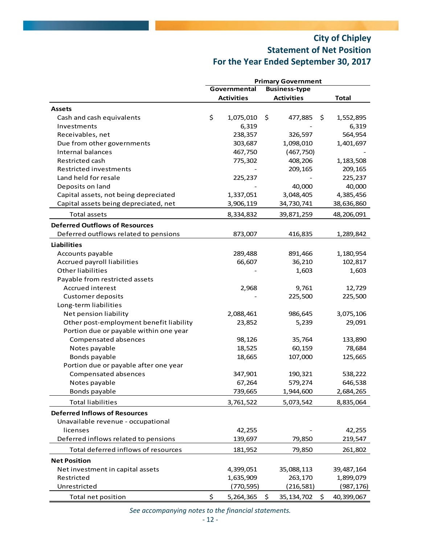# **City of Chipley Statement of Net Position For the Year Ended September 30, 2017**

|                                         | <b>Primary Government</b> |                   |        |                      |    |              |
|-----------------------------------------|---------------------------|-------------------|--------|----------------------|----|--------------|
|                                         |                           | Governmental      |        | <b>Business-type</b> |    |              |
|                                         |                           | <b>Activities</b> |        | <b>Activities</b>    |    | <b>Total</b> |
| <b>Assets</b>                           |                           |                   |        |                      |    |              |
| Cash and cash equivalents               | \$                        | 1,075,010         | \$     | 477,885              | \$ | 1,552,895    |
| Investments                             |                           | 6,319             |        |                      |    | 6,319        |
| Receivables, net                        |                           | 238,357           |        | 326,597              |    | 564,954      |
| Due from other governments              |                           | 303,687           |        | 1,098,010            |    | 1,401,697    |
| Internal balances                       |                           | 467,750           |        | (467, 750)           |    |              |
| Restricted cash                         |                           | 775,302           |        | 408,206              |    | 1,183,508    |
| Restricted investments                  |                           |                   |        | 209,165              |    | 209,165      |
| Land held for resale                    |                           | 225,237           |        |                      |    | 225,237      |
| Deposits on land                        |                           |                   |        | 40,000               |    | 40,000       |
| Capital assets, not being depreciated   |                           | 1,337,051         |        | 3,048,405            |    | 4,385,456    |
| Capital assets being depreciated, net   |                           | 3,906,119         |        | 34,730,741           |    | 38,636,860   |
| <b>Total assets</b>                     |                           | 8,334,832         |        | 39,871,259           |    | 48,206,091   |
| <b>Deferred Outflows of Resources</b>   |                           |                   |        |                      |    |              |
| Deferred outflows related to pensions   |                           | 873,007           |        | 416,835              |    | 1,289,842    |
| <b>Liabilities</b>                      |                           |                   |        |                      |    |              |
| Accounts payable                        |                           | 289,488           |        | 891,466              |    | 1,180,954    |
| Accrued payroll liabilities             |                           | 66,607            |        | 36,210               |    | 102,817      |
| <b>Other liabilities</b>                |                           |                   | 1,603  |                      |    | 1,603        |
| Payable from restricted assets          |                           |                   |        |                      |    |              |
| Accrued interest                        |                           | 2,968             |        | 9,761                |    | 12,729       |
| <b>Customer deposits</b>                |                           |                   |        | 225,500              |    | 225,500      |
| Long-term liabilities                   |                           |                   |        |                      |    |              |
| Net pension liability                   |                           | 2,088,461         |        | 986,645              |    | 3,075,106    |
| Other post-employment benefit liability |                           | 23,852            | 5,239  |                      |    | 29,091       |
| Portion due or payable within one year  |                           |                   |        |                      |    |              |
| Compensated absences                    |                           | 98,126            | 35,764 |                      |    | 133,890      |
| Notes payable                           |                           | 18,525            | 60,159 |                      |    | 78,684       |
| Bonds payable                           |                           | 18,665            |        | 107,000              |    | 125,665      |
| Portion due or payable after one year   |                           |                   |        |                      |    |              |
| Compensated absences                    |                           | 347,901           |        | 190,321              |    | 538,222      |
| Notes payable                           |                           | 67,264            |        | 579.274              |    | 646.538      |
| Bonds payable                           |                           | 739,665           |        | 1,944,600            |    | 2,684,265    |
| <b>Total liabilities</b>                |                           | 3,761,522         |        | 5,073,542            |    | 8,835,064    |
| <b>Deferred Inflows of Resources</b>    |                           |                   |        |                      |    |              |
| Unavailable revenue - occupational      |                           |                   |        |                      |    |              |
| licenses                                |                           | 42,255            |        |                      |    | 42,255       |
| Deferred inflows related to pensions    |                           | 139,697           |        | 79,850               |    | 219,547      |
| Total deferred inflows of resources     |                           | 181,952           |        | 79,850               |    | 261,802      |
| <b>Net Position</b>                     |                           |                   |        |                      |    |              |
| Net investment in capital assets        |                           | 4,399,051         |        | 35,088,113           |    | 39,487,164   |
| Restricted                              |                           | 1,635,909         |        | 263,170              |    | 1,899,079    |
| Unrestricted                            |                           | (770, 595)        |        | (216, 581)           |    | (987, 176)   |
| Total net position                      | \$                        | 5,264,365         | \$     | 35, 134, 702         | \$ | 40,399,067   |

*See accompanying notes to the financial statements.*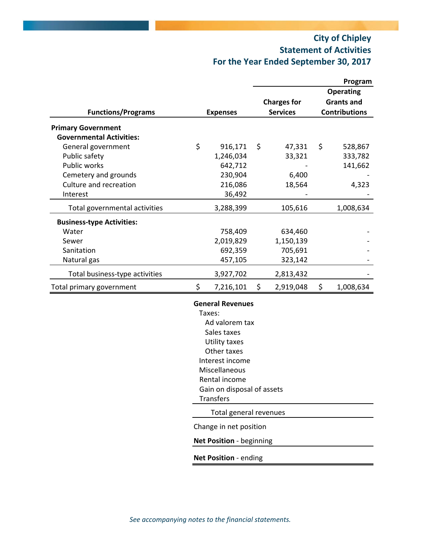# **City of Chipley Statement of Activities For the Year Ended September 30, 2017**

|                 |                                                                                                                                                                                                                                                                     |                                                                                                                       |                                                                                                                                                                                                        | Program              |
|-----------------|---------------------------------------------------------------------------------------------------------------------------------------------------------------------------------------------------------------------------------------------------------------------|-----------------------------------------------------------------------------------------------------------------------|--------------------------------------------------------------------------------------------------------------------------------------------------------------------------------------------------------|----------------------|
|                 |                                                                                                                                                                                                                                                                     |                                                                                                                       |                                                                                                                                                                                                        | <b>Operating</b>     |
|                 |                                                                                                                                                                                                                                                                     |                                                                                                                       |                                                                                                                                                                                                        | <b>Grants and</b>    |
|                 |                                                                                                                                                                                                                                                                     | <b>Services</b>                                                                                                       |                                                                                                                                                                                                        | <b>Contributions</b> |
|                 |                                                                                                                                                                                                                                                                     |                                                                                                                       |                                                                                                                                                                                                        |                      |
|                 |                                                                                                                                                                                                                                                                     |                                                                                                                       |                                                                                                                                                                                                        |                      |
|                 |                                                                                                                                                                                                                                                                     |                                                                                                                       |                                                                                                                                                                                                        | 528,867              |
|                 |                                                                                                                                                                                                                                                                     |                                                                                                                       |                                                                                                                                                                                                        | 333,782              |
|                 |                                                                                                                                                                                                                                                                     |                                                                                                                       |                                                                                                                                                                                                        | 141,662              |
|                 |                                                                                                                                                                                                                                                                     |                                                                                                                       |                                                                                                                                                                                                        |                      |
|                 |                                                                                                                                                                                                                                                                     |                                                                                                                       |                                                                                                                                                                                                        | 4,323                |
|                 |                                                                                                                                                                                                                                                                     |                                                                                                                       |                                                                                                                                                                                                        |                      |
|                 |                                                                                                                                                                                                                                                                     |                                                                                                                       |                                                                                                                                                                                                        |                      |
|                 |                                                                                                                                                                                                                                                                     |                                                                                                                       |                                                                                                                                                                                                        | 1,008,634            |
|                 |                                                                                                                                                                                                                                                                     |                                                                                                                       |                                                                                                                                                                                                        |                      |
|                 |                                                                                                                                                                                                                                                                     |                                                                                                                       |                                                                                                                                                                                                        |                      |
|                 |                                                                                                                                                                                                                                                                     |                                                                                                                       |                                                                                                                                                                                                        |                      |
|                 |                                                                                                                                                                                                                                                                     |                                                                                                                       |                                                                                                                                                                                                        |                      |
|                 |                                                                                                                                                                                                                                                                     |                                                                                                                       |                                                                                                                                                                                                        |                      |
| 3,927,702       |                                                                                                                                                                                                                                                                     | 2,813,432                                                                                                             |                                                                                                                                                                                                        |                      |
| \$<br>7,216,101 | \$                                                                                                                                                                                                                                                                  | 2,919,048                                                                                                             | \$                                                                                                                                                                                                     | 1,008,634            |
|                 |                                                                                                                                                                                                                                                                     |                                                                                                                       |                                                                                                                                                                                                        |                      |
|                 |                                                                                                                                                                                                                                                                     |                                                                                                                       |                                                                                                                                                                                                        |                      |
|                 |                                                                                                                                                                                                                                                                     |                                                                                                                       |                                                                                                                                                                                                        |                      |
|                 |                                                                                                                                                                                                                                                                     |                                                                                                                       |                                                                                                                                                                                                        |                      |
|                 |                                                                                                                                                                                                                                                                     |                                                                                                                       |                                                                                                                                                                                                        |                      |
|                 |                                                                                                                                                                                                                                                                     |                                                                                                                       |                                                                                                                                                                                                        |                      |
|                 |                                                                                                                                                                                                                                                                     |                                                                                                                       |                                                                                                                                                                                                        |                      |
|                 |                                                                                                                                                                                                                                                                     |                                                                                                                       |                                                                                                                                                                                                        |                      |
|                 |                                                                                                                                                                                                                                                                     |                                                                                                                       |                                                                                                                                                                                                        |                      |
|                 |                                                                                                                                                                                                                                                                     |                                                                                                                       |                                                                                                                                                                                                        |                      |
|                 |                                                                                                                                                                                                                                                                     |                                                                                                                       |                                                                                                                                                                                                        |                      |
|                 |                                                                                                                                                                                                                                                                     |                                                                                                                       |                                                                                                                                                                                                        |                      |
|                 |                                                                                                                                                                                                                                                                     |                                                                                                                       |                                                                                                                                                                                                        |                      |
|                 |                                                                                                                                                                                                                                                                     |                                                                                                                       |                                                                                                                                                                                                        |                      |
|                 |                                                                                                                                                                                                                                                                     |                                                                                                                       |                                                                                                                                                                                                        |                      |
| \$              | <b>Expenses</b><br>916,171<br>1,246,034<br>642,712<br>230,904<br>216,086<br>36,492<br>3,288,399<br>758,409<br>2,019,829<br>692,359<br>457,105<br>Taxes:<br>Sales taxes<br><b>Utility taxes</b><br>Other taxes<br>Miscellaneous<br>Rental income<br><b>Transfers</b> | \$<br><b>General Revenues</b><br>Ad valorem tax<br>Interest income<br>Change in net position<br>Net Position - ending | <b>Charges for</b><br>47,331<br>33,321<br>6,400<br>18,564<br>105,616<br>634,460<br>1,150,139<br>705,691<br>323,142<br>Gain on disposal of assets<br>Total general revenues<br>Net Position - beginning | \$                   |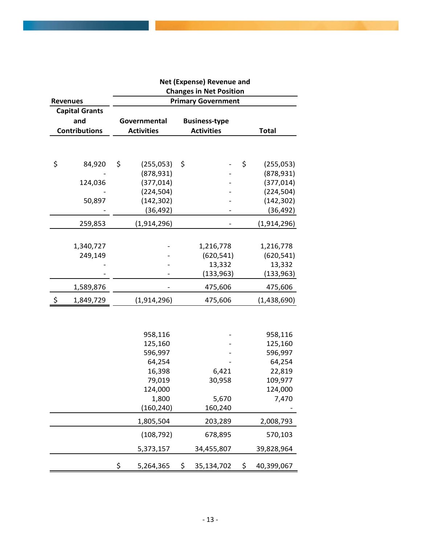|    |                       | Net (Expense) Revenue and                                   |                   |    |                                           |    |              |  |  |
|----|-----------------------|-------------------------------------------------------------|-------------------|----|-------------------------------------------|----|--------------|--|--|
|    | <b>Revenues</b>       | <b>Changes in Net Position</b><br><b>Primary Government</b> |                   |    |                                           |    |              |  |  |
|    | <b>Capital Grants</b> |                                                             |                   |    |                                           |    |              |  |  |
|    | and                   |                                                             | Governmental      |    |                                           |    |              |  |  |
|    | <b>Contributions</b>  |                                                             | <b>Activities</b> |    | <b>Business-type</b><br><b>Activities</b> |    | <b>Total</b> |  |  |
|    |                       |                                                             |                   |    |                                           |    |              |  |  |
| \$ | 84,920                | \$                                                          | (255, 053)        | \$ |                                           | \$ | (255, 053)   |  |  |
|    |                       |                                                             | (878, 931)        |    |                                           |    | (878, 931)   |  |  |
|    | 124,036               |                                                             | (377, 014)        |    |                                           |    | (377, 014)   |  |  |
|    |                       |                                                             | (224, 504)        |    |                                           |    | (224, 504)   |  |  |
|    | 50,897                |                                                             | (142, 302)        |    |                                           |    | (142, 302)   |  |  |
|    |                       |                                                             | (36, 492)         |    |                                           |    | (36, 492)    |  |  |
|    | 259,853               |                                                             | (1,914,296)       |    |                                           |    | (1,914,296)  |  |  |
|    |                       |                                                             |                   |    |                                           |    |              |  |  |
|    | 1,340,727             |                                                             |                   |    | 1,216,778                                 |    | 1,216,778    |  |  |
|    | 249,149               |                                                             |                   |    | (620, 541)                                |    | (620, 541)   |  |  |
|    |                       |                                                             |                   |    | 13,332                                    |    | 13,332       |  |  |
|    |                       |                                                             |                   |    | (133, 963)                                |    | (133, 963)   |  |  |
|    | 1,589,876             |                                                             |                   |    | 475,606                                   |    | 475,606      |  |  |
| \$ | 1,849,729             |                                                             | (1,914,296)       |    | 475,606                                   |    | (1,438,690)  |  |  |
|    |                       |                                                             |                   |    |                                           |    |              |  |  |
|    |                       |                                                             | 958,116           |    |                                           |    | 958,116      |  |  |
|    |                       |                                                             | 125,160           |    |                                           |    | 125,160      |  |  |
|    |                       |                                                             | 596,997           |    |                                           |    | 596,997      |  |  |
|    |                       |                                                             | 64,254            |    |                                           |    | 64,254       |  |  |
|    |                       |                                                             | 16,398            |    | 6,421                                     |    | 22,819       |  |  |
|    |                       |                                                             | 79,019            |    | 30,958                                    |    | 109,977      |  |  |
|    |                       |                                                             | 124,000           |    |                                           |    | 124,000      |  |  |
|    |                       |                                                             | 1,800             |    | 5,670                                     |    | 7,470        |  |  |
|    |                       |                                                             | (160, 240)        |    | 160,240                                   |    |              |  |  |
|    |                       |                                                             | 1,805,504         |    | 203,289                                   |    | 2,008,793    |  |  |
|    |                       |                                                             | (108, 792)        |    | 678,895                                   |    | 570,103      |  |  |
|    |                       |                                                             | 5,373,157         |    | 34,455,807                                |    | 39,828,964   |  |  |
|    |                       | \$                                                          | 5,264,365         | \$ | 35,134,702                                | \$ | 40,399,067   |  |  |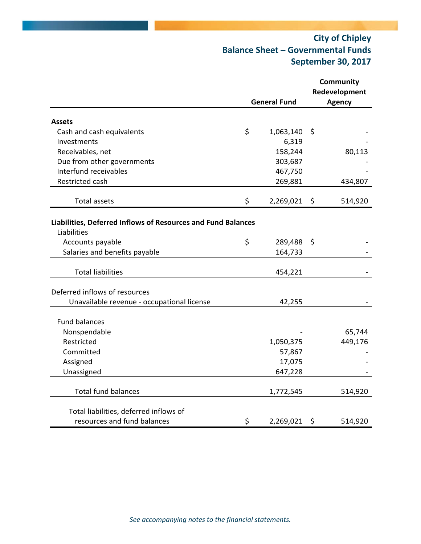## **City of Chipley Balance Sheet – Governmental Funds September 30, 2017**

|                                                              |                     | <b>Community</b> |
|--------------------------------------------------------------|---------------------|------------------|
|                                                              |                     | Redevelopment    |
|                                                              | <b>General Fund</b> | <b>Agency</b>    |
|                                                              |                     |                  |
| <b>Assets</b>                                                |                     |                  |
| Cash and cash equivalents                                    | \$<br>1,063,140     | \$               |
| Investments                                                  | 6,319               |                  |
| Receivables, net                                             | 158,244             | 80,113           |
| Due from other governments                                   | 303,687             |                  |
| Interfund receivables                                        | 467,750             |                  |
| Restricted cash                                              | 269,881             | 434,807          |
| <b>Total assets</b>                                          | \$<br>2,269,021     | \$<br>514,920    |
|                                                              |                     |                  |
| Liabilities, Deferred Inflows of Resources and Fund Balances |                     |                  |
| Liabilities                                                  |                     |                  |
| Accounts payable                                             | \$<br>289,488       | \$               |
| Salaries and benefits payable                                | 164,733             |                  |
|                                                              |                     |                  |
| <b>Total liabilities</b>                                     | 454,221             |                  |
| Deferred inflows of resources                                |                     |                  |
| Unavailable revenue - occupational license                   | 42,255              |                  |
|                                                              |                     |                  |
| <b>Fund balances</b>                                         |                     |                  |
| Nonspendable                                                 |                     | 65,744           |
| Restricted                                                   | 1,050,375           | 449,176          |
| Committed                                                    | 57,867              |                  |
| Assigned                                                     | 17,075              |                  |
| Unassigned                                                   | 647,228             |                  |
|                                                              |                     |                  |
| <b>Total fund balances</b>                                   | 1,772,545           | 514,920          |
|                                                              |                     |                  |
| Total liabilities, deferred inflows of                       |                     |                  |
| resources and fund balances                                  | \$<br>2,269,021     | \$<br>514,920    |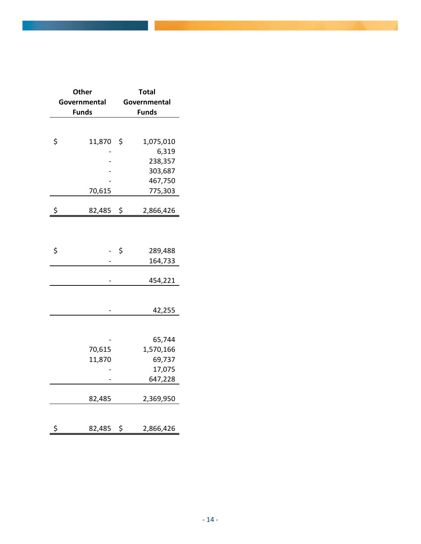| Other        | <b>Total</b> |              |  |  |  |  |
|--------------|--------------|--------------|--|--|--|--|
| Governmental | Governmental |              |  |  |  |  |
| <b>Funds</b> |              | <b>Funds</b> |  |  |  |  |
|              |              |              |  |  |  |  |
|              |              |              |  |  |  |  |
| \$<br>11,870 | \$           | 1,075,010    |  |  |  |  |
|              |              | 6,319        |  |  |  |  |
|              |              | 238,357      |  |  |  |  |
|              |              | 303,687      |  |  |  |  |
|              |              | 467,750      |  |  |  |  |
| 70,615       |              | 775,303      |  |  |  |  |
| \$<br>82,485 | \$           | 2,866,426    |  |  |  |  |
|              |              |              |  |  |  |  |
|              |              |              |  |  |  |  |
|              |              |              |  |  |  |  |
| \$           | \$           | 289,488      |  |  |  |  |
|              |              | 164,733      |  |  |  |  |
|              |              | 454,221      |  |  |  |  |
|              |              |              |  |  |  |  |
|              |              |              |  |  |  |  |
|              |              | 42,255       |  |  |  |  |
|              |              |              |  |  |  |  |
|              |              |              |  |  |  |  |
|              |              | 65,744       |  |  |  |  |
| 70,615       |              | 1,570,166    |  |  |  |  |
| 11,870       |              | 69,737       |  |  |  |  |
|              |              | 17,075       |  |  |  |  |
|              |              | 647,228      |  |  |  |  |
| 82,485       |              | 2,369,950    |  |  |  |  |
|              |              |              |  |  |  |  |
|              |              |              |  |  |  |  |
| \$<br>82,485 | \$           | 2,866,426    |  |  |  |  |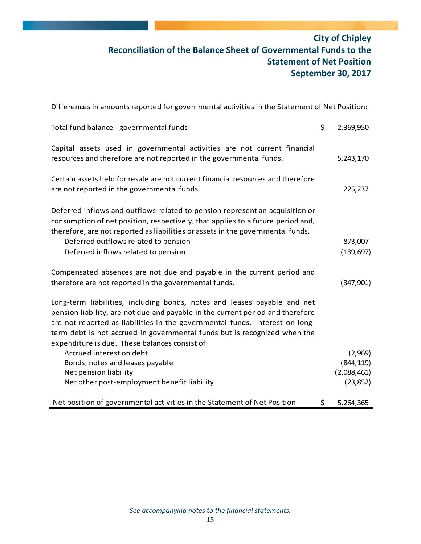## **City of Chipley Reconciliation of the Balance Sheet of Governmental Funds to the Statement of Net Position September 30, 2017**

| Differences in amounts reported for governmental activities in the Statement of Net Position:                                                                                                                                                                                                                                                                             |                       |
|---------------------------------------------------------------------------------------------------------------------------------------------------------------------------------------------------------------------------------------------------------------------------------------------------------------------------------------------------------------------------|-----------------------|
| Total fund balance - governmental funds                                                                                                                                                                                                                                                                                                                                   | \$<br>2,369,950       |
| Capital assets used in governmental activities are not current financial<br>resources and therefore are not reported in the governmental funds.                                                                                                                                                                                                                           | 5,243,170             |
| Certain assets held for resale are not current financial resources and therefore<br>are not reported in the governmental funds.                                                                                                                                                                                                                                           | 225,237               |
| Deferred inflows and outflows related to pension represent an acquisition or<br>consumption of net position, respectively, that applies to a future period and,<br>therefore, are not reported as liabilities or assets in the governmental funds.<br>Deferred outflows related to pension<br>Deferred inflows related to pension                                         | 873,007<br>(139, 697) |
| Compensated absences are not due and payable in the current period and<br>therefore are not reported in the governmental funds.                                                                                                                                                                                                                                           | (347,901)             |
| Long-term liabilities, including bonds, notes and leases payable and net<br>pension liability, are not due and payable in the current period and therefore<br>are not reported as liabilities in the governmental funds. Interest on long-<br>term debt is not accrued in governmental funds but is recognized when the<br>expenditure is due. These balances consist of: |                       |
| Accrued interest on debt                                                                                                                                                                                                                                                                                                                                                  | (2,969)               |
| Bonds, notes and leases payable                                                                                                                                                                                                                                                                                                                                           | (844, 119)            |
| Net pension liability                                                                                                                                                                                                                                                                                                                                                     | (2,088,461)           |
| Net other post-employment benefit liability                                                                                                                                                                                                                                                                                                                               | (23, 852)             |
| Net position of governmental activities in the Statement of Net Position                                                                                                                                                                                                                                                                                                  | \$<br>5,264,365       |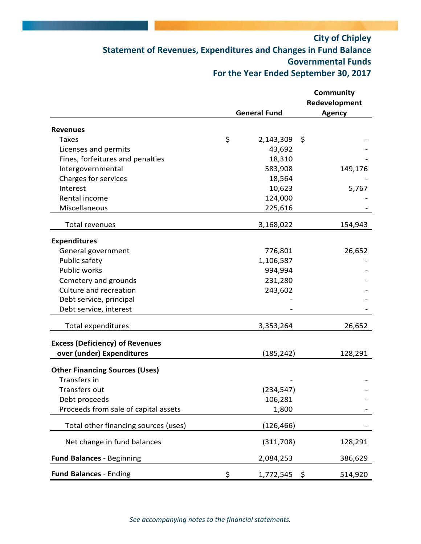## **City of Chipley Statement of Revenues, Expenditures and Changes in Fund Balance Governmental Funds For the Year Ended September 30, 2017**

|                                        |                      | Community     |
|----------------------------------------|----------------------|---------------|
|                                        |                      | Redevelopment |
|                                        | <b>General Fund</b>  | <b>Agency</b> |
| <b>Revenues</b>                        |                      |               |
| <b>Taxes</b>                           | \$<br>2,143,309      | \$            |
| Licenses and permits                   | 43,692               |               |
| Fines, forfeitures and penalties       | 18,310               |               |
| Intergovernmental                      | 583,908              | 149,176       |
| Charges for services                   | 18,564               |               |
| Interest                               | 10,623               | 5,767         |
| Rental income                          | 124,000              |               |
| Miscellaneous                          | 225,616              |               |
| <b>Total revenues</b>                  | 3,168,022            | 154,943       |
| <b>Expenditures</b>                    |                      |               |
| General government                     | 776,801              | 26,652        |
| Public safety                          | 1,106,587            |               |
| Public works                           | 994,994              |               |
| Cemetery and grounds                   | 231,280              |               |
| Culture and recreation                 | 243,602              |               |
| Debt service, principal                |                      |               |
| Debt service, interest                 |                      |               |
|                                        |                      |               |
| <b>Total expenditures</b>              | 3,353,264            | 26,652        |
| <b>Excess (Deficiency) of Revenues</b> |                      |               |
| over (under) Expenditures              | (185, 242)           | 128,291       |
| <b>Other Financing Sources (Uses)</b>  |                      |               |
| Transfers in                           |                      |               |
| Transfers out                          | (234, 547)           |               |
| Debt proceeds                          | 106,281              |               |
| Proceeds from sale of capital assets   | 1,800                |               |
|                                        |                      |               |
| Total other financing sources (uses)   | (126, 466)           |               |
| Net change in fund balances            | (311,708)            | 128,291       |
| <b>Fund Balances - Beginning</b>       | 2,084,253            | 386,629       |
| <b>Fund Balances - Ending</b>          | \$<br>$1,772,545$ \$ | 514,920       |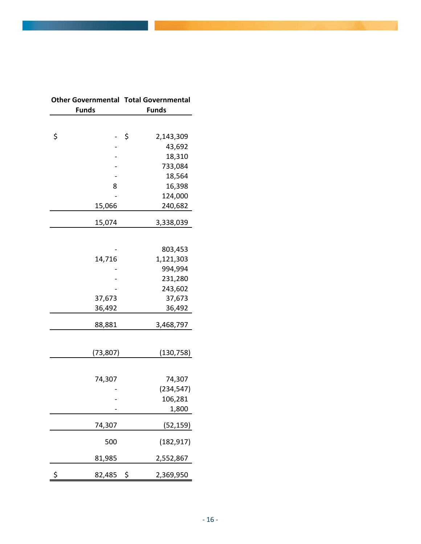| <b>Other Governmental</b> |           | <b>Total Governmental</b> |
|---------------------------|-----------|---------------------------|
| <b>Funds</b>              |           | <b>Funds</b>              |
|                           |           |                           |
| \$                        |           | \$<br>2,143,309           |
|                           |           | 43,692                    |
|                           |           | 18,310                    |
|                           |           | 733,084                   |
|                           |           | 18,564                    |
|                           | 8         | 16,398                    |
|                           |           | 124,000                   |
|                           | 15,066    | 240,682                   |
|                           | 15,074    | 3,338,039                 |
|                           |           |                           |
|                           |           | 803,453                   |
|                           | 14,716    | 1,121,303                 |
|                           |           | 994,994                   |
|                           |           | 231,280                   |
|                           |           | 243,602                   |
|                           | 37,673    | 37,673                    |
|                           | 36,492    | 36,492                    |
|                           | 88,881    | 3,468,797                 |
|                           |           |                           |
|                           | (73, 807) | (130,758)                 |
|                           |           |                           |
|                           | 74,307    | 74,307                    |
|                           |           | (234, 547)                |
|                           |           | 106,281                   |
|                           |           | 1,800                     |
|                           | 74,307    | (52, 159)                 |
|                           | 500       | (182, 917)                |
|                           | 81,985    | 2,552,867                 |
| \$                        | 82,485    | \$<br>2,369,950           |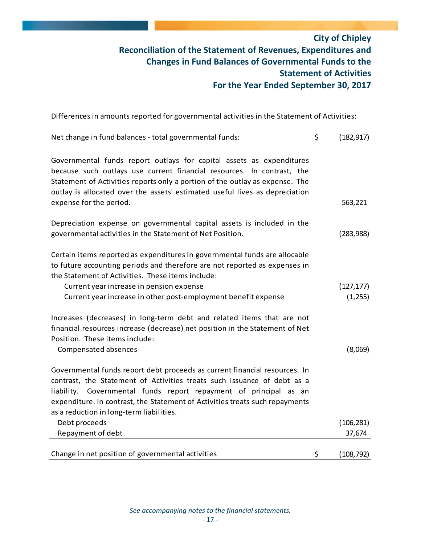### **City of Chipley Reconciliation of the Statement of Revenues, Expenditures and Changes in Fund Balances of Governmental Funds to the Statement of Activities For the Year Ended September 30, 2017**

Differences in amounts reported for governmental activities in the Statement of Activities:

| Net change in fund balances - total governmental funds:                                                                                                                                                                                                                                                                                                   | \$<br>(182, 917) |
|-----------------------------------------------------------------------------------------------------------------------------------------------------------------------------------------------------------------------------------------------------------------------------------------------------------------------------------------------------------|------------------|
| Governmental funds report outlays for capital assets as expenditures<br>because such outlays use current financial resources. In contrast, the<br>Statement of Activities reports only a portion of the outlay as expense. The<br>outlay is allocated over the assets' estimated useful lives as depreciation<br>expense for the period.                  | 563,221          |
| Depreciation expense on governmental capital assets is included in the<br>governmental activities in the Statement of Net Position.                                                                                                                                                                                                                       | (283,988)        |
| Certain items reported as expenditures in governmental funds are allocable<br>to future accounting periods and therefore are not reported as expenses in<br>the Statement of Activities. These items include:<br>Current year increase in pension expense                                                                                                 | (127, 177)       |
| Current year increase in other post-employment benefit expense                                                                                                                                                                                                                                                                                            | (1, 255)         |
| Increases (decreases) in long-term debt and related items that are not<br>financial resources increase (decrease) net position in the Statement of Net<br>Position. These items include:                                                                                                                                                                  |                  |
| Compensated absences                                                                                                                                                                                                                                                                                                                                      | (8,069)          |
| Governmental funds report debt proceeds as current financial resources. In<br>contrast, the Statement of Activities treats such issuance of debt as a<br>Governmental funds report repayment of principal as an<br>liability.<br>expenditure. In contrast, the Statement of Activities treats such repayments<br>as a reduction in long-term liabilities. |                  |
| Debt proceeds                                                                                                                                                                                                                                                                                                                                             | (106, 281)       |
| Repayment of debt                                                                                                                                                                                                                                                                                                                                         | 37,674           |
| Change in net position of governmental activities                                                                                                                                                                                                                                                                                                         | \$<br>(108, 792) |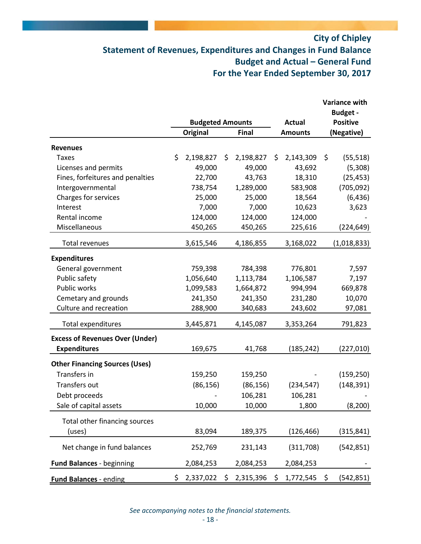## **City of Chipley Statement of Revenues, Expenditures and Changes in Fund Balance Budget and Actual – General Fund For the Year Ended September 30, 2017**

|                                        |                         |                 |    |                |                 | <b>Variance with</b><br><b>Budget -</b> |
|----------------------------------------|-------------------------|-----------------|----|----------------|-----------------|-----------------------------------------|
|                                        | <b>Budgeted Amounts</b> |                 |    | <b>Actual</b>  | <b>Positive</b> |                                         |
|                                        |                         | <b>Original</b> |    | <b>Final</b>   | <b>Amounts</b>  | (Negative)                              |
| <b>Revenues</b>                        |                         |                 |    |                |                 |                                         |
| <b>Taxes</b>                           | \$                      | 2,198,827       | \$ | 2,198,827      | \$<br>2,143,309 | \$<br>(55, 518)                         |
| Licenses and permits                   |                         | 49,000          |    | 49,000         | 43,692          | (5,308)                                 |
| Fines, forfeitures and penalties       |                         | 22,700          |    | 43,763         | 18,310          | (25, 453)                               |
| Intergovernmental                      |                         | 738,754         |    | 1,289,000      | 583,908         | (705, 092)                              |
| Charges for services                   |                         | 25,000          |    | 25,000         | 18,564          | (6, 436)                                |
| Interest                               |                         | 7,000           |    | 7,000          | 10,623          | 3,623                                   |
| Rental income                          |                         | 124,000         |    | 124,000        | 124,000         |                                         |
| Miscellaneous                          |                         | 450,265         |    | 450,265        | 225,616         | (224, 649)                              |
| Total revenues                         |                         | 3,615,546       |    | 4,186,855      | 3,168,022       | (1,018,833)                             |
| <b>Expenditures</b>                    |                         |                 |    |                |                 |                                         |
| General government                     |                         | 759,398         |    | 784,398        | 776,801         | 7,597                                   |
| Public safety                          |                         | 1,056,640       |    | 1,113,784      | 1,106,587       | 7,197                                   |
| Public works                           |                         | 1,099,583       |    | 1,664,872      | 994,994         | 669,878                                 |
| Cemetary and grounds                   |                         | 241,350         |    | 241,350        | 231,280         | 10,070                                  |
| Culture and recreation                 |                         | 288,900         |    | 340,683        | 243,602         | 97,081                                  |
| <b>Total expenditures</b>              |                         | 3,445,871       |    | 4,145,087      | 3,353,264       | 791,823                                 |
| <b>Excess of Revenues Over (Under)</b> |                         |                 |    |                |                 |                                         |
| <b>Expenditures</b>                    |                         | 169,675         |    | 41,768         | (185,242)       | (227, 010)                              |
| <b>Other Financing Sources (Uses)</b>  |                         |                 |    |                |                 |                                         |
| Transfers in                           |                         | 159,250         |    | 159,250        |                 | (159, 250)                              |
| Transfers out                          |                         | (86, 156)       |    | (86, 156)      | (234, 547)      | (148, 391)                              |
| Debt proceeds                          |                         |                 |    | 106,281        | 106,281         |                                         |
| Sale of capital assets                 |                         | 10,000          |    | 10,000         | 1,800           | (8, 200)                                |
| Total other financing sources          |                         |                 |    |                |                 |                                         |
| (uses)                                 |                         | 83,094          |    | 189,375        | (126, 466)      | (315, 841)                              |
| Net change in fund balances            |                         | 252,769         |    | 231,143        | (311,708)       | (542, 851)                              |
| <b>Fund Balances - beginning</b>       |                         | 2,084,253       |    | 2,084,253      | 2,084,253       |                                         |
| <b>Fund Balances - ending</b>          | \$.                     | $2,337,022$ \$  |    | $2,315,396$ \$ | $1,772,545$ \$  | (542, 851)                              |

*See accompanying notes to the financial statements.*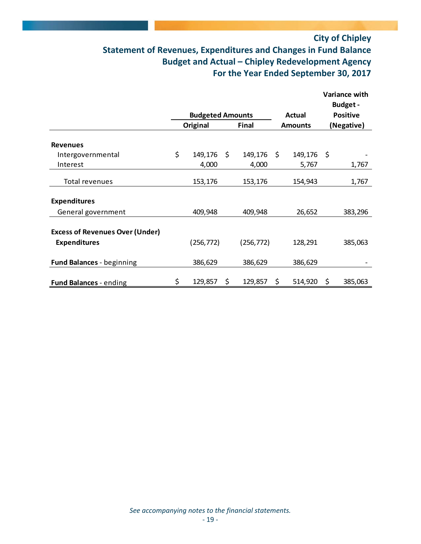## **City of Chipley Statement of Revenues, Expenditures and Changes in Fund Balance Budget and Actual – Chipley Redevelopment Agency For the Year Ended September 30, 2017**

|                                                               |                         |               |                    |      | Variance with<br><b>Budget-</b> |
|---------------------------------------------------------------|-------------------------|---------------|--------------------|------|---------------------------------|
|                                                               | <b>Budgeted Amounts</b> |               | Actual             |      | <b>Positive</b>                 |
|                                                               | Original                | <b>Final</b>  | <b>Amounts</b>     |      | (Negative)                      |
| <b>Revenues</b>                                               |                         |               |                    |      |                                 |
| Intergovernmental                                             | \$<br>149,176 \$        | 149,176       | \$<br>149,176      | - \$ |                                 |
| Interest                                                      | 4,000                   | 4,000         | 5,767              |      | 1,767                           |
| Total revenues                                                | 153,176                 | 153,176       | 154,943            |      | 1,767                           |
| <b>Expenditures</b>                                           |                         |               |                    |      |                                 |
| General government                                            | 409,948                 | 409,948       | 26,652             |      | 383,296                         |
| <b>Excess of Revenues Over (Under)</b><br><b>Expenditures</b> | (256, 772)              | (256, 772)    | 128,291            |      | 385,063                         |
| <b>Fund Balances - beginning</b>                              | 386,629                 | 386,629       | 386,629            |      |                                 |
| <b>Fund Balances - ending</b>                                 | \$<br>129,857           | \$<br>129,857 | \$<br>$514,920$ \$ |      | 385,063                         |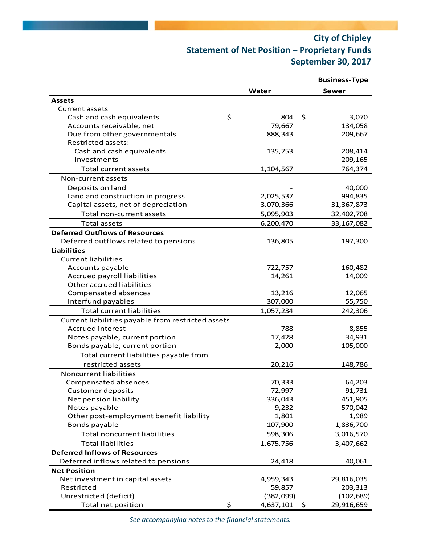## **City of Chipley Statement of Net Position – Proprietary Funds September 30, 2017**

|                                                    |                   | <b>Business-Type</b> |  |  |
|----------------------------------------------------|-------------------|----------------------|--|--|
|                                                    | Water             | Sewer                |  |  |
| <b>Assets</b>                                      |                   |                      |  |  |
| Current assets                                     |                   |                      |  |  |
| \$<br>Cash and cash equivalents                    | 804               | \$<br>3,070          |  |  |
| Accounts receivable, net                           | 79,667            | 134,058              |  |  |
| Due from other governmentals                       | 888,343           | 209,667              |  |  |
| Restricted assets:                                 |                   |                      |  |  |
| Cash and cash equivalents                          | 135,753           | 208,414              |  |  |
| Investments                                        |                   | 209,165              |  |  |
| Total current assets                               | 1,104,567         | 764,374              |  |  |
| Non-current assets                                 |                   |                      |  |  |
| Deposits on land                                   |                   | 40,000               |  |  |
| Land and construction in progress                  | 2,025,537         | 994,835              |  |  |
| Capital assets, net of depreciation                | 3,070,366         | 31,367,873           |  |  |
| Total non-current assets                           | 5,095,903         | 32,402,708           |  |  |
| <b>Total assets</b>                                | 6,200,470         | 33, 167, 082         |  |  |
| <b>Deferred Outflows of Resources</b>              |                   |                      |  |  |
| Deferred outflows related to pensions              | 136,805           | 197,300              |  |  |
| <b>Liabilities</b>                                 |                   |                      |  |  |
| <b>Current liabilities</b>                         |                   |                      |  |  |
| Accounts payable                                   | 722,757           | 160,482              |  |  |
| Accrued payroll liabilities                        | 14,261            | 14,009               |  |  |
| Other accrued liabilities                          |                   |                      |  |  |
| Compensated absences                               | 13,216            | 12,065               |  |  |
| Interfund payables                                 | 307,000           | 55,750               |  |  |
| <b>Total current liabilities</b>                   | 1,057,234         | 242,306              |  |  |
| Current liabilities payable from restricted assets |                   |                      |  |  |
| Accrued interest                                   | 788               | 8,855                |  |  |
| Notes payable, current portion                     | 17,428            | 34,931               |  |  |
| Bonds payable, current portion                     | 2,000             | 105,000              |  |  |
| Total current liabilities payable from             |                   |                      |  |  |
| restricted assets                                  | 20,216            |                      |  |  |
| Noncurrent liabilities                             |                   | 148,786              |  |  |
|                                                    |                   |                      |  |  |
| Compensated absences                               | 70,333            | 64,203               |  |  |
| <b>Customer deposits</b><br>Net pension liability  | 72,997<br>336,043 | 91,731<br>451,905    |  |  |
| Notes payable                                      | 9,232             | 570,042              |  |  |
| Other post-employment benefit liability            | 1,801             | 1,989                |  |  |
| Bonds payable                                      | 107,900           | 1,836,700            |  |  |
| <b>Total noncurrent liabilities</b>                | 598,306           | 3,016,570            |  |  |
|                                                    |                   |                      |  |  |
| <b>Total liabilities</b>                           | 1,675,756         | 3,407,662            |  |  |
| <b>Deferred Inflows of Resources</b>               |                   |                      |  |  |
| Deferred inflows related to pensions               | 24,418            | 40,061               |  |  |
| <b>Net Position</b>                                |                   |                      |  |  |
| Net investment in capital assets                   | 4,959,343         | 29,816,035           |  |  |
| Restricted                                         | 59,857            | 203,313              |  |  |
| Unrestricted (deficit)                             | (382,099)         | (102, 689)           |  |  |
| \$<br>Total net position                           | 4,637,101         | \$<br>29,916,659     |  |  |

*See accompanying notes to the financial statements.*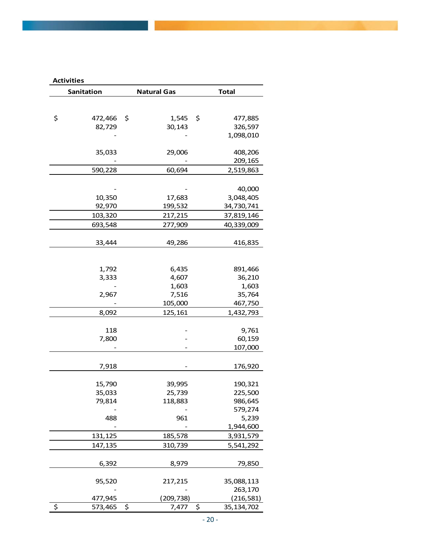| <b>Activities</b> |                    |                    |
|-------------------|--------------------|--------------------|
| Sanitation        | <b>Natural Gas</b> | <b>Total</b>       |
|                   |                    |                    |
|                   |                    |                    |
| \$<br>472,466     | \$<br>1,545        | \$<br>477,885      |
| 82,729            | 30,143             | 326,597            |
|                   |                    | 1,098,010          |
|                   |                    |                    |
| 35,033            | 29,006             | 408,206<br>209,165 |
| 590,228           | 60,694             | 2,519,863          |
|                   |                    |                    |
|                   |                    | 40,000             |
| 10,350            | 17,683             | 3,048,405          |
| 92,970            | 199,532            | 34,730,741         |
| 103,320           | 217,215            | 37,819,146         |
| 693,548           | 277,909            | 40,339,009         |
|                   |                    |                    |
| 33,444            | 49,286             | 416,835            |
|                   |                    |                    |
|                   |                    |                    |
| 1,792             | 6,435              | 891,466            |
| 3,333             | 4,607              | 36,210             |
|                   | 1,603              | 1,603              |
| 2,967             | 7,516              | 35,764             |
|                   | 105,000            | 467,750            |
| 8,092             | 125,161            | 1,432,793          |
|                   |                    |                    |
| 118               |                    | 9,761              |
| 7,800             |                    | 60,159             |
|                   |                    | 107,000            |
|                   |                    |                    |
| 7,918             |                    | 176,920            |
|                   |                    |                    |
| 15,790            | 39,995             | 190,321            |
| 35,033            | 25,739             | 225,500            |
| 79,814            | 118,883            | 986,645            |
|                   |                    | 579,274            |
| 488               | 961                | 5,239              |
|                   |                    | 1,944,600          |
| 131,125           | 185,578            | 3,931,579          |
| 147,135           | 310,739            | 5,541,292          |
| 6,392             | 8,979              | 79,850             |
|                   |                    |                    |
| 95,520            | 217,215            | 35,088,113         |
|                   |                    | 263,170            |
| 477,945           | (209, 738)         | (216, 581)         |
| \$<br>573,465     | \$<br>7,477        | \$<br>35, 134, 702 |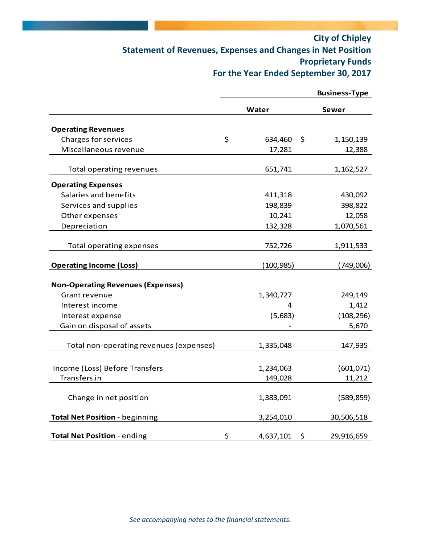## **City of Chipley Statement of Revenues, Expenses and Changes in Net Position Proprietary Funds For the Year Ended September 30, 2017**

|                                          |                 | <b>Business-Type</b> |
|------------------------------------------|-----------------|----------------------|
|                                          | Water           | Sewer                |
| <b>Operating Revenues</b>                |                 |                      |
| <b>Charges for services</b>              | \$<br>634,460   | $\zeta$<br>1,150,139 |
| Miscellaneous revenue                    | 17,281          | 12,388               |
| Total operating revenues                 | 651,741         | 1,162,527            |
| <b>Operating Expenses</b>                |                 |                      |
| Salaries and benefits                    | 411,318         | 430,092              |
| Services and supplies                    | 198,839         | 398,822              |
| Other expenses                           | 10,241          | 12,058               |
| Depreciation                             | 132,328         | 1,070,561            |
| Total operating expenses                 | 752,726         | 1,911,533            |
| <b>Operating Income (Loss)</b>           | (100, 985)      | (749,006)            |
| <b>Non-Operating Revenues (Expenses)</b> |                 |                      |
| Grant revenue                            | 1,340,727       | 249,149              |
| Interest income                          | 4               | 1,412                |
| Interest expense                         | (5,683)         | (108, 296)           |
| Gain on disposal of assets               |                 | 5,670                |
| Total non-operating revenues (expenses)  | 1,335,048       | 147,935              |
|                                          |                 |                      |
| Income (Loss) Before Transfers           | 1,234,063       | (601, 071)           |
| Transfers in                             | 149,028         | 11,212               |
| Change in net position                   | 1,383,091       | (589, 859)           |
| <b>Total Net Position - beginning</b>    | 3,254,010       | 30,506,518           |
| Total Net Position - ending              | \$<br>4,637,101 | 29,916,659<br>\$     |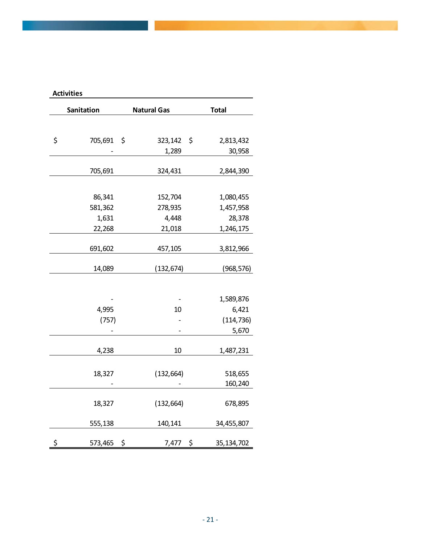| <b>Activities</b>   |                    |                        |
|---------------------|--------------------|------------------------|
| Sanitation          | <b>Natural Gas</b> | <b>Total</b>           |
|                     |                    |                        |
| \$<br>705,691 \$    | 323,142            | \$<br>2,813,432        |
|                     | 1,289              | 30,958                 |
| 705,691             | 324,431            | 2,844,390              |
|                     |                    |                        |
| 86,341              |                    |                        |
| 581,362             | 152,704<br>278,935 | 1,080,455<br>1,457,958 |
| 1,631               | 4,448              | 28,378                 |
| 22,268              | 21,018             | 1,246,175              |
|                     |                    |                        |
| 691,602             | 457,105            | 3,812,966              |
|                     |                    |                        |
| 14,089              | (132, 674)         | (968, 576)             |
|                     |                    |                        |
|                     |                    | 1,589,876              |
| 4,995               | 10                 | 6,421                  |
| (757)               |                    | (114, 736)             |
|                     |                    | 5,670                  |
| 4,238               | 10                 | 1,487,231              |
|                     |                    |                        |
| 18,327              | (132, 664)         | 518,655                |
|                     |                    | 160,240                |
|                     |                    |                        |
| 18,327              | (132, 664)         | 678,895                |
| 555,138             | 140,141            | 34,455,807             |
|                     |                    |                        |
| \$<br>\$<br>573,465 | 7,477              | \$<br>35, 134, 702     |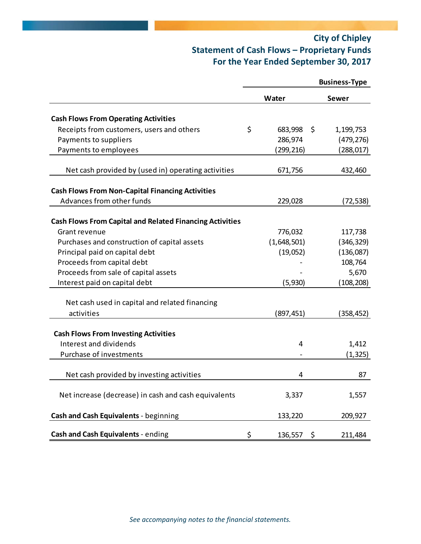## **City of Chipley Statement of Cash Flows – Proprietary Funds For the Year Ended September 30, 2017**

|                                                                 |                     | <b>Business-Type</b> |
|-----------------------------------------------------------------|---------------------|----------------------|
|                                                                 | Water               | Sewer                |
| <b>Cash Flows From Operating Activities</b>                     |                     |                      |
| Receipts from customers, users and others                       | \$<br>683,998<br>\$ | 1,199,753            |
| Payments to suppliers                                           | 286,974             | (479, 276)           |
| Payments to employees                                           | (299,216)           | (288, 017)           |
| Net cash provided by (used in) operating activities             | 671,756             | 432,460              |
| <b>Cash Flows From Non-Capital Financing Activities</b>         |                     |                      |
| Advances from other funds                                       | 229,028             | (72,538)             |
| <b>Cash Flows From Capital and Related Financing Activities</b> |                     |                      |
| Grant revenue                                                   | 776,032             | 117,738              |
| Purchases and construction of capital assets                    | (1,648,501)         | (346, 329)           |
| Principal paid on capital debt                                  | (19,052)            | (136,087)            |
| Proceeds from capital debt                                      |                     | 108,764              |
| Proceeds from sale of capital assets                            |                     | 5,670                |
| Interest paid on capital debt                                   | (5,930)             | (108, 208)           |
| Net cash used in capital and related financing                  |                     |                      |
| activities                                                      | (897,451)           | (358,452)            |
| <b>Cash Flows From Investing Activities</b>                     |                     |                      |
| Interest and dividends                                          | 4                   | 1,412                |
| Purchase of investments                                         |                     | (1, 325)             |
| Net cash provided by investing activities                       | 4                   | 87                   |
| Net increase (decrease) in cash and cash equivalents            | 3,337               | 1,557                |
| Cash and Cash Equivalents - beginning                           | 133,220             | 209,927              |
| Cash and Cash Equivalents - ending                              | \$<br>136,557<br>\$ | 211,484              |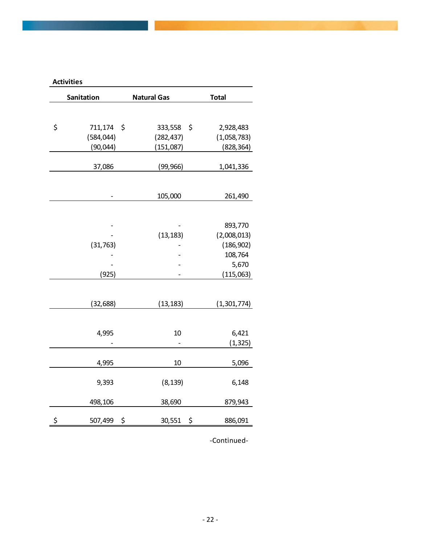| <b>Activities</b>   |                    |                   |
|---------------------|--------------------|-------------------|
| Sanitation          | <b>Natural Gas</b> | <b>Total</b>      |
|                     |                    |                   |
| \$<br>711,174<br>\$ | 333,558            | \$<br>2,928,483   |
| (584, 044)          | (282, 437)         | (1,058,783)       |
| (90, 044)           | (151,087)          | (828, 364)        |
| 37,086              | (99, 966)          | 1,041,336         |
|                     |                    |                   |
|                     | 105,000            | 261,490           |
|                     |                    |                   |
|                     |                    |                   |
|                     |                    | 893,770           |
|                     | (13, 183)          | (2,008,013)       |
| (31, 763)           |                    | (186, 902)        |
|                     |                    | 108,764<br>5,670  |
| (925)               |                    | (115,063)         |
|                     |                    |                   |
|                     |                    |                   |
| (32, 688)           | (13, 183)          | (1,301,774)       |
|                     |                    |                   |
|                     |                    |                   |
| 4,995               | 10                 | 6,421<br>(1, 325) |
|                     |                    |                   |
| 4,995               | 10                 | 5,096             |
|                     |                    |                   |
| 9,393               | (8, 139)           | 6,148             |
| 498,106             | 38,690             | 879,943           |
| \$<br>\$<br>507,499 | 30,551             | \$<br>886,091     |

‐Continued‐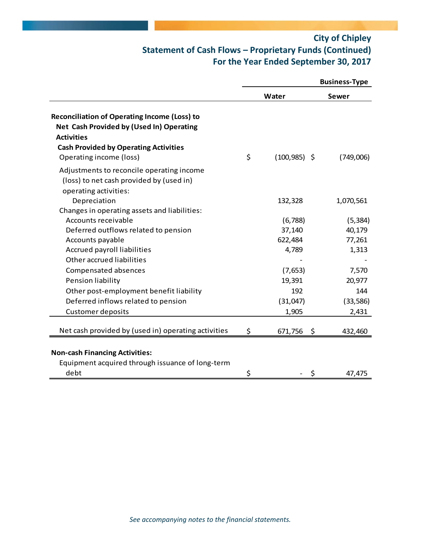## **City of Chipley Statement of Cash Flows – Proprietary Funds (Continued) For the Year Ended September 30, 2017**

|                                                                                                                      |                       | <b>Business-Type</b> |
|----------------------------------------------------------------------------------------------------------------------|-----------------------|----------------------|
|                                                                                                                      | Water                 | Sewer                |
| <b>Reconciliation of Operating Income (Loss) to</b><br>Net Cash Provided by (Used In) Operating<br><b>Activities</b> |                       |                      |
| <b>Cash Provided by Operating Activities</b>                                                                         |                       |                      |
| Operating income (loss)                                                                                              | \$<br>$(100, 985)$ \$ | (749,006)            |
| Adjustments to reconcile operating income<br>(loss) to net cash provided by (used in)<br>operating activities:       |                       |                      |
| Depreciation                                                                                                         | 132,328               | 1,070,561            |
| Changes in operating assets and liabilities:                                                                         |                       |                      |
| Accounts receivable                                                                                                  | (6, 788)              | (5, 384)             |
| Deferred outflows related to pension                                                                                 | 37,140                | 40,179               |
| Accounts payable                                                                                                     | 622,484               | 77,261               |
| Accrued payroll liabilities                                                                                          | 4,789                 | 1,313                |
| Other accrued liabilities                                                                                            |                       |                      |
| Compensated absences                                                                                                 | (7,653)               | 7,570                |
| Pension liability                                                                                                    | 19,391                | 20,977               |
| Other post-employment benefit liability                                                                              | 192                   | 144                  |
| Deferred inflows related to pension                                                                                  | (31,047)              | (33, 586)            |
| <b>Customer deposits</b>                                                                                             | 1,905                 | 2,431                |
| Net cash provided by (used in) operating activities                                                                  | \$<br>671,756         | \$<br>432,460        |
| <b>Non-cash Financing Activities:</b>                                                                                |                       |                      |
| Equipment acquired through issuance of long-term                                                                     |                       |                      |
| debt                                                                                                                 | \$                    | 47,475               |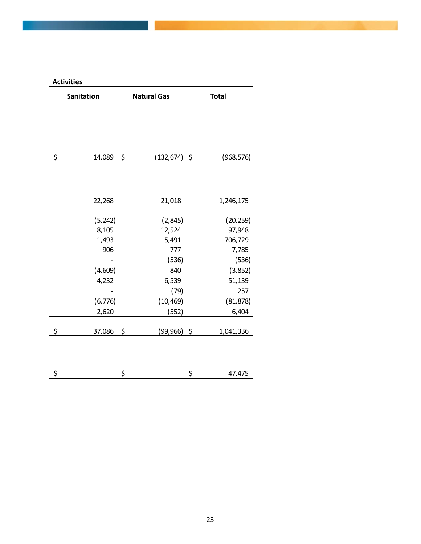| Sanitation         | <b>Natural Gas</b> | <b>Total</b> |
|--------------------|--------------------|--------------|
|                    |                    |              |
|                    |                    |              |
|                    |                    |              |
|                    |                    |              |
| \$<br>14,089<br>\$ | $(132, 674)$ \$    | (968, 576)   |
|                    |                    |              |
|                    |                    |              |
| 22,268             | 21,018             | 1,246,175    |
| (5, 242)           | (2, 845)           | (20, 259)    |
| 8,105              | 12,524             | 97,948       |
| 1,493              | 5,491              | 706,729      |
| 906                | 777                | 7,785        |
|                    | (536)              | (536)        |
| (4,609)            | 840                | (3,852)      |
| 4,232              | 6,539              | 51,139       |
|                    | (79)               | 257          |
| (6, 776)           | (10, 469)          | (81, 878)    |
| 2,620              | (552)              | 6,404        |
|                    |                    |              |
| \$<br>37,086 \$    | $(99,966)$ \$      | 1,041,336    |
|                    |                    |              |
|                    |                    |              |
| \$<br>\$           | \$                 | 47,475       |

**Activities**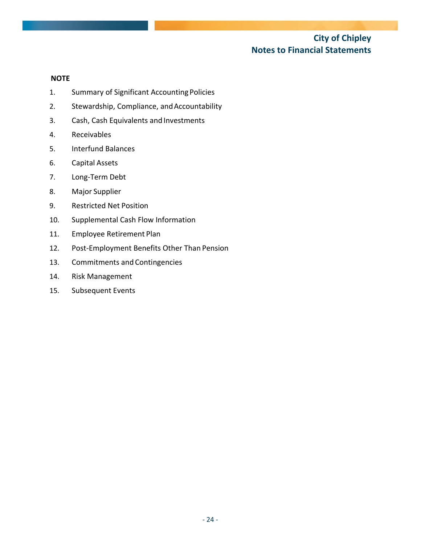### **City of Chipley Notes to Financial Statements**

#### **NOTE**

- 1. Summary of Significant Accounting Policies
- 2. Stewardship, Compliance, and Accountability
- 3. Cash, Cash Equivalents and Investments
- 4. Receivables
- 5. Interfund Balances
- 6. Capital Assets
- 7. Long‐Term Debt
- 8. Major Supplier
- 9. Restricted Net Position
- 10. Supplemental Cash Flow Information
- 11. Employee Retirement Plan
- 12. Post-Employment Benefits Other Than Pension
- 13. Commitments and Contingencies
- 14. Risk Management
- 15. Subsequent Events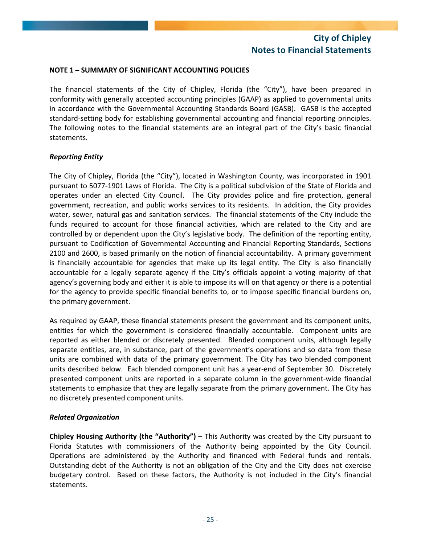#### **NOTE 1 – SUMMARY OF SIGNIFICANT ACCOUNTING POLICIES**

The financial statements of the City of Chipley, Florida (the "City"), have been prepared in conformity with generally accepted accounting principles (GAAP) as applied to governmental units in accordance with the Governmental Accounting Standards Board (GASB). GASB is the accepted standard‐setting body for establishing governmental accounting and financial reporting principles. The following notes to the financial statements are an integral part of the City's basic financial statements.

#### *Reporting Entity*

The City of Chipley, Florida (the "City"), located in Washington County, was incorporated in 1901 pursuant to 5077‐1901 Laws of Florida. The City is a political subdivision of the State of Florida and operates under an elected City Council. The City provides police and fire protection, general government, recreation, and public works services to its residents. In addition, the City provides water, sewer, natural gas and sanitation services. The financial statements of the City include the funds required to account for those financial activities, which are related to the City and are controlled by or dependent upon the City's legislative body. The definition of the reporting entity, pursuant to Codification of Governmental Accounting and Financial Reporting Standards, Sections 2100 and 2600, is based primarily on the notion of financial accountability. A primary government is financially accountable for agencies that make up its legal entity. The City is also financially accountable for a legally separate agency if the City's officials appoint a voting majority of that agency's governing body and either it is able to impose its will on that agency or there is a potential for the agency to provide specific financial benefits to, or to impose specific financial burdens on, the primary government.

As required by GAAP, these financial statements present the government and its component units, entities for which the government is considered financially accountable. Component units are reported as either blended or discretely presented. Blended component units, although legally separate entities, are, in substance, part of the government's operations and so data from these units are combined with data of the primary government. The City has two blended component units described below. Each blended component unit has a year‐end of September 30. Discretely presented component units are reported in a separate column in the government‐wide financial statements to emphasize that they are legally separate from the primary government. The City has no discretely presented component units.

#### *Related Organization*

**Chipley Housing Authority (the "Authority")** – This Authority was created by the City pursuant to Florida Statutes with commissioners of the Authority being appointed by the City Council. Operations are administered by the Authority and financed with Federal funds and rentals. Outstanding debt of the Authority is not an obligation of the City and the City does not exercise budgetary control. Based on these factors, the Authority is not included in the City's financial statements.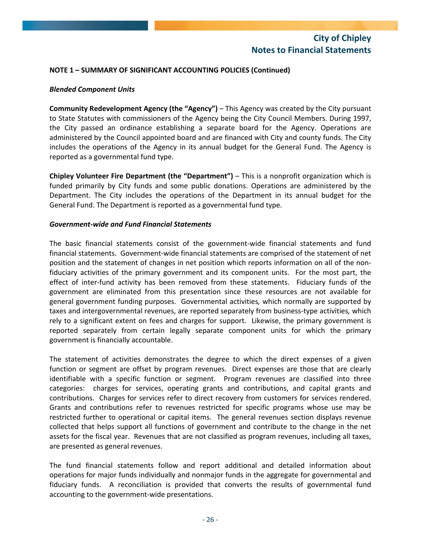#### **NOTE 1 – SUMMARY OF SIGNIFICANT ACCOUNTING POLICIES (Continued)**

#### *Blended Component Units*

**Community Redevelopment Agency (the "Agency")** – This Agency was created by the City pursuant to State Statutes with commissioners of the Agency being the City Council Members. During 1997, the City passed an ordinance establishing a separate board for the Agency. Operations are administered by the Council appointed board and are financed with City and county funds. The City includes the operations of the Agency in its annual budget for the General Fund. The Agency is reported as a governmental fund type.

**Chipley Volunteer Fire Department (the "Department")** – This is a nonprofit organization which is funded primarily by City funds and some public donations. Operations are administered by the Department. The City includes the operations of the Department in its annual budget for the General Fund. The Department is reported as a governmental fund type.

#### *Government‐wide and Fund Financial Statements*

The basic financial statements consist of the government‐wide financial statements and fund financial statements. Government‐wide financial statements are comprised of the statement of net position and the statement of changes in net position which reports information on all of the non‐ fiduciary activities of the primary government and its component units. For the most part, the effect of inter-fund activity has been removed from these statements. Fiduciary funds of the government are eliminated from this presentation since these resources are not available for general government funding purposes. Governmental activities*,* which normally are supported by taxes and intergovernmental revenues, are reported separately from business‐type activities*,* which rely to a significant extent on fees and charges for support. Likewise, the primary government is reported separately from certain legally separate component units for which the primary government is financially accountable.

The statement of activities demonstrates the degree to which the direct expenses of a given function or segment are offset by program revenues. Direct expenses are those that are clearly identifiable with a specific function or segment. Program revenues are classified into three categories: charges for services, operating grants and contributions, and capital grants and contributions. Charges for services refer to direct recovery from customers for services rendered. Grants and contributions refer to revenues restricted for specific programs whose use may be restricted further to operational or capital items. The general revenues section displays revenue collected that helps support all functions of government and contribute to the change in the net assets for the fiscal year. Revenues that are not classified as program revenues, including all taxes, are presented as general revenues.

The fund financial statements follow and report additional and detailed information about operations for major funds individually and nonmajor funds in the aggregate for governmental and fiduciary funds. A reconciliation is provided that converts the results of governmental fund accounting to the government‐wide presentations.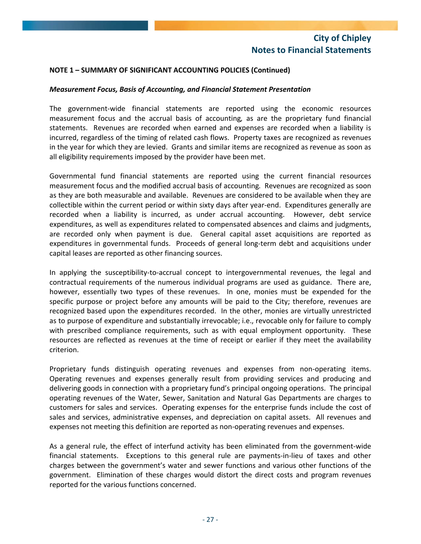## **NOTE 1 – SUMMARY OF SIGNIFICANT ACCOUNTING POLICIES (Continued)**

#### *Measurement Focus, Basis of Accounting, and Financial Statement Presentation*

The government‐wide financial statements are reported using the economic resources measurement focus and the accrual basis of accounting*,* as are the proprietary fund financial statements. Revenues are recorded when earned and expenses are recorded when a liability is incurred, regardless of the timing of related cash flows. Property taxes are recognized as revenues in the year for which they are levied. Grants and similar items are recognized as revenue as soon as all eligibility requirements imposed by the provider have been met.

Governmental fund financial statements are reported using the current financial resources measurement focus and the modified accrual basis of accounting*.* Revenues are recognized as soon as they are both measurable and available. Revenues are considered to be available when they are collectible within the current period or within sixty days after year-end. Expenditures generally are recorded when a liability is incurred, as under accrual accounting. However, debt service expenditures, as well as expenditures related to compensated absences and claims and judgments, are recorded only when payment is due. General capital asset acquisitions are reported as expenditures in governmental funds. Proceeds of general long-term debt and acquisitions under capital leases are reported as other financing sources.

In applying the susceptibility-to-accrual concept to intergovernmental revenues, the legal and contractual requirements of the numerous individual programs are used as guidance. There are, however, essentially two types of these revenues. In one, monies must be expended for the specific purpose or project before any amounts will be paid to the City; therefore, revenues are recognized based upon the expenditures recorded. In the other, monies are virtually unrestricted as to purpose of expenditure and substantially irrevocable; i.e., revocable only for failure to comply with prescribed compliance requirements, such as with equal employment opportunity. These resources are reflected as revenues at the time of receipt or earlier if they meet the availability criterion.

Proprietary funds distinguish operating revenues and expenses from non-operating items. Operating revenues and expenses generally result from providing services and producing and delivering goods in connection with a proprietary fund's principal ongoing operations. The principal operating revenues of the Water, Sewer, Sanitation and Natural Gas Departments are charges to customers for sales and services. Operating expenses for the enterprise funds include the cost of sales and services, administrative expenses, and depreciation on capital assets. All revenues and expenses not meeting this definition are reported as non‐operating revenues and expenses.

As a general rule, the effect of interfund activity has been eliminated from the government‐wide financial statements. Exceptions to this general rule are payments-in-lieu of taxes and other charges between the government's water and sewer functions and various other functions of the government. Elimination of these charges would distort the direct costs and program revenues reported for the various functions concerned.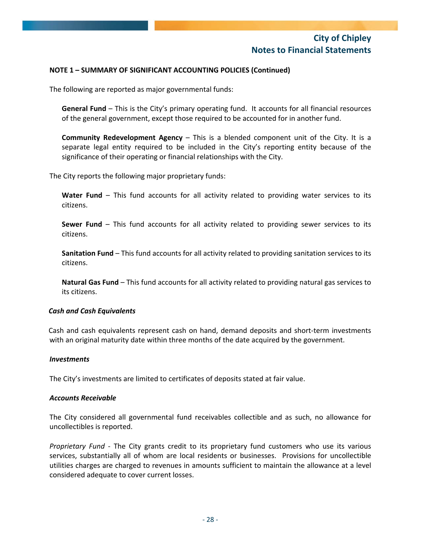## **NOTE 1 – SUMMARY OF SIGNIFICANT ACCOUNTING POLICIES (Continued)**

The following are reported as major governmental funds:

**General Fund** – This is the City's primary operating fund. It accounts for all financial resources of the general government, except those required to be accounted for in another fund.

**Community Redevelopment Agency** – This is a blended component unit of the City. It is a separate legal entity required to be included in the City's reporting entity because of the significance of their operating or financial relationships with the City.

The City reports the following major proprietary funds:

**Water Fund** – This fund accounts for all activity related to providing water services to its citizens.

**Sewer Fund** – This fund accounts for all activity related to providing sewer services to its citizens.

**Sanitation Fund** – This fund accounts for all activity related to providing sanitation services to its citizens.

**Natural Gas Fund** – This fund accounts for all activity related to providing natural gas services to its citizens.

#### *Cash and Cash Equivalents*

Cash and cash equivalents represent cash on hand, demand deposits and short‐term investments with an original maturity date within three months of the date acquired by the government.

#### *Investments*

The City's investments are limited to certificates of deposits stated at fair value.

#### *Accounts Receivable*

The City considered all governmental fund receivables collectible and as such, no allowance for uncollectibles is reported.

*Proprietary Fund* ‐ The City grants credit to its proprietary fund customers who use its various services, substantially all of whom are local residents or businesses. Provisions for uncollectible utilities charges are charged to revenues in amounts sufficient to maintain the allowance at a level considered adequate to cover current losses.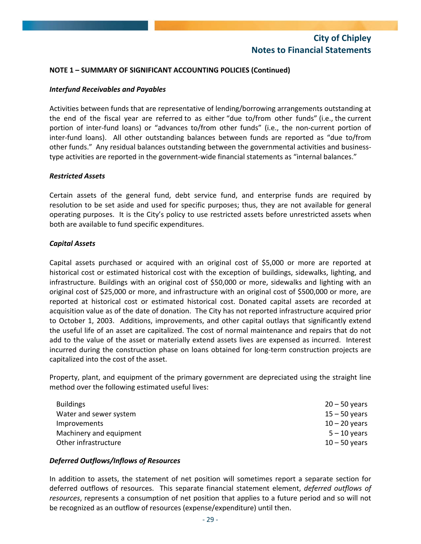## **NOTE 1 – SUMMARY OF SIGNIFICANT ACCOUNTING POLICIES (Continued)**

## *Interfund Receivables and Payables*

Activities between funds that are representative of lending/borrowing arrangements outstanding at the end of the fiscal year are referred to as either "due to/from other funds" (i.e., the current portion of inter-fund loans) or "advances to/from other funds" (i.e., the non-current portion of inter-fund loans). All other outstanding balances between funds are reported as "due to/from other funds." Any residual balances outstanding between the governmental activities and businesstype activities are reported in the government-wide financial statements as "internal balances."

#### *Restricted Assets*

Certain assets of the general fund, debt service fund, and enterprise funds are required by resolution to be set aside and used for specific purposes; thus, they are not available for general operating purposes. It is the City's policy to use restricted assets before unrestricted assets when both are available to fund specific expenditures.

#### *Capital Assets*

Capital assets purchased or acquired with an original cost of \$5,000 or more are reported at historical cost or estimated historical cost with the exception of buildings, sidewalks, lighting, and infrastructure. Buildings with an original cost of \$50,000 or more, sidewalks and lighting with an original cost of \$25,000 or more, and infrastructure with an original cost of \$500,000 or more, are reported at historical cost or estimated historical cost. Donated capital assets are recorded at acquisition value as of the date of donation. The City has not reported infrastructure acquired prior to October 1, 2003. Additions, improvements, and other capital outlays that significantly extend the useful life of an asset are capitalized. The cost of normal maintenance and repairs that do not add to the value of the asset or materially extend assets lives are expensed as incurred. Interest incurred during the construction phase on loans obtained for long‐term construction projects are capitalized into the cost of the asset.

Property, plant, and equipment of the primary government are depreciated using the straight line method over the following estimated useful lives:

| <b>Buildings</b>        | $20 - 50$ years |
|-------------------------|-----------------|
| Water and sewer system  | $15 - 50$ years |
| <i>Improvements</i>     | $10 - 20$ years |
| Machinery and equipment | $5 - 10$ years  |
| Other infrastructure    | $10 - 50$ years |

## *Deferred Outflows/Inflows of Resources*

In addition to assets, the statement of net position will sometimes report a separate section for deferred outflows of resources. This separate financial statement element, *deferred outflows of resources*, represents a consumption of net position that applies to a future period and so will not be recognized as an outflow of resources (expense/expenditure) until then.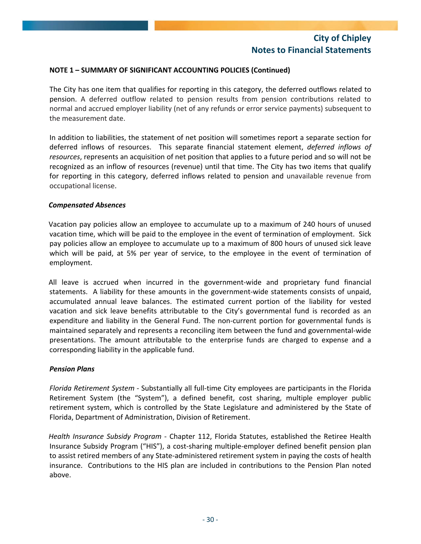## **NOTE 1 – SUMMARY OF SIGNIFICANT ACCOUNTING POLICIES (Continued)**

The City has one item that qualifies for reporting in this category, the deferred outflows related to pension. A deferred outflow related to pension results from pension contributions related to normal and accrued employer liability (net of any refunds or error service payments) subsequent to the measurement date.

In addition to liabilities, the statement of net position will sometimes report a separate section for deferred inflows of resources. This separate financial statement element, *deferred inflows of resources*, represents an acquisition of net position that applies to a future period and so will not be recognized as an inflow of resources (revenue) until that time. The City has two items that qualify for reporting in this category, deferred inflows related to pension and unavailable revenue from occupational license.

#### *Compensated Absences*

Vacation pay policies allow an employee to accumulate up to a maximum of 240 hours of unused vacation time, which will be paid to the employee in the event of termination of employment. Sick pay policies allow an employee to accumulate up to a maximum of 800 hours of unused sick leave which will be paid, at 5% per year of service, to the employee in the event of termination of employment.

All leave is accrued when incurred in the government‐wide and proprietary fund financial statements. A liability for these amounts in the government-wide statements consists of unpaid, accumulated annual leave balances. The estimated current portion of the liability for vested vacation and sick leave benefits attributable to the City's governmental fund is recorded as an expenditure and liability in the General Fund. The non-current portion for governmental funds is maintained separately and represents a reconciling item between the fund and governmental‐wide presentations. The amount attributable to the enterprise funds are charged to expense and a corresponding liability in the applicable fund.

## *Pension Plans*

*Florida Retirement System ‐* Substantially all full‐time City employees are participants in the Florida Retirement System (the "System"), a defined benefit, cost sharing, multiple employer public retirement system, which is controlled by the State Legislature and administered by the State of Florida, Department of Administration, Division of Retirement.

*Health Insurance Subsidy Program* ‐ Chapter 112, Florida Statutes, established the Retiree Health Insurance Subsidy Program ("HIS"), a cost‐sharing multiple‐employer defined benefit pension plan to assist retired members of any State‐administered retirement system in paying the costs of health insurance. Contributions to the HIS plan are included in contributions to the Pension Plan noted above.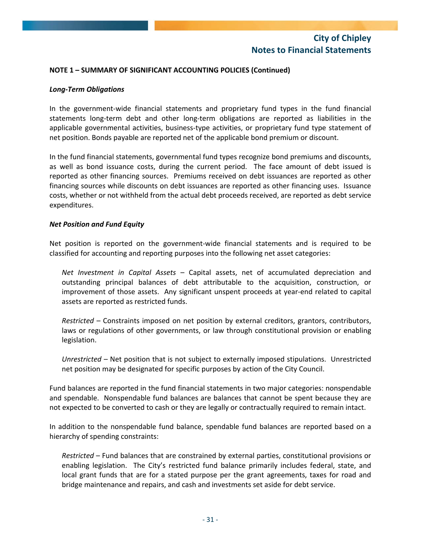## **NOTE 1 – SUMMARY OF SIGNIFICANT ACCOUNTING POLICIES (Continued)**

## *Long‐Term Obligations*

In the government-wide financial statements and proprietary fund types in the fund financial statements long‐term debt and other long‐term obligations are reported as liabilities in the applicable governmental activities, business-type activities, or proprietary fund type statement of net position. Bonds payable are reported net of the applicable bond premium or discount.

In the fund financial statements, governmental fund types recognize bond premiums and discounts, as well as bond issuance costs, during the current period. The face amount of debt issued is reported as other financing sources. Premiums received on debt issuances are reported as other financing sources while discounts on debt issuances are reported as other financing uses. Issuance costs, whether or not withheld from the actual debt proceeds received, are reported as debt service expenditures.

#### *Net Position and Fund Equity*

Net position is reported on the government‐wide financial statements and is required to be classified for accounting and reporting purposes into the following net asset categories:

*Net Investment in Capital Assets* – Capital assets, net of accumulated depreciation and outstanding principal balances of debt attributable to the acquisition, construction, or improvement of those assets. Any significant unspent proceeds at year‐end related to capital assets are reported as restricted funds.

*Restricted* – Constraints imposed on net position by external creditors, grantors, contributors, laws or regulations of other governments, or law through constitutional provision or enabling legislation.

*Unrestricted* – Net position that is not subject to externally imposed stipulations. Unrestricted net position may be designated for specific purposes by action of the City Council.

Fund balances are reported in the fund financial statements in two major categories: nonspendable and spendable. Nonspendable fund balances are balances that cannot be spent because they are not expected to be converted to cash or they are legally or contractually required to remain intact.

In addition to the nonspendable fund balance, spendable fund balances are reported based on a hierarchy of spending constraints:

*Restricted* – Fund balances that are constrained by external parties, constitutional provisions or enabling legislation. The City's restricted fund balance primarily includes federal, state, and local grant funds that are for a stated purpose per the grant agreements, taxes for road and bridge maintenance and repairs, and cash and investments set aside for debt service.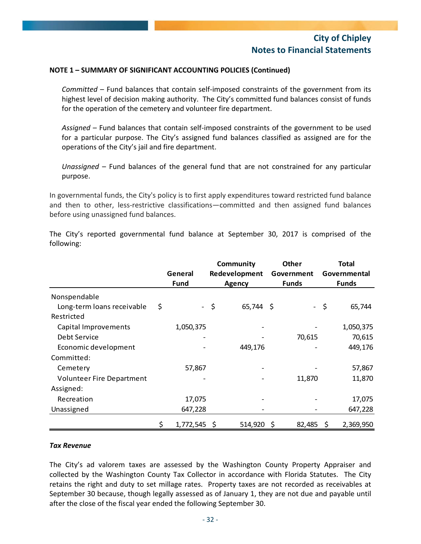## **NOTE 1 – SUMMARY OF SIGNIFICANT ACCOUNTING POLICIES (Continued)**

*Committed* – Fund balances that contain self‐imposed constraints of the government from its highest level of decision making authority. The City's committed fund balances consist of funds for the operation of the cemetery and volunteer fire department.

*Assigned* – Fund balances that contain self‐imposed constraints of the government to be used for a particular purpose. The City's assigned fund balances classified as assigned are for the operations of the City's jail and fire department.

*Unassigned* – Fund balances of the general fund that are not constrained for any particular purpose.

In governmental funds, the City's policy is to first apply expenditures toward restricted fund balance and then to other, less-restrictive classifications—committed and then assigned fund balances before using unassigned fund balances.

The City's reported governmental fund balance at September 30, 2017 is comprised of the following:

|                                  |                      | Community |               |  | <b>Other</b> |              | <b>Total</b> |  |
|----------------------------------|----------------------|-----------|---------------|--|--------------|--------------|--------------|--|
|                                  | General              |           | Redevelopment |  | Government   |              | Governmental |  |
|                                  | Fund                 |           | <b>Agency</b> |  | <b>Funds</b> | <b>Funds</b> |              |  |
| Nonspendable                     |                      |           |               |  |              |              |              |  |
| Long-term loans receivable       | \$                   | - \$      | 65,744 \$     |  |              | - \$         | 65,744       |  |
| Restricted                       |                      |           |               |  |              |              |              |  |
| Capital Improvements             | 1,050,375            |           |               |  |              |              | 1,050,375    |  |
| Debt Service                     |                      |           |               |  | 70,615       |              | 70,615       |  |
| Economic development             |                      |           | 449,176       |  |              |              | 449,176      |  |
| Committed:                       |                      |           |               |  |              |              |              |  |
| Cemetery                         | 57,867               |           |               |  |              |              | 57,867       |  |
| <b>Volunteer Fire Department</b> |                      |           |               |  | 11,870       |              | 11,870       |  |
| Assigned:                        |                      |           |               |  |              |              |              |  |
| Recreation                       | 17,075               |           |               |  |              |              | 17,075       |  |
| Unassigned                       | 647,228              |           |               |  |              |              | 647,228      |  |
|                                  | \$<br>$1,772,545$ \$ |           | 514,920 \$    |  | 82,485       | -\$          | 2,369,950    |  |

## *Tax Revenue*

The City's ad valorem taxes are assessed by the Washington County Property Appraiser and collected by the Washington County Tax Collector in accordance with Florida Statutes. The City retains the right and duty to set millage rates. Property taxes are not recorded as receivables at September 30 because, though legally assessed as of January 1, they are not due and payable until after the close of the fiscal year ended the following September 30.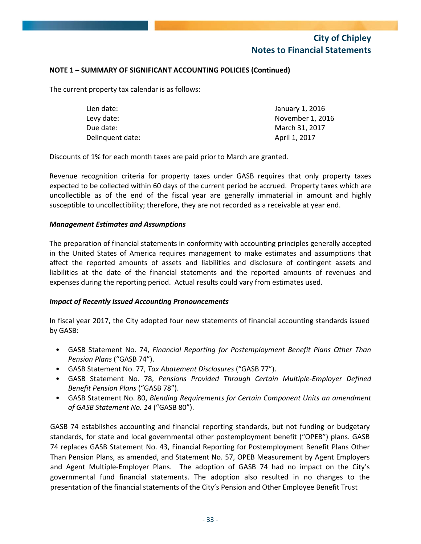## **NOTE 1 – SUMMARY OF SIGNIFICANT ACCOUNTING POLICIES (Continued)**

The current property tax calendar is as follows:

| Lien date:       | January 1, 2016  |
|------------------|------------------|
| Levy date:       | November 1, 2016 |
| Due date:        | March 31, 2017   |
| Delinguent date: | April 1, 2017    |

Discounts of 1% for each month taxes are paid prior to March are granted.

Revenue recognition criteria for property taxes under GASB requires that only property taxes expected to be collected within 60 days of the current period be accrued. Property taxes which are uncollectible as of the end of the fiscal year are generally immaterial in amount and highly susceptible to uncollectibility; therefore, they are not recorded as a receivable at year end.

#### *Management Estimates and Assumptions*

The preparation of financial statements in conformity with accounting principles generally accepted in the United States of America requires management to make estimates and assumptions that affect the reported amounts of assets and liabilities and disclosure of contingent assets and liabilities at the date of the financial statements and the reported amounts of revenues and expenses during the reporting period. Actual results could vary from estimates used.

## *Impact of Recently Issued Accounting Pronouncements*

In fiscal year 2017, the City adopted four new statements of financial accounting standards issued by GASB:

- GASB Statement No. 74, *Financial Reporting for Postemployment Benefit Plans Other Than Pension Plans* ("GASB 74").
- GASB Statement No. 77, *Tax Abatement Disclosures* ("GASB 77").
- GASB Statement No. 78, *Pensions Provided Through Certain Multiple‐Employer Defined Benefit Pension Plans* ("GASB 78").
- GASB Statement No. 80, *Blending Requirements for Certain Component Units an amendment of GASB Statement No. 14* ("GASB 80").

GASB 74 establishes accounting and financial reporting standards, but not funding or budgetary standards, for state and local governmental other postemployment benefit ("OPEB") plans. GASB 74 replaces GASB Statement No. 43, Financial Reporting for Postemployment Benefit Plans Other Than Pension Plans, as amended, and Statement No. 57, OPEB Measurement by Agent Employers and Agent Multiple-Employer Plans. The adoption of GASB 74 had no impact on the City's governmental fund financial statements. The adoption also resulted in no changes to the presentation of the financial statements of the City's Pension and Other Employee Benefit Trust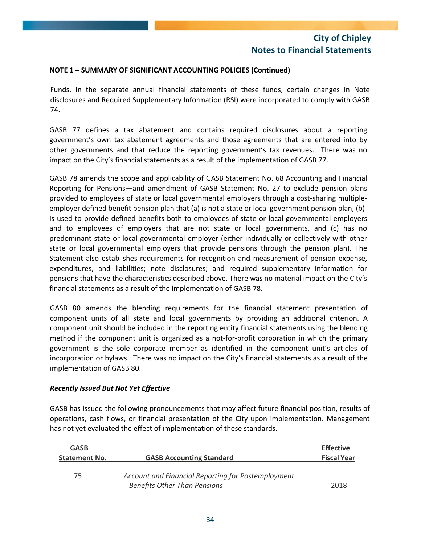## **NOTE 1 – SUMMARY OF SIGNIFICANT ACCOUNTING POLICIES (Continued)**

Funds. In the separate annual financial statements of these funds, certain changes in Note disclosures and Required Supplementary Information (RSI) were incorporated to comply with GASB 74.

GASB 77 defines a tax abatement and contains required disclosures about a reporting government's own tax abatement agreements and those agreements that are entered into by other governments and that reduce the reporting government's tax revenues. There was no impact on the City's financial statements as a result of the implementation of GASB 77.

GASB 78 amends the scope and applicability of GASB Statement No. 68 Accounting and Financial Reporting for Pensions—and amendment of GASB Statement No. 27 to exclude pension plans provided to employees of state or local governmental employers through a cost‐sharing multiple‐ employer defined benefit pension plan that (a) is not a state or local government pension plan, (b) is used to provide defined benefits both to employees of state or local governmental employers and to employees of employers that are not state or local governments, and (c) has no predominant state or local governmental employer (either individually or collectively with other state or local governmental employers that provide pensions through the pension plan). The Statement also establishes requirements for recognition and measurement of pension expense, expenditures, and liabilities; note disclosures; and required supplementary information for pensions that have the characteristics described above. There was no material impact on the City's financial statements as a result of the implementation of GASB 78.

GASB 80 amends the blending requirements for the financial statement presentation of component units of all state and local governments by providing an additional criterion. A component unit should be included in the reporting entity financial statements using the blending method if the component unit is organized as a not-for-profit corporation in which the primary government is the sole corporate member as identified in the component unit's articles of incorporation or bylaws. There was no impact on the City's financial statements as a result of the implementation of GASB 80.

## *Recently Issued But Not Yet Effective*

GASB has issued the following pronouncements that may affect future financial position, results of operations, cash flows, or financial presentation of the City upon implementation. Management has not yet evaluated the effect of implementation of these standards.

| <b>GASB</b>          |                                                    | <b>Effective</b>   |
|----------------------|----------------------------------------------------|--------------------|
| <b>Statement No.</b> | <b>GASB Accounting Standard</b>                    | <b>Fiscal Year</b> |
| 75                   | Account and Financial Reporting for Postemployment |                    |
|                      | <b>Benefits Other Than Pensions</b>                | 2018               |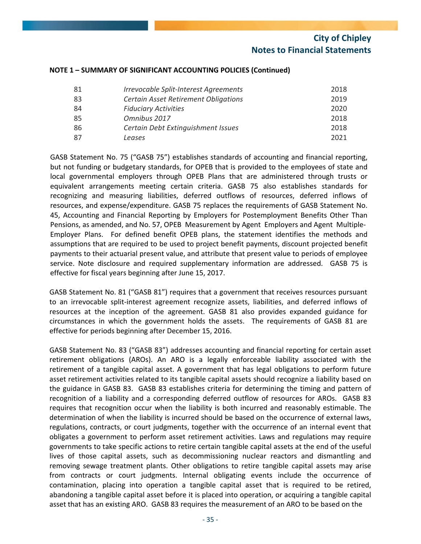| 81 | Irrevocable Split-Interest Agreements       | 2018 |
|----|---------------------------------------------|------|
| 83 | <b>Certain Asset Retirement Obligations</b> | 2019 |
| 84 | <b>Fiduciary Activities</b>                 | 2020 |
| 85 | Omnibus 2017                                | 2018 |
| 86 | Certain Debt Extinguishment Issues          | 2018 |
| 87 | Leases                                      | 2021 |

#### **NOTE 1 – SUMMARY OF SIGNIFICANT ACCOUNTING POLICIES (Continued)**

GASB Statement No. 75 ("GASB 75") establishes standards of accounting and financial reporting, but not funding or budgetary standards, for OPEB that is provided to the employees of state and local governmental employers through OPEB Plans that are administered through trusts or equivalent arrangements meeting certain criteria. GASB 75 also establishes standards for recognizing and measuring liabilities, deferred outflows of resources, deferred inflows of resources, and expense/expenditure. GASB 75 replaces the requirements of GASB Statement No. 45, Accounting and Financial Reporting by Employers for Postemployment Benefits Other Than Pensions, as amended, and No. 57, OPEB Measurement by Agent Employers and Agent Multiple‐ Employer Plans. For defined benefit OPEB plans, the statement identifies the methods and assumptions that are required to be used to project benefit payments, discount projected benefit payments to their actuarial present value, and attribute that present value to periods of employee service. Note disclosure and required supplementary information are addressed. GASB 75 is effective for fiscal years beginning after June 15, 2017.

GASB Statement No. 81 ("GASB 81") requires that a government that receives resources pursuant to an irrevocable split-interest agreement recognize assets, liabilities, and deferred inflows of resources at the inception of the agreement. GASB 81 also provides expanded guidance for circumstances in which the government holds the assets. The requirements of GASB 81 are effective for periods beginning after December 15, 2016.

GASB Statement No. 83 ("GASB 83") addresses accounting and financial reporting for certain asset retirement obligations (AROs). An ARO is a legally enforceable liability associated with the retirement of a tangible capital asset. A government that has legal obligations to perform future asset retirement activities related to its tangible capital assets should recognize a liability based on the guidance in GASB 83. GASB 83 establishes criteria for determining the timing and pattern of recognition of a liability and a corresponding deferred outflow of resources for AROs. GASB 83 requires that recognition occur when the liability is both incurred and reasonably estimable. The determination of when the liability is incurred should be based on the occurrence of external laws, regulations, contracts, or court judgments, together with the occurrence of an internal event that obligates a government to perform asset retirement activities. Laws and regulations may require governments to take specific actions to retire certain tangible capital assets at the end of the useful lives of those capital assets, such as decommissioning nuclear reactors and dismantling and removing sewage treatment plants. Other obligations to retire tangible capital assets may arise from contracts or court judgments. Internal obligating events include the occurrence of contamination, placing into operation a tangible capital asset that is required to be retired, abandoning a tangible capital asset before it is placed into operation, or acquiring a tangible capital asset that has an existing ARO. GASB 83 requires the measurement of an ARO to be based on the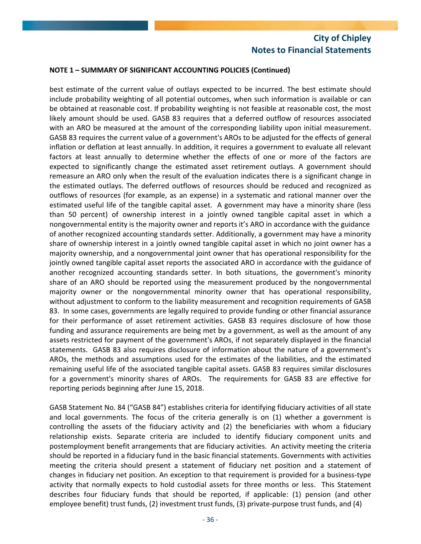## **NOTE 1 – SUMMARY OF SIGNIFICANT ACCOUNTING POLICIES (Continued)**

best estimate of the current value of outlays expected to be incurred. The best estimate should include probability weighting of all potential outcomes, when such information is available or can be obtained at reasonable cost. If probability weighting is not feasible at reasonable cost, the most likely amount should be used. GASB 83 requires that a deferred outflow of resources associated with an ARO be measured at the amount of the corresponding liability upon initial measurement. GASB 83 requires the current value of a government's AROs to be adjusted for the effects of general inflation or deflation at least annually. In addition, it requires a government to evaluate all relevant factors at least annually to determine whether the effects of one or more of the factors are expected to significantly change the estimated asset retirement outlays. A government should remeasure an ARO only when the result of the evaluation indicates there is a significant change in the estimated outlays. The deferred outflows of resources should be reduced and recognized as outflows of resources (for example, as an expense) in a systematic and rational manner over the estimated useful life of the tangible capital asset. A government may have a minority share (less than 50 percent) of ownership interest in a jointly owned tangible capital asset in which a nongovernmental entity is the majority owner and reports it's ARO in accordance with the guidance of another recognized accounting standards setter. Additionally, a government may have a minority share of ownership interest in a jointly owned tangible capital asset in which no joint owner has a majority ownership, and a nongovernmental joint owner that has operational responsibility for the jointly owned tangible capital asset reports the associated ARO in accordance with the guidance of another recognized accounting standards setter. In both situations, the government's minority share of an ARO should be reported using the measurement produced by the nongovernmental majority owner or the nongovernmental minority owner that has operational responsibility, without adjustment to conform to the liability measurement and recognition requirements of GASB 83. In some cases, governments are legally required to provide funding or other financial assurance for their performance of asset retirement activities. GASB 83 requires disclosure of how those funding and assurance requirements are being met by a government, as well as the amount of any assets restricted for payment of the government's AROs, if not separately displayed in the financial statements. GASB 83 also requires disclosure of information about the nature of a government's AROs, the methods and assumptions used for the estimates of the liabilities, and the estimated remaining useful life of the associated tangible capital assets. GASB 83 requires similar disclosures for a government's minority shares of AROs. The requirements for GASB 83 are effective for reporting periods beginning after June 15, 2018.

GASB Statement No. 84 ("GASB 84") establishes criteria for identifying fiduciary activities of all state and local governments. The focus of the criteria generally is on (1) whether a government is controlling the assets of the fiduciary activity and (2) the beneficiaries with whom a fiduciary relationship exists. Separate criteria are included to identify fiduciary component units and postemployment benefit arrangements that are fiduciary activities. An activity meeting the criteria should be reported in a fiduciary fund in the basic financial statements. Governments with activities meeting the criteria should present a statement of fiduciary net position and a statement of changes in fiduciary net position. An exception to that requirement is provided for a business‐type activity that normally expects to hold custodial assets for three months or less. This Statement describes four fiduciary funds that should be reported, if applicable: (1) pension (and other employee benefit) trust funds, (2) investment trust funds, (3) private-purpose trust funds, and (4)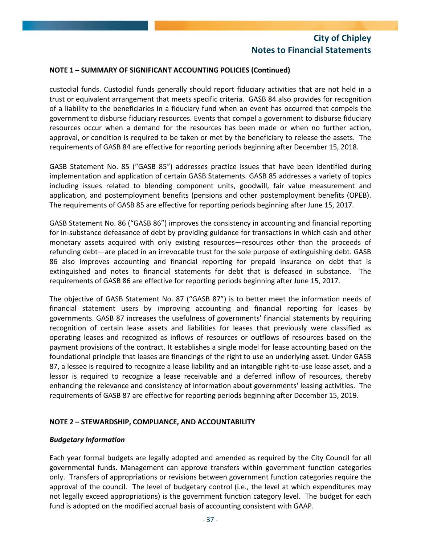## **NOTE 1 – SUMMARY OF SIGNIFICANT ACCOUNTING POLICIES (Continued)**

custodial funds. Custodial funds generally should report fiduciary activities that are not held in a trust or equivalent arrangement that meets specific criteria. GASB 84 also provides for recognition of a liability to the beneficiaries in a fiduciary fund when an event has occurred that compels the government to disburse fiduciary resources. Events that compel a government to disburse fiduciary resources occur when a demand for the resources has been made or when no further action, approval, or condition is required to be taken or met by the beneficiary to release the assets. The requirements of GASB 84 are effective for reporting periods beginning after December 15, 2018.

GASB Statement No. 85 ("GASB 85") addresses practice issues that have been identified during implementation and application of certain GASB Statements. GASB 85 addresses a variety of topics including issues related to blending component units, goodwill, fair value measurement and application, and postemployment benefits (pensions and other postemployment benefits (OPEB). The requirements of GASB 85 are effective for reporting periods beginning after June 15, 2017.

GASB Statement No. 86 ("GASB 86") improves the consistency in accounting and financial reporting for in‐substance defeasance of debt by providing guidance for transactions in which cash and other monetary assets acquired with only existing resources—resources other than the proceeds of refunding debt—are placed in an irrevocable trust for the sole purpose of extinguishing debt. GASB 86 also improves accounting and financial reporting for prepaid insurance on debt that is extinguished and notes to financial statements for debt that is defeased in substance. The requirements of GASB 86 are effective for reporting periods beginning after June 15, 2017.

The objective of GASB Statement No. 87 ("GASB 87") is to better meet the information needs of financial statement users by improving accounting and financial reporting for leases by governments. GASB 87 increases the usefulness of governments' financial statements by requiring recognition of certain lease assets and liabilities for leases that previously were classified as operating leases and recognized as inflows of resources or outflows of resources based on the payment provisions of the contract. It establishes a single model for lease accounting based on the foundational principle that leases are financings of the right to use an underlying asset. Under GASB 87, a lessee is required to recognize a lease liability and an intangible right-to-use lease asset, and a lessor is required to recognize a lease receivable and a deferred inflow of resources, thereby enhancing the relevance and consistency of information about governments' leasing activities. The requirements of GASB 87 are effective for reporting periods beginning after December 15, 2019.

## **NOTE 2 – STEWARDSHIP, COMPLIANCE, AND ACCOUNTABILITY**

## *Budgetary Information*

Each year formal budgets are legally adopted and amended as required by the City Council for all governmental funds. Management can approve transfers within government function categories only. Transfers of appropriations or revisions between government function categories require the approval of the council. The level of budgetary control (i.e., the level at which expenditures may not legally exceed appropriations) is the government function category level. The budget for each fund is adopted on the modified accrual basis of accounting consistent with GAAP.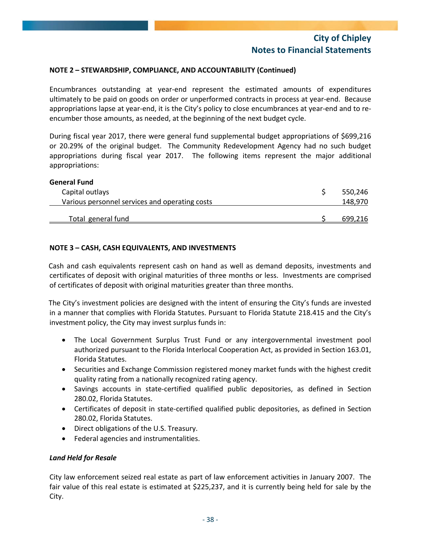## **NOTE 2 – STEWARDSHIP, COMPLIANCE, AND ACCOUNTABILITY (Continued)**

Encumbrances outstanding at year‐end represent the estimated amounts of expenditures ultimately to be paid on goods on order or unperformed contracts in process at year‐end. Because appropriations lapse at year-end, it is the City's policy to close encumbrances at year-end and to reencumber those amounts, as needed, at the beginning of the next budget cycle.

During fiscal year 2017, there were general fund supplemental budget appropriations of \$699,216 or 20.29% of the original budget. The Community Redevelopment Agency had no such budget appropriations during fiscal year 2017. The following items represent the major additional appropriations:

| <b>General Fund</b>                            |         |
|------------------------------------------------|---------|
| Capital outlays                                | 550,246 |
| Various personnel services and operating costs | 148,970 |
| Total general fund                             | 699.216 |

## **NOTE 3 – CASH, CASH EQUIVALENTS, AND INVESTMENTS**

Cash and cash equivalents represent cash on hand as well as demand deposits, investments and certificates of deposit with original maturities of three months or less. Investments are comprised of certificates of deposit with original maturities greater than three months.

The City's investment policies are designed with the intent of ensuring the City's funds are invested in a manner that complies with Florida Statutes. Pursuant to Florida Statute 218.415 and the City's investment policy, the City may invest surplus funds in:

- The Local Government Surplus Trust Fund or any intergovernmental investment pool authorized pursuant to the Florida Interlocal Cooperation Act, as provided in Section 163.01, Florida Statutes.
- Securities and Exchange Commission registered money market funds with the highest credit quality rating from a nationally recognized rating agency.
- Savings accounts in state‐certified qualified public depositories, as defined in Section 280.02, Florida Statutes.
- Certificates of deposit in state-certified qualified public depositories, as defined in Section 280.02, Florida Statutes.
- Direct obligations of the U.S. Treasury.
- Federal agencies and instrumentalities.

## *Land Held for Resale*

City law enforcement seized real estate as part of law enforcement activities in January 2007. The fair value of this real estate is estimated at \$225,237, and it is currently being held for sale by the City.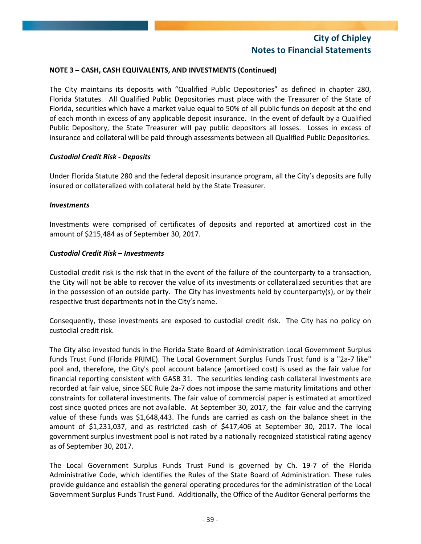## **NOTE 3 – CASH, CASH EQUIVALENTS, AND INVESTMENTS (Continued)**

The City maintains its deposits with "Qualified Public Depositories" as defined in chapter 280, Florida Statutes. All Qualified Public Depositories must place with the Treasurer of the State of Florida, securities which have a market value equal to 50% of all public funds on deposit at the end of each month in excess of any applicable deposit insurance. In the event of default by a Qualified Public Depository, the State Treasurer will pay public depositors all losses. Losses in excess of insurance and collateral will be paid through assessments between all Qualified Public Depositories.

## *Custodial Credit Risk ‐ Deposits*

Under Florida Statute 280 and the federal deposit insurance program, all the City's deposits are fully insured or collateralized with collateral held by the State Treasurer.

#### *Investments*

Investments were comprised of certificates of deposits and reported at amortized cost in the amount of \$215,484 as of September 30, 2017.

#### *Custodial Credit Risk – Investments*

Custodial credit risk is the risk that in the event of the failure of the counterparty to a transaction, the City will not be able to recover the value of its investments or collateralized securities that are in the possession of an outside party. The City has investments held by counterparty(s), or by their respective trust departments not in the City's name.

Consequently, these investments are exposed to custodial credit risk. The City has no policy on custodial credit risk.

The City also invested funds in the Florida State Board of Administration Local Government Surplus funds Trust Fund (Florida PRIME). The Local Government Surplus Funds Trust fund is a "2a‐7 like" pool and, therefore, the City's pool account balance (amortized cost) is used as the fair value for financial reporting consistent with GASB 31. The securities lending cash collateral investments are recorded at fair value, since SEC Rule 2a-7 does not impose the same maturity limitations and other constraints for collateral investments. The fair value of commercial paper is estimated at amortized cost since quoted prices are not available. At September 30, 2017, the fair value and the carrying value of these funds was \$1,648,443. The funds are carried as cash on the balance sheet in the amount of \$1,231,037, and as restricted cash of \$417,406 at September 30, 2017. The local government surplus investment pool is not rated by a nationally recognized statistical rating agency as of September 30, 2017.

The Local Government Surplus Funds Trust Fund is governed by Ch. 19‐7 of the Florida Administrative Code, which identifies the Rules of the State Board of Administration. These rules provide guidance and establish the general operating procedures for the administration of the Local Government Surplus Funds Trust Fund. Additionally, the Office of the Auditor General performs the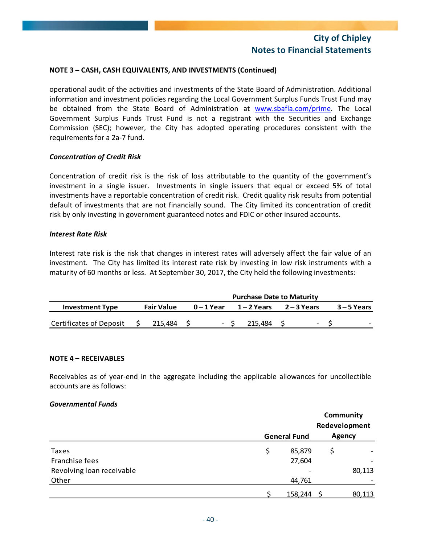## **NOTE 3 – CASH, CASH EQUIVALENTS, AND INVESTMENTS (Continued)**

operational audit of the activities and investments of the State Board of Administration. Additional information and investment policies regarding the Local Government Surplus Funds Trust Fund may be obtained from the State Board of Administration at www.sbafla.com/prime. The Local Government Surplus Funds Trust Fund is not a registrant with the Securities and Exchange Commission (SEC); however, the City has adopted operating procedures consistent with the requirements for a 2a‐7 fund.

#### *Concentration of Credit Risk*

Concentration of credit risk is the risk of loss attributable to the quantity of the government's investment in a single issuer. Investments in single issuers that equal or exceed 5% of total investments have a reportable concentration of credit risk. Credit quality risk results from potential default of investments that are not financially sound. The City limited its concentration of credit risk by only investing in government guaranteed notes and FDIC or other insured accounts.

#### *Interest Rate Risk*

Interest rate risk is the risk that changes in interest rates will adversely affect the fair value of an investment. The City has limited its interest rate risk by investing in low risk instruments with a maturity of 60 months or less. At September 30, 2017, the City held the following investments:

|                                | <b>Purchase Date to Maturity</b> |         |  |            |             |         |             |                          |               |  |  |
|--------------------------------|----------------------------------|---------|--|------------|-------------|---------|-------------|--------------------------|---------------|--|--|
| <b>Investment Type</b>         | <b>Fair Value</b>                |         |  | 0 – 1 Year | 1 – 2 Years |         | 2 – 3 Years |                          | $3 - 5$ Years |  |  |
|                                |                                  |         |  |            |             |         |             |                          |               |  |  |
| <b>Certificates of Deposit</b> |                                  | 215.484 |  |            |             | 215.484 |             | $\overline{\phantom{0}}$ |               |  |  |

#### **NOTE 4 – RECEIVABLES**

Receivables as of year‐end in the aggregate including the applicable allowances for uncollectible accounts are as follows:

#### *Governmental Funds*

|                           |                     |   | Community<br>Redevelopment |  |  |  |
|---------------------------|---------------------|---|----------------------------|--|--|--|
|                           | <b>General Fund</b> |   |                            |  |  |  |
| Taxes                     | \$<br>85,879        | Ş |                            |  |  |  |
| Franchise fees            | 27,604              |   |                            |  |  |  |
| Revolving loan receivable |                     |   | 80,113                     |  |  |  |
| Other                     | 44,761              |   |                            |  |  |  |
|                           | 158,244             |   | 80,113                     |  |  |  |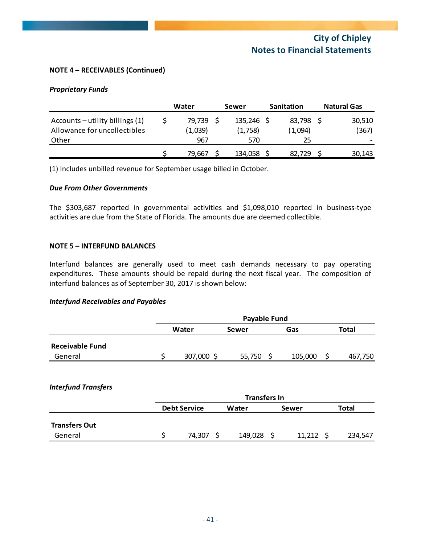## **NOTE 4 – RECEIVABLES (Continued)**

#### *Proprietary Funds*

|                                                                 | Water | Sewer             | <b>Sanitation</b>     | <b>Natural Gas</b> |  |                 |
|-----------------------------------------------------------------|-------|-------------------|-----------------------|--------------------|--|-----------------|
| Accounts – utility billings (1)<br>Allowance for uncollectibles |       | 79,739<br>(1,039) | 135,246 \$<br>(1,758) | 83,798<br>(1,094)  |  | 30,510<br>(367) |
| Other                                                           |       | 967               | 570                   | 25                 |  |                 |
|                                                                 |       | 79.667            | 134,058               | 82.729             |  | 30,143          |

(1) Includes unbilled revenue for September usage billed in October.

#### *Due From Other Governments*

The \$303,687 reported in governmental activities and \$1,098,010 reported in business-type activities are due from the State of Florida. The amounts due are deemed collectible.

#### **NOTE 5 – INTERFUND BALANCES**

Interfund balances are generally used to meet cash demands necessary to pay operating expenditures. These amounts should be repaid during the next fiscal year. The composition of interfund balances as of September 30, 2017 is shown below:

#### *Interfund Receivables and Payables*

|                        |       | <b>Payable Fund</b> |        |  |         |  |              |  |  |  |  |  |
|------------------------|-------|---------------------|--------|--|---------|--|--------------|--|--|--|--|--|
|                        | Water |                     | Sewer  |  | Gas     |  | <b>Total</b> |  |  |  |  |  |
| <b>Receivable Fund</b> |       |                     |        |  |         |  |              |  |  |  |  |  |
| General                |       | 307,000             | 55,750 |  | 105,000 |  | 467,750      |  |  |  |  |  |

## *Interfund Transfers*

|                      | <b>Transfers In</b> |  |         |        |       |         |  |  |  |  |  |
|----------------------|---------------------|--|---------|--------|-------|---------|--|--|--|--|--|
|                      | <b>Debt Service</b> |  | Water   | Sewer  | Total |         |  |  |  |  |  |
| <b>Transfers Out</b> |                     |  |         |        |       |         |  |  |  |  |  |
| General              | 74.307              |  | 149,028 | 11,212 |       | 234,547 |  |  |  |  |  |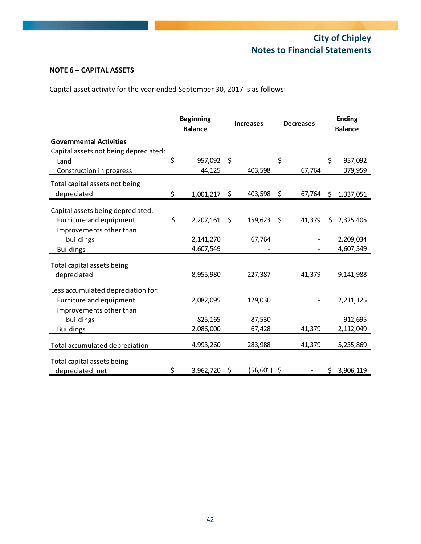## **NOTE 6 – CAPITAL ASSETS**

Capital asset activity for the year ended September 30, 2017 is as follows:

|                                       | <b>Beginning</b><br><b>Balance</b> |           | <b>Increases</b> |             |    | <b>Decreases</b> |    | <b>Ending</b><br><b>Balance</b> |
|---------------------------------------|------------------------------------|-----------|------------------|-------------|----|------------------|----|---------------------------------|
| <b>Governmental Activities</b>        |                                    |           |                  |             |    |                  |    |                                 |
| Capital assets not being depreciated: |                                    |           |                  |             |    |                  |    |                                 |
| Land                                  | \$                                 | 957,092   | \$               |             | \$ |                  | Ś. | 957,092                         |
| Construction in progress              |                                    | 44,125    |                  | 403,598     |    | 67,764           |    | 379,959                         |
| Total capital assets not being        |                                    |           |                  |             |    |                  |    |                                 |
| depreciated                           | \$                                 | 1,001,217 | \$               | 403,598     | \$ | 67,764           | \$ | 1,337,051                       |
| Capital assets being depreciated:     |                                    |           |                  |             |    |                  |    |                                 |
| Furniture and equipment               | \$                                 | 2,207,161 | \$               | 159,623     | \$ | 41,379           | Ś. | 2,325,405                       |
| Improvements other than               |                                    |           |                  |             |    |                  |    |                                 |
| buildings                             |                                    | 2,141,270 |                  | 67,764      |    |                  |    | 2,209,034                       |
| <b>Buildings</b>                      |                                    | 4,607,549 |                  |             |    |                  |    | 4,607,549                       |
|                                       |                                    |           |                  |             |    |                  |    |                                 |
| Total capital assets being            |                                    |           |                  |             |    |                  |    |                                 |
| depreciated                           |                                    | 8,955,980 |                  | 227,387     |    | 41,379           |    | 9,141,988                       |
| Less accumulated depreciation for:    |                                    |           |                  |             |    |                  |    |                                 |
| Furniture and equipment               |                                    | 2,082,095 |                  | 129,030     |    |                  |    | 2,211,125                       |
|                                       |                                    |           |                  |             |    |                  |    |                                 |
| Improvements other than               |                                    | 825,165   |                  | 87,530      |    |                  |    | 912,695                         |
| buildings                             |                                    | 2,086,000 |                  | 67,428      |    | 41,379           |    | 2,112,049                       |
| <b>Buildings</b>                      |                                    |           |                  |             |    |                  |    |                                 |
| Total accumulated depreciation        |                                    | 4,993,260 |                  | 283,988     |    | 41,379           |    | 5,235,869                       |
| Total capital assets being            |                                    |           |                  |             |    |                  |    |                                 |
| depreciated, net                      | \$                                 | 3,962,720 | \$               | (56,601) \$ |    |                  |    | \$3,906,119                     |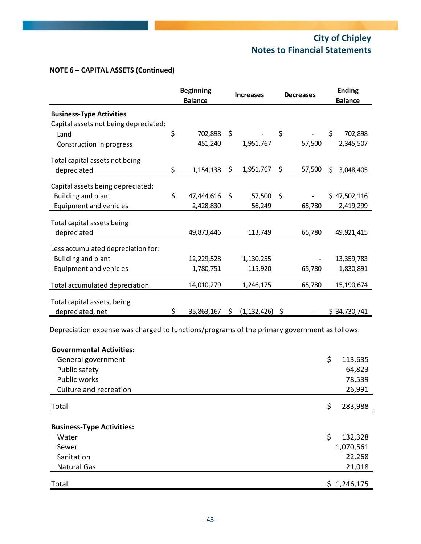## **NOTE 6 – CAPITAL ASSETS (Continued)**

|                                                                          | <b>Beginning</b> |                | <b>Increases</b> |               | <b>Decreases</b> |        |     | <b>Ending</b>  |
|--------------------------------------------------------------------------|------------------|----------------|------------------|---------------|------------------|--------|-----|----------------|
|                                                                          |                  | <b>Balance</b> |                  |               |                  |        |     | <b>Balance</b> |
| <b>Business-Type Activities</b><br>Capital assets not being depreciated: |                  |                |                  |               |                  |        |     |                |
| Land                                                                     | \$               | 702,898        | $\zeta$          |               | \$               |        | \$  | 702,898        |
| Construction in progress                                                 |                  | 451,240        |                  | 1,951,767     |                  | 57,500 |     | 2,345,507      |
| Total capital assets not being                                           |                  |                |                  |               |                  |        |     |                |
| depreciated                                                              | \$               | 1,154,138      | \$               | 1,951,767     | \$               | 57,500 | \$. | 3,048,405      |
| Capital assets being depreciated:<br>Building and plant                  | \$               | 47,444,616     | -\$              | 57,500        | $\zeta$          |        |     | \$47,502,116   |
| Equipment and vehicles                                                   |                  | 2,428,830      |                  | 56,249        |                  | 65,780 |     | 2,419,299      |
| Total capital assets being<br>depreciated                                |                  | 49,873,446     |                  | 113,749       |                  | 65,780 |     | 49,921,415     |
| Less accumulated depreciation for:                                       |                  |                |                  |               |                  |        |     |                |
| Building and plant                                                       |                  | 12,229,528     |                  | 1,130,255     |                  |        |     | 13,359,783     |
| <b>Equipment and vehicles</b>                                            |                  | 1,780,751      |                  | 115,920       |                  | 65,780 |     | 1,830,891      |
| Total accumulated depreciation                                           |                  | 14,010,279     |                  | 1,246,175     |                  | 65,780 |     | 15,190,674     |
| Total capital assets, being<br>depreciated, net                          |                  | 35,863,167     | \$               | (1, 132, 426) |                  |        |     | \$34,730,741   |

Depreciation expense was charged to functions/programs of the primary government as follows:

| <b>Governmental Activities:</b>  |               |
|----------------------------------|---------------|
| General government               | \$<br>113,635 |
| Public safety                    | 64,823        |
| <b>Public works</b>              | 78,539        |
| Culture and recreation           | 26,991        |
| Total                            | \$<br>283,988 |
| <b>Business-Type Activities:</b> |               |
| Water                            | \$<br>132,328 |
| Sewer                            | 1,070,561     |
| Sanitation                       | 22,268        |
| <b>Natural Gas</b>               | 21,018        |
| Total                            | \$1,246,175   |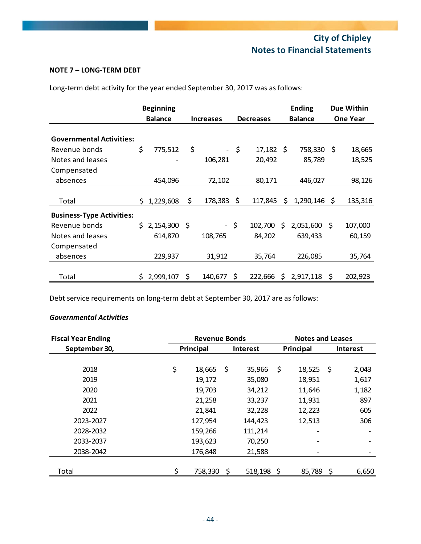## **NOTE 7 – LONG‐TERM DEBT**

Long‐term debt activity for the year ended September 30, 2017 was as follows:

|                                  |    | <b>Beginning</b> |     |                  |      |                  |                | <b>Ending</b> |                 | Due Within |
|----------------------------------|----|------------------|-----|------------------|------|------------------|----------------|---------------|-----------------|------------|
|                                  |    | <b>Balance</b>   |     | <b>Increases</b> |      | <b>Decreases</b> | <b>Balance</b> |               | <b>One Year</b> |            |
| <b>Governmental Activities:</b>  |    |                  |     |                  |      |                  |                |               |                 |            |
| Revenue bonds                    | \$ | 775,512          | \$  |                  | $-5$ | $17,182 \div$    |                | 758,330 \$    |                 | 18,665     |
| Notes and leases                 |    |                  |     | 106,281          |      | 20,492           |                | 85,789        |                 | 18,525     |
| Compensated                      |    |                  |     |                  |      |                  |                |               |                 |            |
| absences                         |    | 454,096          |     | 72,102           |      | 80,171           |                | 446,027       |                 | 98,126     |
| Total                            |    | \$1,229,608      | \$  | 178,383          | \$   | 117,845          | \$             | 1,290,146     | S               | 135,316    |
| <b>Business-Type Activities:</b> |    |                  |     |                  |      |                  |                |               |                 |            |
| Revenue bonds                    | S. | 2,154,300        | -\$ | -\$              |      | 102,700          | S              | 2,051,600     | S               | 107,000    |
| Notes and leases                 |    | 614,870          |     | 108,765          |      | 84,202           |                | 639,433       |                 | 60,159     |
| Compensated                      |    |                  |     |                  |      |                  |                |               |                 |            |
| absences                         |    | 229,937          |     | 31,912           |      | 35,764           |                | 226,085       |                 | 35,764     |
| Total                            | S. | 2,999,107        | \$. | 140,677          | S    | 222,666          | S              | 2,917,118     | S               | 202,923    |

Debt service requirements on long-term debt at September 30, 2017 are as follows:

## *Governmental Activities*

| <b>Fiscal Year Ending</b> | <b>Revenue Bonds</b> |                 |         | <b>Notes and Leases</b> |        |          |       |
|---------------------------|----------------------|-----------------|---------|-------------------------|--------|----------|-------|
| September 30,             | Principal            | <b>Interest</b> |         | Principal               |        | Interest |       |
|                           |                      |                 |         |                         |        |          |       |
| 2018                      | \$<br>18,665         | -\$             | 35,966  | \$                      | 18,525 | - \$     | 2,043 |
| 2019                      | 19,172               |                 | 35,080  |                         | 18,951 |          | 1,617 |
| 2020                      | 19,703               |                 | 34,212  |                         | 11,646 |          | 1,182 |
| 2021                      | 21,258               |                 | 33,237  |                         | 11,931 |          | 897   |
| 2022                      | 21,841               |                 | 32,228  |                         | 12,223 |          | 605   |
| 2023-2027                 | 127,954              |                 | 144,423 |                         | 12,513 |          | 306   |
| 2028-2032                 | 159,266              |                 | 111,214 |                         |        |          |       |
| 2033-2037                 | 193,623              |                 | 70,250  |                         |        |          |       |
| 2038-2042                 | 176,848              |                 | 21,588  |                         |        |          |       |
|                           |                      |                 |         |                         |        |          |       |
| Total                     | \$<br>758,330        | \$.             | 518,198 | -S                      | 85,789 | \$       | 6,650 |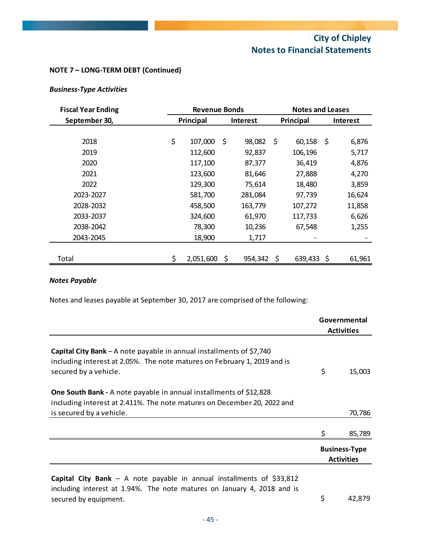## **NOTE 7 – LONG‐TERM DEBT (Continued)**

## *Business‐Type Activities*

| <b>Fiscal Year Ending</b> | <b>Revenue Bonds</b> |                 |         |           | <b>Notes and Leases</b> |     |                 |  |
|---------------------------|----------------------|-----------------|---------|-----------|-------------------------|-----|-----------------|--|
| September 30,             | Principal            | <b>Interest</b> |         | Principal |                         |     | <b>Interest</b> |  |
|                           |                      |                 |         |           |                         |     |                 |  |
| 2018                      | \$<br>107,000        | \$              | 98,082  | - \$      | 60,158                  | -\$ | 6,876           |  |
| 2019                      | 112,600              |                 | 92,837  |           | 106,196                 |     | 5,717           |  |
| 2020                      | 117,100              |                 | 87,377  |           | 36,419                  |     | 4,876           |  |
| 2021                      | 123,600              |                 | 81,646  |           | 27,888                  |     | 4,270           |  |
| 2022                      | 129,300              |                 | 75,614  |           | 18,480                  |     | 3,859           |  |
| 2023-2027                 | 581,700              |                 | 281,084 |           | 97,739                  |     | 16,624          |  |
| 2028-2032                 | 458,500              |                 | 163,779 |           | 107,272                 |     | 11,858          |  |
| 2033-2037                 | 324,600              |                 | 61,970  |           | 117,733                 |     | 6,626           |  |
| 2038-2042                 | 78,300               |                 | 10,236  |           | 67,548                  |     | 1,255           |  |
| 2043-2045                 | 18,900               |                 | 1,717   |           |                         |     |                 |  |
|                           |                      |                 |         |           |                         |     |                 |  |
| Total                     | \$<br>2,051,600      | S               | 954,342 | S         | 639,433                 | S   | 61,961          |  |

## *Notes Payable*

Notes and leases payable at September 30, 2017 are comprised of the following:

|                                                                                                                                                                                   |    | Governmental<br><b>Activities</b>         |  |
|-----------------------------------------------------------------------------------------------------------------------------------------------------------------------------------|----|-------------------------------------------|--|
| <b>Capital City Bank</b> – A note payable in annual installments of $$7,740$<br>including interest at 2.05%. The note matures on February 1, 2019 and is<br>secured by a vehicle. | \$ | 15,003                                    |  |
| <b>One South Bank -</b> A note payable in annual installments of \$12,828<br>including interest at 2.411%. The note matures on December 20, 2022 and                              |    |                                           |  |
| is secured by a vehicle.                                                                                                                                                          |    | 70,786                                    |  |
|                                                                                                                                                                                   | \$ | 85,789                                    |  |
|                                                                                                                                                                                   |    | <b>Business-Type</b><br><b>Activities</b> |  |
| Capital City Bank - A note payable in annual installments of \$33,812<br>including interest at 1.94%. The note matures on January 4, 2018 and is<br>secured by equipment.         | \$ | 42,879                                    |  |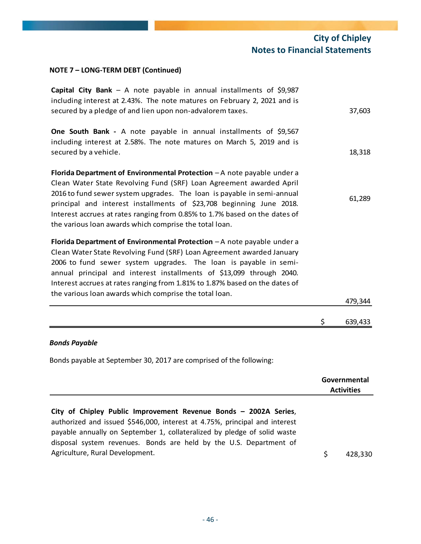## **NOTE 7 – LONG‐TERM DEBT (Continued)**

| Capital City Bank - A note payable in annual installments of $$9,987$<br>including interest at 2.43%. The note matures on February 2, 2021 and is<br>secured by a pledge of and lien upon non-advalorem taxes.                                                                                                                                                                                                                           | 37,603        |
|------------------------------------------------------------------------------------------------------------------------------------------------------------------------------------------------------------------------------------------------------------------------------------------------------------------------------------------------------------------------------------------------------------------------------------------|---------------|
| <b>One South Bank -</b> A note payable in annual installments of \$9,567<br>including interest at 2.58%. The note matures on March 5, 2019 and is<br>secured by a vehicle.                                                                                                                                                                                                                                                               | 18,318        |
| Florida Department of Environmental Protection - A note payable under a<br>Clean Water State Revolving Fund (SRF) Loan Agreement awarded April<br>2016 to fund sewer system upgrades. The loan is payable in semi-annual<br>principal and interest installments of \$23,708 beginning June 2018.<br>Interest accrues at rates ranging from 0.85% to 1.7% based on the dates of<br>the various loan awards which comprise the total loan. | 61,289        |
| Florida Department of Environmental Protection $-A$ note payable under a<br>Clean Water State Revolving Fund (SRF) Loan Agreement awarded January<br>2006 to fund sewer system upgrades. The loan is payable in semi-<br>annual principal and interest installments of \$13,099 through 2040.<br>Interest accrues at rates ranging from 1.81% to 1.87% based on the dates of<br>the various loan awards which comprise the total loan.   | 479,344       |
|                                                                                                                                                                                                                                                                                                                                                                                                                                          | \$<br>639,433 |

## *Bonds Payable*

Bonds payable at September 30, 2017 are comprised of the following:

|                                                                                                                                                                                                                                                                                                  |               | Governmental<br><b>Activities</b> |
|--------------------------------------------------------------------------------------------------------------------------------------------------------------------------------------------------------------------------------------------------------------------------------------------------|---------------|-----------------------------------|
| City of Chipley Public Improvement Revenue Bonds - 2002A Series,<br>authorized and issued \$546,000, interest at 4.75%, principal and interest<br>payable annually on September 1, collateralized by pledge of solid waste<br>disposal system revenues. Bonds are held by the U.S. Department of |               |                                   |
| Agriculture, Rural Development.                                                                                                                                                                                                                                                                  | <sup>\$</sup> | 428.330                           |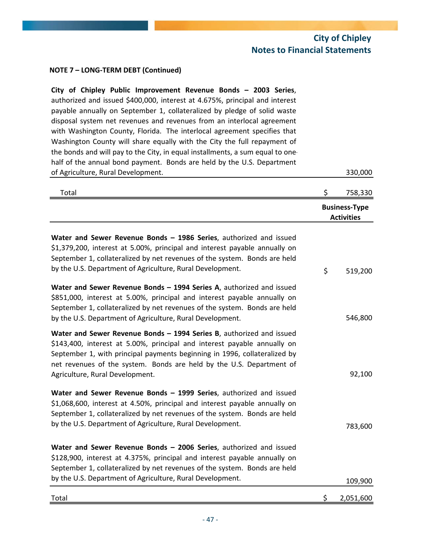## **NOTE 7 – LONG‐TERM DEBT (Continued)**

| City of Chipley Public Improvement Revenue Bonds - 2003 Series,<br>authorized and issued \$400,000, interest at 4.675%, principal and interest<br>payable annually on September 1, collateralized by pledge of solid waste<br>disposal system net revenues and revenues from an interlocal agreement<br>with Washington County, Florida. The interlocal agreement specifies that<br>Washington County will share equally with the City the full repayment of<br>the bonds and will pay to the City, in equal installments, a sum equal to one-<br>half of the annual bond payment. Bonds are held by the U.S. Department |                                           |
|--------------------------------------------------------------------------------------------------------------------------------------------------------------------------------------------------------------------------------------------------------------------------------------------------------------------------------------------------------------------------------------------------------------------------------------------------------------------------------------------------------------------------------------------------------------------------------------------------------------------------|-------------------------------------------|
| of Agriculture, Rural Development.                                                                                                                                                                                                                                                                                                                                                                                                                                                                                                                                                                                       | 330,000                                   |
| Total                                                                                                                                                                                                                                                                                                                                                                                                                                                                                                                                                                                                                    | \$<br>758,330                             |
|                                                                                                                                                                                                                                                                                                                                                                                                                                                                                                                                                                                                                          | <b>Business-Type</b><br><b>Activities</b> |
| Water and Sewer Revenue Bonds - 1986 Series, authorized and issued<br>\$1,379,200, interest at 5.00%, principal and interest payable annually on<br>September 1, collateralized by net revenues of the system. Bonds are held<br>by the U.S. Department of Agriculture, Rural Development.                                                                                                                                                                                                                                                                                                                               | \$<br>519,200                             |
| Water and Sewer Revenue Bonds - 1994 Series A, authorized and issued<br>\$851,000, interest at 5.00%, principal and interest payable annually on<br>September 1, collateralized by net revenues of the system. Bonds are held<br>by the U.S. Department of Agriculture, Rural Development.                                                                                                                                                                                                                                                                                                                               | 546,800                                   |
| Water and Sewer Revenue Bonds - 1994 Series B, authorized and issued<br>\$143,400, interest at 5.00%, principal and interest payable annually on<br>September 1, with principal payments beginning in 1996, collateralized by<br>net revenues of the system. Bonds are held by the U.S. Department of<br>Agriculture, Rural Development.                                                                                                                                                                                                                                                                                 | 92,100                                    |
| Water and Sewer Revenue Bonds - 1999 Series, authorized and issued<br>\$1,068,600, interest at 4.50%, principal and interest payable annually on<br>September 1, collateralized by net revenues of the system. Bonds are held<br>by the U.S. Department of Agriculture, Rural Development.                                                                                                                                                                                                                                                                                                                               | 783,600                                   |
| Water and Sewer Revenue Bonds - 2006 Series, authorized and issued<br>\$128,900, interest at 4.375%, principal and interest payable annually on<br>September 1, collateralized by net revenues of the system. Bonds are held<br>by the U.S. Department of Agriculture, Rural Development.                                                                                                                                                                                                                                                                                                                                | 109,900                                   |
| Total                                                                                                                                                                                                                                                                                                                                                                                                                                                                                                                                                                                                                    | \$<br>2,051,600                           |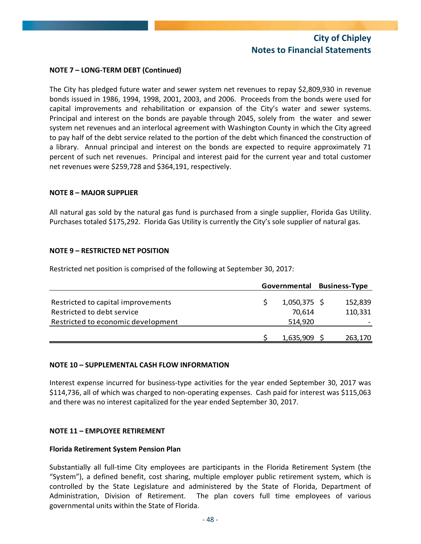## **NOTE 7 – LONG‐TERM DEBT (Continued)**

The City has pledged future water and sewer system net revenues to repay \$2,809,930 in revenue bonds issued in 1986, 1994, 1998, 2001, 2003, and 2006. Proceeds from the bonds were used for capital improvements and rehabilitation or expansion of the City's water and sewer systems. Principal and interest on the bonds are payable through 2045, solely from the water and sewer system net revenues and an interlocal agreement with Washington County in which the City agreed to pay half of the debt service related to the portion of the debt which financed the construction of a library. Annual principal and interest on the bonds are expected to require approximately 71 percent of such net revenues. Principal and interest paid for the current year and total customer net revenues were \$259,728 and \$364,191, respectively.

#### **NOTE 8 – MAJOR SUPPLIER**

All natural gas sold by the natural gas fund is purchased from a single supplier, Florida Gas Utility. Purchases totaled \$175,292. Florida Gas Utility is currently the City's sole supplier of natural gas.

## **NOTE 9 – RESTRICTED NET POSITION**

Restricted net position is comprised of the following at September 30, 2017:

|         |              | <b>Business-Type</b>        |
|---------|--------------|-----------------------------|
|         |              | 152,839                     |
| 70.614  |              | 110,331                     |
| 514,920 |              |                             |
|         |              | 263,170                     |
|         | Governmental | $1,050,375$ \$<br>1,635,909 |

#### **NOTE 10 – SUPPLEMENTAL CASH FLOW INFORMATION**

Interest expense incurred for business‐type activities for the year ended September 30, 2017 was \$114,736, all of which was charged to non‐operating expenses. Cash paid for interest was \$115,063 and there was no interest capitalized for the year ended September 30, 2017.

## **NOTE 11 – EMPLOYEE RETIREMENT**

#### **Florida Retirement System Pension Plan**

Substantially all full‐time City employees are participants in the Florida Retirement System (the "System"), a defined benefit, cost sharing, multiple employer public retirement system, which is controlled by the State Legislature and administered by the State of Florida, Department of Administration, Division of Retirement. The plan covers full time employees of various governmental units within the State of Florida.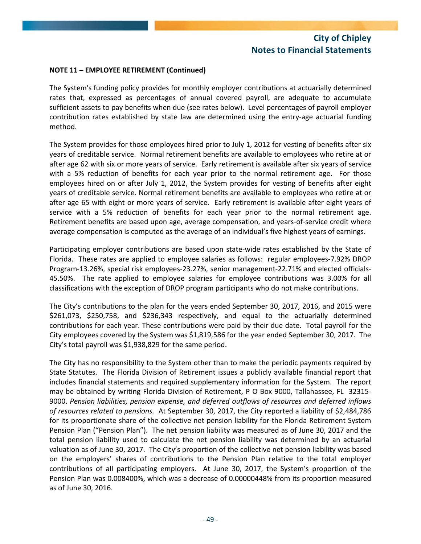## **NOTE 11 – EMPLOYEE RETIREMENT (Continued)**

The System's funding policy provides for monthly employer contributions at actuarially determined rates that, expressed as percentages of annual covered payroll, are adequate to accumulate sufficient assets to pay benefits when due (see rates below). Level percentages of payroll employer contribution rates established by state law are determined using the entry-age actuarial funding method.

The System provides for those employees hired prior to July 1, 2012 for vesting of benefits after six years of creditable service. Normal retirement benefits are available to employees who retire at or after age 62 with six or more years of service. Early retirement is available after six years of service with a 5% reduction of benefits for each year prior to the normal retirement age. For those employees hired on or after July 1, 2012, the System provides for vesting of benefits after eight years of creditable service. Normal retirement benefits are available to employees who retire at or after age 65 with eight or more years of service. Early retirement is available after eight years of service with a 5% reduction of benefits for each year prior to the normal retirement age. Retirement benefits are based upon age, average compensation, and years-of-service credit where average compensation is computed as the average of an individual's five highest years of earnings.

Participating employer contributions are based upon state‐wide rates established by the State of Florida. These rates are applied to employee salaries as follows: regular employees‐7.92% DROP Program‐13.26%, special risk employees‐23.27%, senior management‐22.71% and elected officials‐ 45.50%. The rate applied to employee salaries for employee contributions was 3.00% for all classifications with the exception of DROP program participants who do not make contributions.

The City's contributions to the plan for the years ended September 30, 2017, 2016, and 2015 were \$261,073, \$250,758, and \$236,343 respectively, and equal to the actuarially determined contributions for each year. These contributions were paid by their due date. Total payroll for the City employees covered by the System was \$1,819,586 for the year ended September 30, 2017. The City's total payroll was \$1,938,829 for the same period.

The City has no responsibility to the System other than to make the periodic payments required by State Statutes. The Florida Division of Retirement issues a publicly available financial report that includes financial statements and required supplementary information for the System. The report may be obtained by writing Florida Division of Retirement, P O Box 9000, Tallahassee, FL 32315‐ 9000. *Pension liabilities, pension expense, and deferred outflows of resources and deferred inflows of resources related to pensions.* At September 30, 2017, the City reported a liability of \$2,484,786 for its proportionate share of the collective net pension liability for the Florida Retirement System Pension Plan ("Pension Plan"). The net pension liability was measured as of June 30, 2017 and the total pension liability used to calculate the net pension liability was determined by an actuarial valuation as of June 30, 2017. The City's proportion of the collective net pension liability was based on the employers' shares of contributions to the Pension Plan relative to the total employer contributions of all participating employers. At June 30, 2017, the System's proportion of the Pension Plan was 0.008400%, which was a decrease of 0.00000448% from its proportion measured as of June 30, 2016.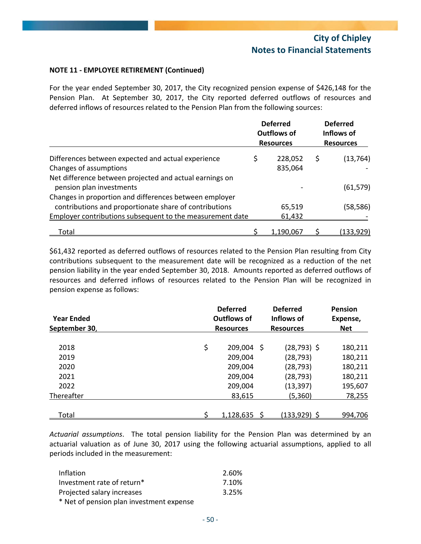## **NOTE 11 ‐ EMPLOYEE RETIREMENT (Continued)**

For the year ended September 30, 2017, the City recognized pension expense of \$426,148 for the Pension Plan. At September 30, 2017, the City reported deferred outflows of resources and deferred inflows of resources related to the Pension Plan from the following sources:

|                                                           | <b>Deferred</b><br><b>Outflows of</b><br><b>Resources</b> | <b>Deferred</b><br>Inflows of<br><b>Resources</b> |                  |  |
|-----------------------------------------------------------|-----------------------------------------------------------|---------------------------------------------------|------------------|--|
| Differences between expected and actual experience        | \$<br>228,052                                             | \$                                                | (13, 764)        |  |
| Changes of assumptions                                    | 835,064                                                   |                                                   |                  |  |
| Net difference between projected and actual earnings on   |                                                           |                                                   |                  |  |
| pension plan investments                                  |                                                           |                                                   | (61, 579)        |  |
| Changes in proportion and differences between employer    |                                                           |                                                   |                  |  |
| contributions and proportionate share of contributions    | 65,519                                                    |                                                   | (58,586)         |  |
| Employer contributions subsequent to the measurement date | 61,432                                                    |                                                   |                  |  |
| <u>Total</u>                                              | 1,190,067                                                 |                                                   | <u>(133,929)</u> |  |

\$61,432 reported as deferred outflows of resources related to the Pension Plan resulting from City contributions subsequent to the measurement date will be recognized as a reduction of the net pension liability in the year ended September 30, 2018. Amounts reported as deferred outflows of resources and deferred inflows of resources related to the Pension Plan will be recognized in pension expense as follows:

| <b>Year Ended</b><br>September 30, | <b>Deferred</b><br><b>Outflows of</b><br><b>Resources</b> | <b>Deferred</b><br>Inflows of<br><b>Resources</b> |                | Pension<br>Expense,<br><b>Net</b> |
|------------------------------------|-----------------------------------------------------------|---------------------------------------------------|----------------|-----------------------------------|
| 2018                               | \$<br>209,004                                             | - Ş                                               | $(28, 793)$ \$ | 180,211                           |
| 2019                               | 209,004                                                   |                                                   | (28, 793)      | 180,211                           |
| 2020                               | 209,004                                                   |                                                   | (28, 793)      | 180,211                           |
| 2021                               | 209,004                                                   |                                                   | (28, 793)      | 180,211                           |
| 2022                               | 209,004                                                   |                                                   | (13, 397)      | 195,607                           |
| Thereafter                         | 83,615                                                    |                                                   | (5,360)        | 78,255                            |
| Total                              | 1,128,635                                                 |                                                   | (133,929) \$   | 994,706                           |

*Actuarial assumptions*. The total pension liability for the Pension Plan was determined by an actuarial valuation as of June 30, 2017 using the following actuarial assumptions, applied to all periods included in the measurement:

| Inflation                                | 2.60% |
|------------------------------------------|-------|
| Investment rate of return*               | 7.10% |
| Projected salary increases               | 3.25% |
| * Net of pension plan investment expense |       |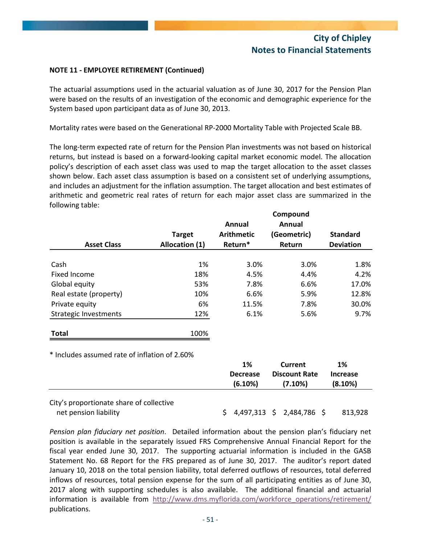## **NOTE 11 ‐ EMPLOYEE RETIREMENT (Continued)**

The actuarial assumptions used in the actuarial valuation as of June 30, 2017 for the Pension Plan were based on the results of an investigation of the economic and demographic experience for the System based upon participant data as of June 30, 2013.

Mortality rates were based on the Generational RP‐2000 Mortality Table with Projected Scale BB.

The long‐term expected rate of return for the Pension Plan investments was not based on historical returns, but instead is based on a forward‐looking capital market economic model. The allocation policy's description of each asset class was used to map the target allocation to the asset classes shown below. Each asset class assumption is based on a consistent set of underlying assumptions, and includes an adjustment for the inflation assumption. The target allocation and best estimates of arithmetic and geometric real rates of return for each major asset class are summarized in the following table:

|                                               |                | Annual                           | Compound<br>Annual                                |                                  |
|-----------------------------------------------|----------------|----------------------------------|---------------------------------------------------|----------------------------------|
|                                               | <b>Target</b>  | <b>Arithmetic</b>                | (Geometric)                                       | <b>Standard</b>                  |
| <b>Asset Class</b>                            | Allocation (1) | Return*                          | Return                                            | <b>Deviation</b>                 |
| Cash                                          | 1%             | 3.0%                             | 3.0%                                              | 1.8%                             |
| Fixed Income                                  | 18%            | 4.5%                             | 4.4%                                              | 4.2%                             |
| Global equity                                 | 53%            | 7.8%                             | 6.6%                                              | 17.0%                            |
| Real estate (property)                        | 10%            | 6.6%                             | 5.9%                                              | 12.8%                            |
| Private equity                                | 6%             | 11.5%                            | 7.8%                                              | 30.0%                            |
| <b>Strategic Investments</b>                  | 12%            | 6.1%                             | 5.6%                                              | 9.7%                             |
| <b>Total</b>                                  | 100%           |                                  |                                                   |                                  |
| * Includes assumed rate of inflation of 2.60% |                |                                  |                                                   |                                  |
|                                               |                | 1%<br><b>Decrease</b><br>(6.10%) | <b>Current</b><br><b>Discount Rate</b><br>(7.10%) | 1%<br><b>Increase</b><br>(8.10%) |

City's proportionate share of collective

net pension liability and the settlem and the settlem and the settlem in the settlem in the settlem in the set

*Pension plan fiduciary net position*. Detailed information about the pension plan's fiduciary net position is available in the separately issued FRS Comprehensive Annual Financial Report for the fiscal year ended June 30, 2017. The supporting actuarial information is included in the GASB Statement No. 68 Report for the FRS prepared as of June 30, 2017. The auditor's report dated January 10, 2018 on the total pension liability, total deferred outflows of resources, total deferred inflows of resources, total pension expense for the sum of all participating entities as of June 30, 2017 along with supporting schedules is also available. The additional financial and actuarial information is available from http://www.dms.myflorida.com/workforce\_operations/retirement/ publications.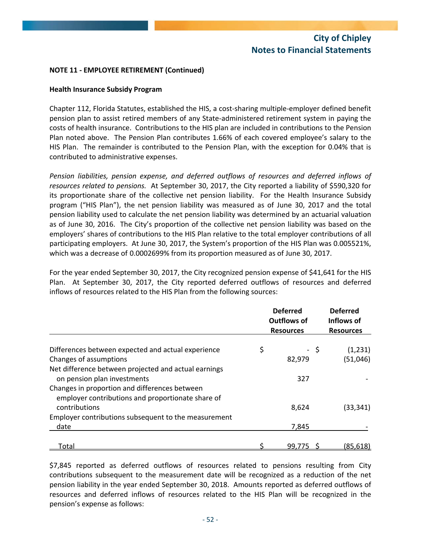## **NOTE 11 ‐ EMPLOYEE RETIREMENT (Continued)**

## **Health Insurance Subsidy Program**

Chapter 112, Florida Statutes, established the HIS, a cost‐sharing multiple‐employer defined benefit pension plan to assist retired members of any State‐administered retirement system in paying the costs of health insurance. Contributions to the HIS plan are included in contributions to the Pension Plan noted above. The Pension Plan contributes 1.66% of each covered employee's salary to the HIS Plan. The remainder is contributed to the Pension Plan, with the exception for 0.04% that is contributed to administrative expenses.

*Pension liabilities, pension expense, and deferred outflows of resources and deferred inflows of resources related to pensions.* At September 30, 2017, the City reported a liability of \$590,320 for its proportionate share of the collective net pension liability. For the Health Insurance Subsidy program ("HIS Plan"), the net pension liability was measured as of June 30, 2017 and the total pension liability used to calculate the net pension liability was determined by an actuarial valuation as of June 30, 2016. The City's proportion of the collective net pension liability was based on the employers' shares of contributions to the HIS Plan relative to the total employer contributions of all participating employers. At June 30, 2017, the System's proportion of the HIS Plan was 0.005521%, which was a decrease of 0.0002699% from its proportion measured as of June 30, 2017.

For the year ended September 30, 2017, the City recognized pension expense of \$41,641 for the HIS Plan. At September 30, 2017, the City reported deferred outflows of resources and deferred inflows of resources related to the HIS Plan from the following sources:

|                                                      | <b>Deferred</b><br><b>Outflows of</b><br><b>Resources</b> |      | <b>Deferred</b><br>Inflows of<br><b>Resources</b> |
|------------------------------------------------------|-----------------------------------------------------------|------|---------------------------------------------------|
|                                                      |                                                           |      |                                                   |
| Differences between expected and actual experience   | \$                                                        | - \$ | (1,231)                                           |
| Changes of assumptions                               | 82,979                                                    |      | (51,046)                                          |
| Net difference between projected and actual earnings |                                                           |      |                                                   |
| on pension plan investments                          | 327                                                       |      |                                                   |
| Changes in proportion and differences between        |                                                           |      |                                                   |
| employer contributions and proportionate share of    |                                                           |      |                                                   |
| contributions                                        | 8,624                                                     |      | (33, 341)                                         |
| Employer contributions subsequent to the measurement |                                                           |      |                                                   |
| date                                                 | 7,845                                                     |      |                                                   |
|                                                      |                                                           |      |                                                   |
| <u>Total</u>                                         | 99,775                                                    |      | (85, 618)                                         |

\$7,845 reported as deferred outflows of resources related to pensions resulting from City contributions subsequent to the measurement date will be recognized as a reduction of the net pension liability in the year ended September 30, 2018. Amounts reported as deferred outflows of resources and deferred inflows of resources related to the HIS Plan will be recognized in the pension's expense as follows: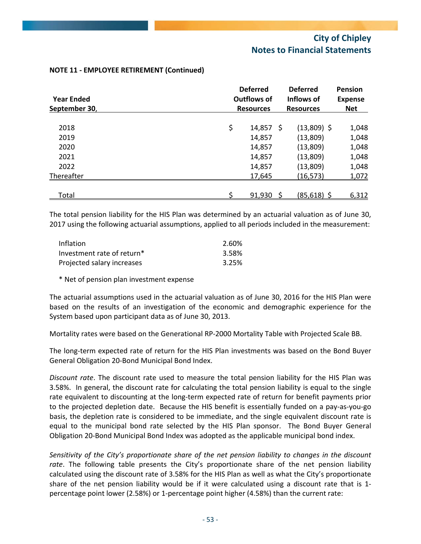| <b>Year Ended</b> |    | <b>Deferred</b><br>Outflows of<br><b>Resources</b> |                | <b>Pension</b><br><b>Expense</b><br><b>Net</b> |  |
|-------------------|----|----------------------------------------------------|----------------|------------------------------------------------|--|
| September 30,     |    |                                                    |                |                                                |  |
| 2018              | \$ | $14,857$ \$                                        | $(13,809)$ \$  | 1,048                                          |  |
| 2019              |    | 14,857                                             | (13,809)       | 1,048                                          |  |
| 2020              |    | 14,857                                             | (13,809)       | 1,048                                          |  |
| 2021              |    | 14,857                                             | (13,809)       | 1,048                                          |  |
| 2022              |    | 14,857                                             | (13,809)       | 1,048                                          |  |
| Thereafter        |    | 17,645                                             | (16, 573)      | 1,072                                          |  |
| Total             |    | 91,930                                             | $(85, 618)$ \$ | 6,312                                          |  |

## **NOTE 11 ‐ EMPLOYEE RETIREMENT (Continued)**

The total pension liability for the HIS Plan was determined by an actuarial valuation as of June 30, 2017 using the following actuarial assumptions, applied to all periods included in the measurement:

| Inflation                  | 2.60% |
|----------------------------|-------|
| Investment rate of return* | 3.58% |
| Projected salary increases | 3.25% |

\* Net of pension plan investment expense

The actuarial assumptions used in the actuarial valuation as of June 30, 2016 for the HIS Plan were based on the results of an investigation of the economic and demographic experience for the System based upon participant data as of June 30, 2013.

Mortality rates were based on the Generational RP‐2000 Mortality Table with Projected Scale BB.

The long-term expected rate of return for the HIS Plan investments was based on the Bond Buyer General Obligation 20‐Bond Municipal Bond Index.

*Discount rate*. The discount rate used to measure the total pension liability for the HIS Plan was 3.58%. In general, the discount rate for calculating the total pension liability is equal to the single rate equivalent to discounting at the long-term expected rate of return for benefit payments prior to the projected depletion date. Because the HIS benefit is essentially funded on a pay‐as‐you‐go basis, the depletion rate is considered to be immediate, and the single equivalent discount rate is equal to the municipal bond rate selected by the HIS Plan sponsor. The Bond Buyer General Obligation 20‐Bond Municipal Bond Index was adopted as the applicable municipal bond index.

*Sensitivity of the City's proportionate share of the net pension liability to changes in the discount rate*. The following table presents the City's proportionate share of the net pension liability calculated using the discount rate of 3.58% for the HIS Plan as well as what the City's proportionate share of the net pension liability would be if it were calculated using a discount rate that is 1percentage point lower (2.58%) or 1‐percentage point higher (4.58%) than the current rate: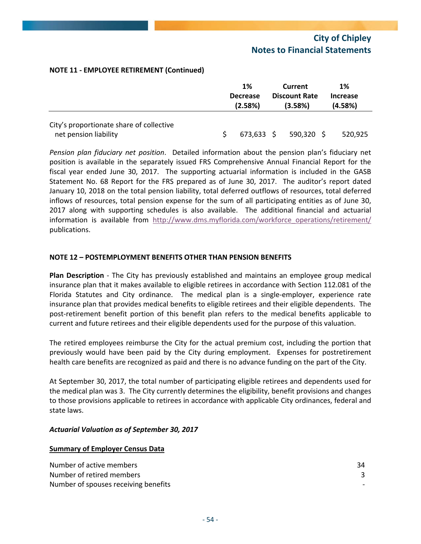## **NOTE 11 ‐ EMPLOYEE RETIREMENT (Continued)**

|                                          | 1%                         |  | Current                         |  | 1%                         |
|------------------------------------------|----------------------------|--|---------------------------------|--|----------------------------|
|                                          | <b>Decrease</b><br>(2.58%) |  | <b>Discount Rate</b><br>(3.58%) |  | <b>Increase</b><br>(4.58%) |
| City's proportionate share of collective |                            |  |                                 |  |                            |
| net pension liability                    | $673,633$ \$               |  | $590,320$ \$                    |  | 520,925                    |

*Pension plan fiduciary net position*. Detailed information about the pension plan's fiduciary net position is available in the separately issued FRS Comprehensive Annual Financial Report for the fiscal year ended June 30, 2017. The supporting actuarial information is included in the GASB Statement No. 68 Report for the FRS prepared as of June 30, 2017. The auditor's report dated January 10, 2018 on the total pension liability, total deferred outflows of resources, total deferred inflows of resources, total pension expense for the sum of all participating entities as of June 30, 2017 along with supporting schedules is also available. The additional financial and actuarial information is available from http://www.dms.myflorida.com/workforce\_operations/retirement/ publications.

## **NOTE 12 – POSTEMPLOYMENT BENEFITS OTHER THAN PENSION BENEFITS**

**Plan Description** ‐ The City has previously established and maintains an employee group medical insurance plan that it makes available to eligible retirees in accordance with Section 112.081 of the Florida Statutes and City ordinance. The medical plan is a single-employer, experience rate insurance plan that provides medical benefits to eligible retirees and their eligible dependents. The post-retirement benefit portion of this benefit plan refers to the medical benefits applicable to current and future retirees and their eligible dependents used for the purpose of this valuation.

The retired employees reimburse the City for the actual premium cost, including the portion that previously would have been paid by the City during employment. Expenses for postretirement health care benefits are recognized as paid and there is no advance funding on the part of the City.

At September 30, 2017, the total number of participating eligible retirees and dependents used for the medical plan was 3. The City currently determines the eligibility, benefit provisions and changes to those provisions applicable to retirees in accordance with applicable City ordinances, federal and state laws.

## *Actuarial Valuation as of September 30, 2017*

#### **Summary of Employer Census Data**

| Number of active members             | 34 |
|--------------------------------------|----|
| Number of retired members            |    |
| Number of spouses receiving benefits |    |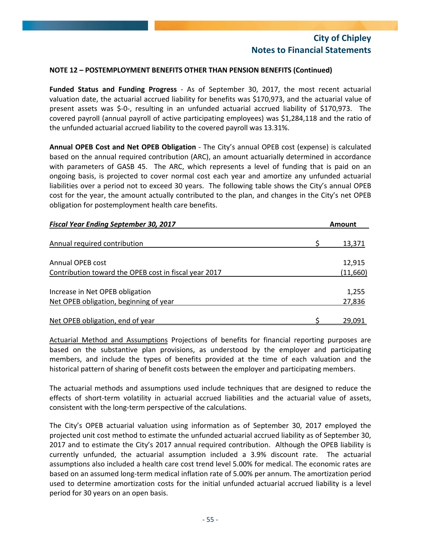## **NOTE 12 – POSTEMPLOYMENT BENEFITS OTHER THAN PENSION BENEFITS (Continued)**

**Funded Status and Funding Progress** ‐ As of September 30, 2017, the most recent actuarial valuation date, the actuarial accrued liability for benefits was \$170,973, and the actuarial value of present assets was \$‐0‐, resulting in an unfunded actuarial accrued liability of \$170,973. The covered payroll (annual payroll of active participating employees) was \$1,284,118 and the ratio of the unfunded actuarial accrued liability to the covered payroll was 13.31%.

**Annual OPEB Cost and Net OPEB Obligation** ‐ The City's annual OPEB cost (expense) is calculated based on the annual required contribution (ARC), an amount actuarially determined in accordance with parameters of GASB 45. The ARC, which represents a level of funding that is paid on an ongoing basis, is projected to cover normal cost each year and amortize any unfunded actuarial liabilities over a period not to exceed 30 years. The following table shows the City's annual OPEB cost for the year, the amount actually contributed to the plan, and changes in the City's net OPEB obligation for postemployment health care benefits.

| <b>Fiscal Year Ending September 30, 2017</b>          | <b>Amount</b> |
|-------------------------------------------------------|---------------|
|                                                       |               |
| Annual required contribution                          | 13,371        |
| Annual OPEB cost                                      | 12,915        |
| Contribution toward the OPEB cost in fiscal year 2017 | (11,660)      |
| Increase in Net OPEB obligation                       | 1,255         |
| Net OPEB obligation, beginning of year                | 27,836        |
|                                                       |               |
| Net OPEB obligation, end of year                      | 29,091        |

Actuarial Method and Assumptions Projections of benefits for financial reporting purposes are based on the substantive plan provisions, as understood by the employer and participating members, and include the types of benefits provided at the time of each valuation and the historical pattern of sharing of benefit costs between the employer and participating members.

The actuarial methods and assumptions used include techniques that are designed to reduce the effects of short-term volatility in actuarial accrued liabilities and the actuarial value of assets, consistent with the long‐term perspective of the calculations.

The City's OPEB actuarial valuation using information as of September 30, 2017 employed the projected unit cost method to estimate the unfunded actuarial accrued liability as of September 30, 2017 and to estimate the City's 2017 annual required contribution. Although the OPEB liability is currently unfunded, the actuarial assumption included a 3.9% discount rate. The actuarial assumptions also included a health care cost trend level 5.00% for medical. The economic rates are based on an assumed long‐term medical inflation rate of 5.00% per annum. The amortization period used to determine amortization costs for the initial unfunded actuarial accrued liability is a level period for 30 years on an open basis.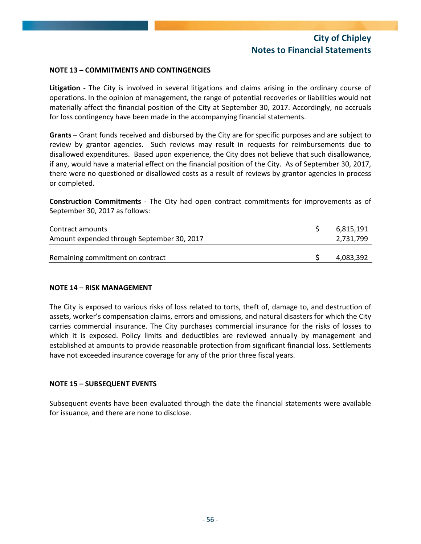## **NOTE 13 – COMMITMENTS AND CONTINGENCIES**

**Litigation** - The City is involved in several litigations and claims arising in the ordinary course of operations. In the opinion of management, the range of potential recoveries or liabilities would not materially affect the financial position of the City at September 30, 2017. Accordingly, no accruals for loss contingency have been made in the accompanying financial statements.

**Grants** – Grant funds received and disbursed by the City are for specific purposes and are subject to review by grantor agencies. Such reviews may result in requests for reimbursements due to disallowed expenditures. Based upon experience, the City does not believe that such disallowance, if any, would have a material effect on the financial position of the City. As of September 30, 2017, there were no questioned or disallowed costs as a result of reviews by grantor agencies in process or completed.

**Construction Commitments** ‐ The City had open contract commitments for improvements as of September 30, 2017 as follows:

| Contract amounts<br>Amount expended through September 30, 2017 | 6,815,191<br>2,731,799 |
|----------------------------------------------------------------|------------------------|
| Remaining commitment on contract                               | 4,083,392              |

## **NOTE 14 – RISK MANAGEMENT**

The City is exposed to various risks of loss related to torts, theft of, damage to, and destruction of assets, worker's compensation claims, errors and omissions, and natural disasters for which the City carries commercial insurance. The City purchases commercial insurance for the risks of losses to which it is exposed. Policy limits and deductibles are reviewed annually by management and established at amounts to provide reasonable protection from significant financial loss. Settlements have not exceeded insurance coverage for any of the prior three fiscal years.

## **NOTE 15 – SUBSEQUENT EVENTS**

Subsequent events have been evaluated through the date the financial statements were available for issuance, and there are none to disclose.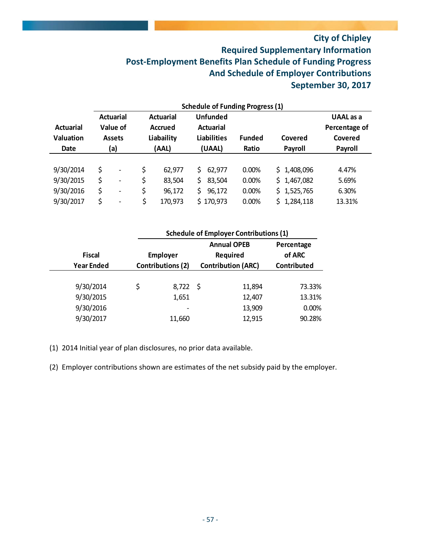# **City of Chipley Required Supplementary Information Post‐Employment Benefits Plan Schedule of Funding Progress And Schedule of Employer Contributions September 30, 2017**

|                  |                             | <b>Actuarial</b>         |                    | <b>Actuarial</b> |       | <b>Unfunded</b>  |               |             | UAAL as a     |  |
|------------------|-----------------------------|--------------------------|--------------------|------------------|-------|------------------|---------------|-------------|---------------|--|
| <b>Actuarial</b> |                             | Value of                 |                    | <b>Accrued</b>   |       | <b>Actuarial</b> |               |             | Percentage of |  |
| <b>Valuation</b> | Liabaility<br><b>Assets</b> |                          | <b>Liabilities</b> |                  |       |                  | <b>Funded</b> | Covered     | Covered       |  |
| <b>Date</b>      | (AAL)<br>(a)                |                          |                    | (UAAL)           | Ratio | Payroll          | Payroll       |             |               |  |
|                  |                             |                          |                    |                  |       |                  |               |             |               |  |
| 9/30/2014        | \$                          | $\overline{\phantom{0}}$ | \$                 | 62,977           | S.    | 62,977           | 0.00%         | \$1,408,096 | 4.47%         |  |
| 9/30/2015        | \$                          | $\overline{\phantom{a}}$ | \$                 | 83,504           | \$.   | 83,504           | 0.00%         | \$1,467,082 | 5.69%         |  |
| 9/30/2016        | \$                          | $\overline{\phantom{0}}$ | \$                 | 96,172           | \$    | 96,172           | 0.00%         | \$1,525,765 | 6.30%         |  |
| 9/30/2017        | Ś.                          | -                        | \$                 | 170,973          |       | \$170,973        | 0.00%         | \$1,284,118 | 13.31%        |  |

|                   | <b>Schedule of Employer Contributions (1)</b>         |            |  |                    |            |  |  |  |  |
|-------------------|-------------------------------------------------------|------------|--|--------------------|------------|--|--|--|--|
|                   |                                                       |            |  | <b>Annual OPEB</b> | Percentage |  |  |  |  |
| <b>Fiscal</b>     | <b>Employer</b><br>Required                           |            |  |                    | of ARC     |  |  |  |  |
| <b>Year Ended</b> | <b>Contributions (2)</b><br><b>Contribution (ARC)</b> |            |  | <b>Contributed</b> |            |  |  |  |  |
|                   |                                                       |            |  |                    |            |  |  |  |  |
| 9/30/2014         | \$                                                    | $8,722$ \$ |  | 11,894             | 73.33%     |  |  |  |  |
| 9/30/2015         |                                                       | 1,651      |  | 12,407             | 13.31%     |  |  |  |  |
| 9/30/2016         |                                                       |            |  | 13,909             | 0.00%      |  |  |  |  |
| 9/30/2017         |                                                       | 11,660     |  | 12,915             | 90.28%     |  |  |  |  |

(1) 2014 Initial year of plan disclosures, no prior data available.

(2) Employer contributions shown are estimates of the net subsidy paid by the employer.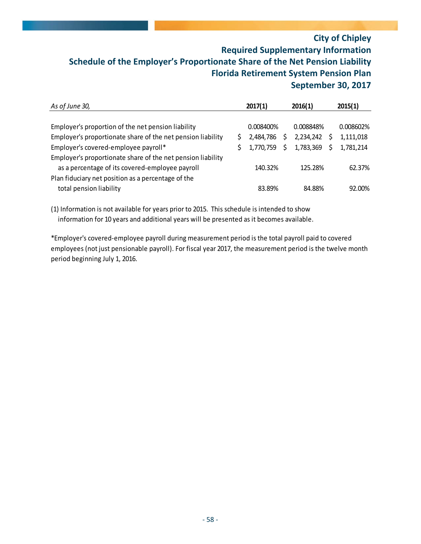# **City of Chipley Required Supplementary Information Schedule of the Employer's Proportionate Share of the Net Pension Liability Florida Retirement System Pension Plan September 30, 2017**

| As of June 30,                                              |  | 2017(1)   | 2016(1)   |  | 2015(1)   |  |
|-------------------------------------------------------------|--|-----------|-----------|--|-----------|--|
|                                                             |  |           |           |  |           |  |
| Employer's proportion of the net pension liability          |  | 0.008400% | 0.008848% |  | 0.008602% |  |
| Employer's proportionate share of the net pension liability |  | 2,484,786 | 2,234,242 |  | 1,111,018 |  |
| Employer's covered-employee payroll*                        |  | 1,770,759 | 1,783,369 |  | 1,781,214 |  |
| Employer's proportionate share of the net pension liability |  |           |           |  |           |  |
| as a percentage of its covered-employee payroll             |  | 140.32%   | 125.28%   |  | 62.37%    |  |
| Plan fiduciary net position as a percentage of the          |  |           |           |  |           |  |
| total pension liability                                     |  | 83.89%    | 84.88%    |  | 92.00%    |  |

(1) Information is not available for years prior to 2015. This schedule is intended to show information for 10 years and additional years will be presented as it becomes available.

\*Employer's covered‐employee payroll during measurement period is the total payroll paid to covered employees (not just pensionable payroll). For fiscal year 2017, the measurement period is the twelve month period beginning July 1, 2016.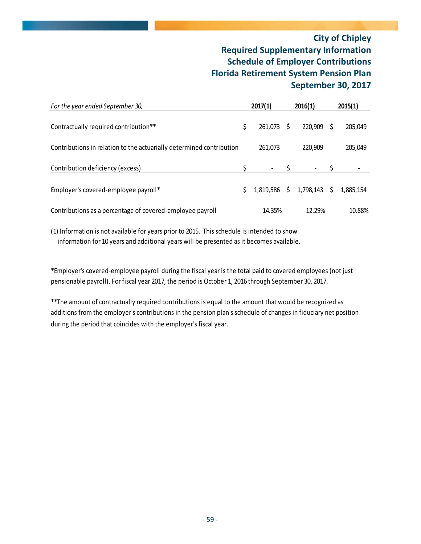# **City of Chipley Required Supplementary Information Schedule of Employer Contributions Florida Retirement System Pension Plan September 30, 2017**

| For the year ended September 30,                                     | 2017(1)         |      | 2016(1)   |         | 2015(1)   |
|----------------------------------------------------------------------|-----------------|------|-----------|---------|-----------|
| Contractually required contribution**                                | \$<br>261,073   | - \$ | 220,909   | -S      | 205,049   |
| Contributions in relation to the actuarially determined contribution | 261,073         |      | 220,909   |         | 205,049   |
| Contribution deficiency (excess)                                     |                 |      |           |         |           |
| Employer's covered-employee payroll*                                 | \$<br>1,819,586 | \$   | 1,798,143 | $\zeta$ | 1,885,154 |
| Contributions as a percentage of covered-employee payroll            | 14.35%          |      | 12.29%    |         | 10.88%    |

(1) Information is not available for years prior to 2015. This schedule is intended to show information for 10 years and additional years will be presented as it becomes available.

\*Employer's covered‐employee payroll during the fiscal year is the total paid to covered employees (not just pensionable payroll). For fiscal year 2017, the period is October 1, 2016 through September 30, 2017.

\*\*The amount of contractually required contributions is equal to the amount that would be recognized as additions from the employer's contributions in the pension plan's schedule of changes in fiduciary net position during the period that coincides with the employer's fiscal year.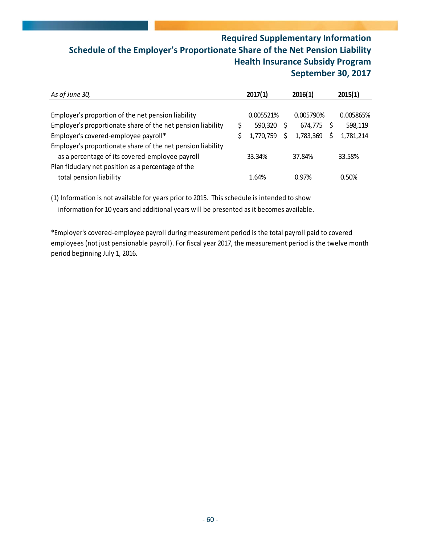# **Required Supplementary Information Schedule of the Employer's Proportionate Share of the Net Pension Liability Health Insurance Subsidy Program September 30, 2017**

| As of June 30,                                                                                                                                                     |   | 2017(1)              |  | 2016(1)              |  | 2015(1)              |  |
|--------------------------------------------------------------------------------------------------------------------------------------------------------------------|---|----------------------|--|----------------------|--|----------------------|--|
| Employer's proportion of the net pension liability                                                                                                                 | Ś | 0.005521%            |  | 0.005790%            |  | 0.005865%            |  |
| Employer's proportionate share of the net pension liability<br>Employer's covered-employee payroll*<br>Employer's proportionate share of the net pension liability |   | 590,320<br>1,770,759 |  | 674.775<br>1,783,369 |  | 598,119<br>1,781,214 |  |
| as a percentage of its covered-employee payroll<br>Plan fiduciary net position as a percentage of the                                                              |   | 33.34%               |  | 37.84%               |  | 33.58%               |  |
| total pension liability                                                                                                                                            |   | 1.64%                |  | 0.97%                |  | 0.50%                |  |

(1) Information is not available for years prior to 2015. This schedule is intended to show information for 10 years and additional years will be presented as it becomes available.

\*Employer's covered‐employee payroll during measurement period is the total payroll paid to covered employees (not just pensionable payroll). For fiscal year 2017, the measurement period is the twelve month period beginning July 1, 2016.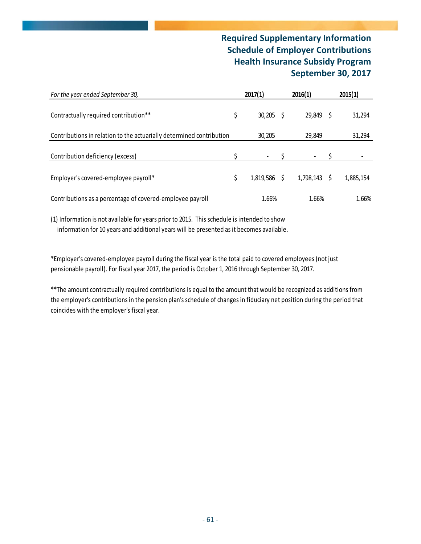# **Required Supplementary Information Schedule of Employer Contributions Health Insurance Subsidy Program September 30, 2017**

| For the year ended September 30,                                     | 2017(1)           |  |                | 2015(1)   |
|----------------------------------------------------------------------|-------------------|--|----------------|-----------|
| Contractually required contribution**                                | \$<br>$30,205$ \$ |  | $29,849$ \$    | 31,294    |
| Contributions in relation to the actuarially determined contribution | 30,205            |  | 29,849         | 31,294    |
| Contribution deficiency (excess)                                     |                   |  |                |           |
| Employer's covered-employee payroll*                                 | 1,819,586 \$      |  | $1,798,143$ \$ | 1,885,154 |
| Contributions as a percentage of covered-employee payroll            | 1.66%             |  | 1.66%          | 1.66%     |

(1) Information is not available for years prior to 2015. This schedule is intended to show information for 10 years and additional years will be presented as it becomes available.

\*Employer's covered‐employee payroll during the fiscal year is the total paid to covered employees (not just pensionable payroll). For fiscal year 2017, the period is October 1, 2016 through September 30, 2017.

\*\*The amount contractually required contributions is equal to the amount that would be recognized as additions from the employer's contributions in the pension plan's schedule of changes in fiduciary net position during the period that coincides with the employer's fiscal year.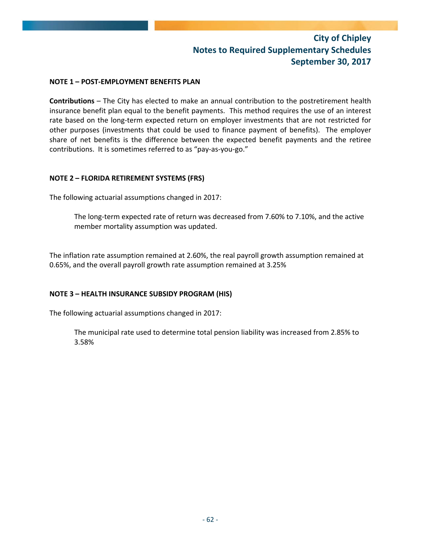# **City of Chipley Notes to Required Supplementary Schedules September 30, 2017**

## **NOTE 1 – POST‐EMPLOYMENT BENEFITS PLAN**

**Contributions** – The City has elected to make an annual contribution to the postretirement health insurance benefit plan equal to the benefit payments. This method requires the use of an interest rate based on the long-term expected return on employer investments that are not restricted for other purposes (investments that could be used to finance payment of benefits). The employer share of net benefits is the difference between the expected benefit payments and the retiree contributions. It is sometimes referred to as "pay‐as‐you‐go."

## **NOTE 2 – FLORIDA RETIREMENT SYSTEMS (FRS)**

The following actuarial assumptions changed in 2017:

The long-term expected rate of return was decreased from 7.60% to 7.10%, and the active member mortality assumption was updated.

The inflation rate assumption remained at 2.60%, the real payroll growth assumption remained at 0.65%, and the overall payroll growth rate assumption remained at 3.25%

## **NOTE 3 – HEALTH INSURANCE SUBSIDY PROGRAM (HIS)**

The following actuarial assumptions changed in 2017:

The municipal rate used to determine total pension liability was increased from 2.85% to 3.58%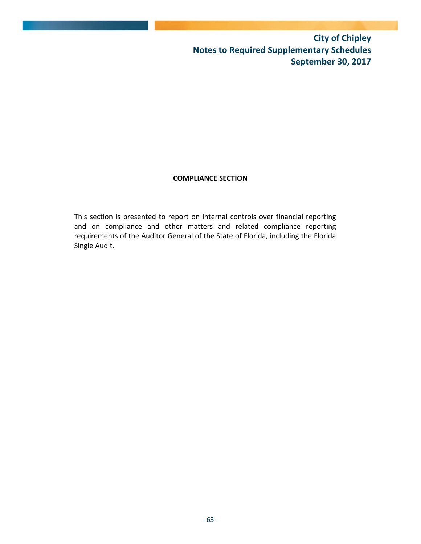**City of Chipley Notes to Required Supplementary Schedules September 30, 2017**

# **COMPLIANCE SECTION**

This section is presented to report on internal controls over financial reporting and on compliance and other matters and related compliance reporting requirements of the Auditor General of the State of Florida, including the Florida Single Audit.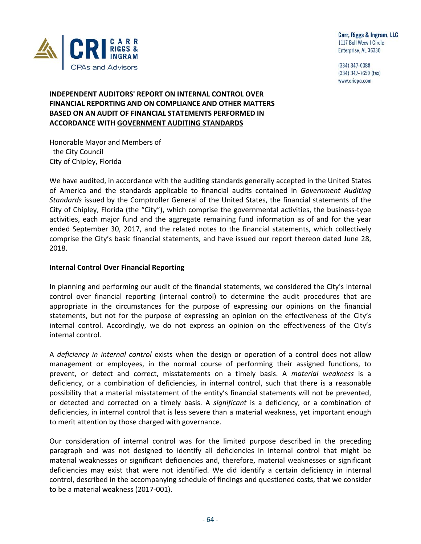

(334) 347-0088 (334) 347-7650 (fax) www.cricpa.com

# **INDEPENDENT AUDITORS' REPORT ON INTERNAL CONTROL OVER FINANCIAL REPORTING AND ON COMPLIANCE AND OTHER MATTERS BASED ON AN AUDIT OF FINANCIAL STATEMENTS PERFORMED IN ACCORDANCE WITH GOVERNMENT AUDITING STANDARDS**

Honorable Mayor and Members of the City Council City of Chipley, Florida

We have audited, in accordance with the auditing standards generally accepted in the United States of America and the standards applicable to financial audits contained in *Government Auditing Standards* issued by the Comptroller General of the United States, the financial statements of the City of Chipley, Florida (the "City"), which comprise the governmental activities, the business‐type activities, each major fund and the aggregate remaining fund information as of and for the year ended September 30, 2017, and the related notes to the financial statements, which collectively comprise the City's basic financial statements, and have issued our report thereon dated June 28, 2018.

### **Internal Control Over Financial Reporting**

In planning and performing our audit of the financial statements, we considered the City's internal control over financial reporting (internal control) to determine the audit procedures that are appropriate in the circumstances for the purpose of expressing our opinions on the financial statements, but not for the purpose of expressing an opinion on the effectiveness of the City's internal control. Accordingly, we do not express an opinion on the effectiveness of the City's internal control.

A *deficiency in internal control* exists when the design or operation of a control does not allow management or employees, in the normal course of performing their assigned functions, to prevent, or detect and correct, misstatements on a timely basis. A *material weakness* is a deficiency, or a combination of deficiencies, in internal control, such that there is a reasonable possibility that a material misstatement of the entity's financial statements will not be prevented, or detected and corrected on a timely basis. A *significant* is a deficiency, or a combination of deficiencies, in internal control that is less severe than a material weakness, yet important enough to merit attention by those charged with governance.

Our consideration of internal control was for the limited purpose described in the preceding paragraph and was not designed to identify all deficiencies in internal control that might be material weaknesses or significant deficiencies and, therefore, material weaknesses or significant deficiencies may exist that were not identified. We did identify a certain deficiency in internal control, described in the accompanying schedule of findings and questioned costs, that we consider to be a material weakness (2017‐001).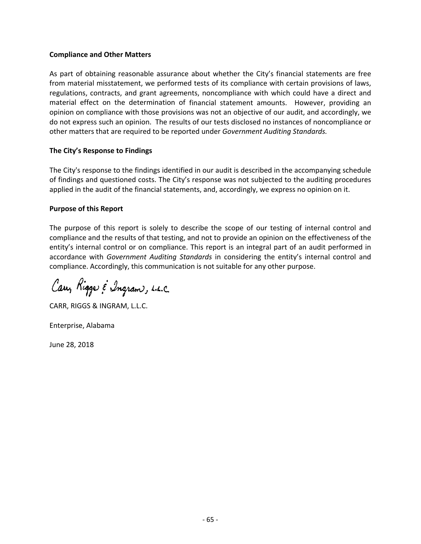### **Compliance and Other Matters**

As part of obtaining reasonable assurance about whether the City's financial statements are free from material misstatement, we performed tests of its compliance with certain provisions of laws, regulations, contracts, and grant agreements, noncompliance with which could have a direct and material effect on the determination of financial statement amounts. However, providing an opinion on compliance with those provisions was not an objective of our audit, and accordingly, we do not express such an opinion. The results of our tests disclosed no instances of noncompliance or other matters that are required to be reported under *Government Auditing Standards.*

### **The City's Response to Findings**

The City's response to the findings identified in our audit is described in the accompanying schedule of findings and questioned costs. The City's response was not subjected to the auditing procedures applied in the audit of the financial statements, and, accordingly, we express no opinion on it.

### **Purpose of this Report**

The purpose of this report is solely to describe the scope of our testing of internal control and compliance and the results of that testing, and not to provide an opinion on the effectiveness of the entity's internal control or on compliance. This report is an integral part of an audit performed in accordance with *Government Auditing Standards* in considering the entity's internal control and compliance. Accordingly, this communication is not suitable for any other purpose.

Cary Rigge & Ingram, L.L.C.

CARR, RIGGS & INGRAM, L.L.C.

Enterprise, Alabama

June 28, 2018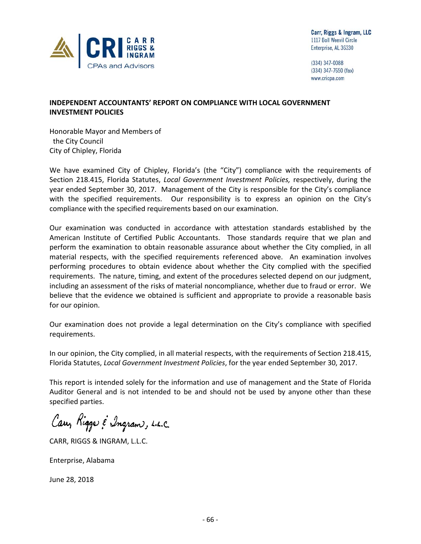

(334) 347-0088  $(334)$  347-7650 (fax) www.cricpa.com

# **INDEPENDENT ACCOUNTANTS' REPORT ON COMPLIANCE WITH LOCAL GOVERNMENT INVESTMENT POLICIES**

Honorable Mayor and Members of the City Council City of Chipley, Florida

We have examined City of Chipley, Florida's (the "City") compliance with the requirements of Section 218.415, Florida Statutes, *Local Government Investment Policies,* respectively, during the year ended September 30, 2017. Management of the City is responsible for the City's compliance with the specified requirements. Our responsibility is to express an opinion on the City's compliance with the specified requirements based on our examination.

Our examination was conducted in accordance with attestation standards established by the American Institute of Certified Public Accountants. Those standards require that we plan and perform the examination to obtain reasonable assurance about whether the City complied, in all material respects, with the specified requirements referenced above. An examination involves performing procedures to obtain evidence about whether the City complied with the specified requirements. The nature, timing, and extent of the procedures selected depend on our judgment, including an assessment of the risks of material noncompliance, whether due to fraud or error. We believe that the evidence we obtained is sufficient and appropriate to provide a reasonable basis for our opinion.

Our examination does not provide a legal determination on the City's compliance with specified requirements.

In our opinion, the City complied, in all material respects, with the requirements of Section 218.415, Florida Statutes, *Local Government Investment Policies*, for the year ended September 30, 2017.

This report is intended solely for the information and use of management and the State of Florida Auditor General and is not intended to be and should not be used by anyone other than these specified parties.

Carry Rigger & Ingram, L.L.C.

CARR, RIGGS & INGRAM, L.L.C.

Enterprise, Alabama

June 28, 2018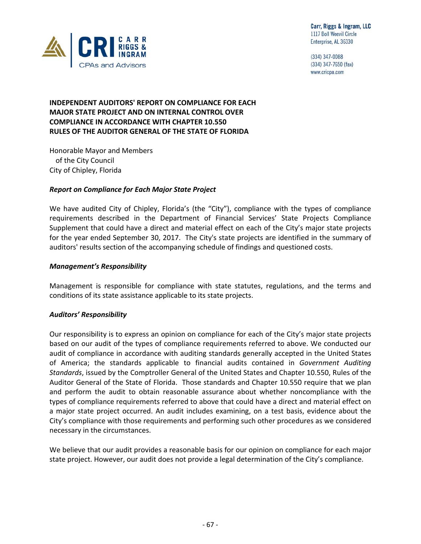

(334) 347-0088 (334) 347-7650 (fax) www.cricpa.com

# **INDEPENDENT AUDITORS' REPORT ON COMPLIANCE FOR EACH MAJOR STATE PROJECT AND ON INTERNAL CONTROL OVER COMPLIANCE IN ACCORDANCE WITH CHAPTER 10.550 RULES OF THE AUDITOR GENERAL OF THE STATE OF FLORIDA**

Honorable Mayor and Members of the City Council City of Chipley, Florida

# *Report on Compliance for Each Major State Project*

We have audited City of Chipley, Florida's (the "City"), compliance with the types of compliance requirements described in the Department of Financial Services' State Projects Compliance Supplement that could have a direct and material effect on each of the City's major state projects for the year ended September 30, 2017. The City's state projects are identified in the summary of auditors' results section of the accompanying schedule of findings and questioned costs.

### *Management's Responsibility*

Management is responsible for compliance with state statutes, regulations, and the terms and conditions of its state assistance applicable to its state projects.

# *Auditors' Responsibility*

Our responsibility is to express an opinion on compliance for each of the City's major state projects based on our audit of the types of compliance requirements referred to above. We conducted our audit of compliance in accordance with auditing standards generally accepted in the United States of America; the standards applicable to financial audits contained in *Government Auditing Standards*, issued by the Comptroller General of the United States and Chapter 10.550, Rules of the Auditor General of the State of Florida. Those standards and Chapter 10.550 require that we plan and perform the audit to obtain reasonable assurance about whether noncompliance with the types of compliance requirements referred to above that could have a direct and material effect on a major state project occurred. An audit includes examining, on a test basis, evidence about the City's compliance with those requirements and performing such other procedures as we considered necessary in the circumstances.

We believe that our audit provides a reasonable basis for our opinion on compliance for each major state project. However, our audit does not provide a legal determination of the City's compliance.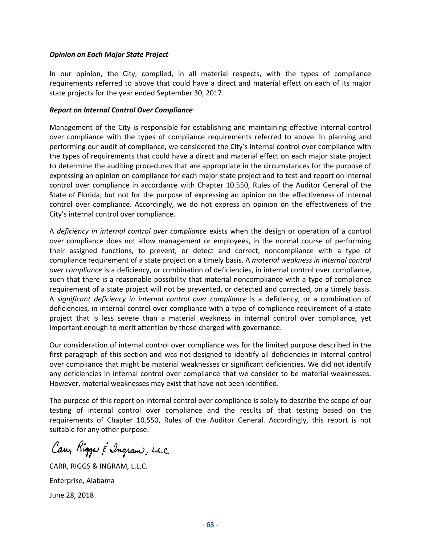### *Opinion on Each Major State Project*

In our opinion, the City, complied, in all material respects, with the types of compliance requirements referred to above that could have a direct and material effect on each of its major state projects for the year ended September 30, 2017.

### *Report on Internal Control Over Compliance*

Management of the City is responsible for establishing and maintaining effective internal control over compliance with the types of compliance requirements referred to above. In planning and performing our audit of compliance, we considered the City's internal control over compliance with the types of requirements that could have a direct and material effect on each major state project to determine the auditing procedures that are appropriate in the circumstances for the purpose of expressing an opinion on compliance for each major state project and to test and report on internal control over compliance in accordance with Chapter 10.550, Rules of the Auditor General of the State of Florida; but not for the purpose of expressing an opinion on the effectiveness of internal control over compliance. Accordingly, we do not express an opinion on the effectiveness of the City's internal control over compliance.

A *deficiency in internal control over compliance* exists when the design or operation of a control over compliance does not allow management or employees, in the normal course of performing their assigned functions, to prevent, or detect and correct, noncompliance with a type of compliance requirement of a state project on a timely basis. A *material weakness in internal control over compliance* is a deficiency, or combination of deficiencies, in internal control over compliance, such that there is a reasonable possibility that material noncompliance with a type of compliance requirement of a state project will not be prevented, or detected and corrected, on a timely basis. A *significant deficiency in internal control over compliance* is a deficiency, or a combination of deficiencies, in internal control over compliance with a type of compliance requirement of a state project that is less severe than a material weakness in internal control over compliance, yet important enough to merit attention by those charged with governance.

Our consideration of internal control over compliance was for the limited purpose described in the first paragraph of this section and was not designed to identify all deficiencies in internal control over compliance that might be material weaknesses or significant deficiencies. We did not identify any deficiencies in internal control over compliance that we consider to be material weaknesses. However, material weaknesses may exist that have not been identified.

The purpose of this report on internal control over compliance is solely to describe the scope of our testing of internal control over compliance and the results of that testing based on the requirements of Chapter 10.550, Rules of the Auditor General. Accordingly, this report is not suitable for any other purpose.

Cary Rigge & Ingram, L.L.C.

CARR, RIGGS & INGRAM, L.L.C. Enterprise, Alabama June 28, 2018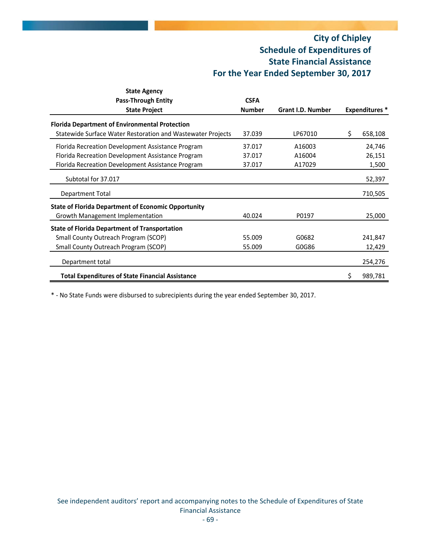# **City of Chipley Schedule of Expenditures of State Financial Assistance For the Year Ended September 30, 2017**

| <b>State Agency</b>                                         |               |                          |                       |
|-------------------------------------------------------------|---------------|--------------------------|-----------------------|
| <b>Pass-Through Entity</b>                                  | <b>CSFA</b>   |                          |                       |
| <b>State Project</b>                                        | <b>Number</b> | <b>Grant I.D. Number</b> | <b>Expenditures</b> * |
| <b>Florida Department of Environmental Protection</b>       |               |                          |                       |
| Statewide Surface Water Restoration and Wastewater Projects | 37.039        | LP67010                  | \$<br>658,108         |
| Florida Recreation Development Assistance Program           | 37.017        | A16003                   | 24,746                |
| Florida Recreation Development Assistance Program           | 37.017        | A16004                   | 26,151                |
| Florida Recreation Development Assistance Program           | 37.017        | A17029                   | 1,500                 |
| Subtotal for 37.017                                         |               |                          | 52,397                |
| Department Total                                            |               |                          | 710,505               |
| <b>State of Florida Department of Economic Opportunity</b>  |               |                          |                       |
| Growth Management Implementation                            | 40.024        | P0197                    | 25,000                |
| <b>State of Florida Department of Transportation</b>        |               |                          |                       |
| <b>Small County Outreach Program (SCOP)</b>                 | 55.009        | G0682                    | 241,847               |
| <b>Small County Outreach Program (SCOP)</b>                 | 55.009        | G0G86                    | 12,429                |
| Department total                                            |               |                          | 254,276               |
| <b>Total Expenditures of State Financial Assistance</b>     |               |                          | \$<br>989,781         |

\* ‐ No State Funds were disbursed to subrecipients during the year ended September 30, 2017.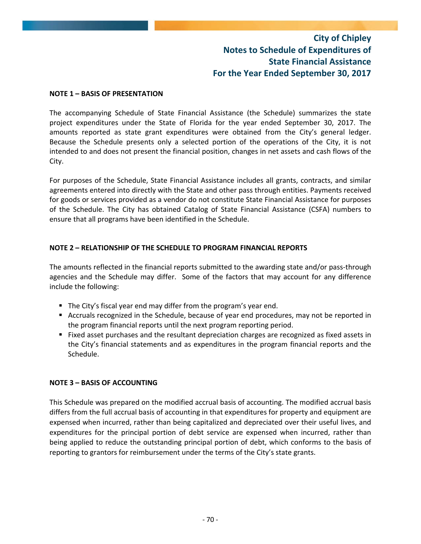# **City of Chipley Notes to Schedule of Expenditures of State Financial Assistance For the Year Ended September 30, 2017**

### **NOTE 1 – BASIS OF PRESENTATION**

The accompanying Schedule of State Financial Assistance (the Schedule) summarizes the state project expenditures under the State of Florida for the year ended September 30, 2017. The amounts reported as state grant expenditures were obtained from the City's general ledger. Because the Schedule presents only a selected portion of the operations of the City, it is not intended to and does not present the financial position, changes in net assets and cash flows of the City.

For purposes of the Schedule, State Financial Assistance includes all grants, contracts, and similar agreements entered into directly with the State and other pass through entities. Payments received for goods or services provided as a vendor do not constitute State Financial Assistance for purposes of the Schedule. The City has obtained Catalog of State Financial Assistance (CSFA) numbers to ensure that all programs have been identified in the Schedule.

# **NOTE 2 – RELATIONSHIP OF THE SCHEDULE TO PROGRAM FINANCIAL REPORTS**

The amounts reflected in the financial reports submitted to the awarding state and/or pass‐through agencies and the Schedule may differ. Some of the factors that may account for any difference include the following:

- The City's fiscal year end may differ from the program's year end.
- Accruals recognized in the Schedule, because of year end procedures, may not be reported in the program financial reports until the next program reporting period.
- Fixed asset purchases and the resultant depreciation charges are recognized as fixed assets in the City's financial statements and as expenditures in the program financial reports and the Schedule.

### **NOTE 3 – BASIS OF ACCOUNTING**

This Schedule was prepared on the modified accrual basis of accounting. The modified accrual basis differs from the full accrual basis of accounting in that expenditures for property and equipment are expensed when incurred, rather than being capitalized and depreciated over their useful lives, and expenditures for the principal portion of debt service are expensed when incurred, rather than being applied to reduce the outstanding principal portion of debt, which conforms to the basis of reporting to grantors for reimbursement under the terms of the City's state grants.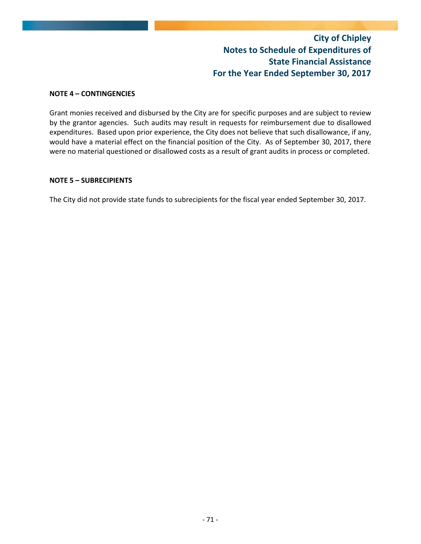# **City of Chipley Notes to Schedule of Expenditures of State Financial Assistance For the Year Ended September 30, 2017**

### **NOTE 4 – CONTINGENCIES**

Grant monies received and disbursed by the City are for specific purposes and are subject to review by the grantor agencies. Such audits may result in requests for reimbursement due to disallowed expenditures. Based upon prior experience, the City does not believe that such disallowance, if any, would have a material effect on the financial position of the City. As of September 30, 2017, there were no material questioned or disallowed costs as a result of grant audits in process or completed.

### **NOTE 5 – SUBRECIPIENTS**

The City did not provide state funds to subrecipients for the fiscal year ended September 30, 2017.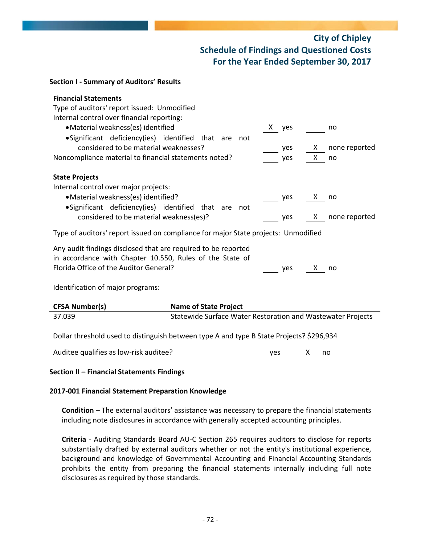# **City of Chipley Schedule of Findings and Questioned Costs For the Year Ended September 30, 2017**

### **Section I ‐ Summary of Auditors' Results**

| <b>Financial Statements</b><br>Type of auditors' report issued: Unmodified<br>Internal control over financial reporting:<br>• Material weakness(es) identified<br>•Significant deficiency(ies) identified that are<br>considered to be material weaknesses?<br>Noncompliance material to financial statements noted? | not                          | X.<br>yes<br>yes<br>yes | X —<br>X. | no<br>none reported<br>no |  |
|----------------------------------------------------------------------------------------------------------------------------------------------------------------------------------------------------------------------------------------------------------------------------------------------------------------------|------------------------------|-------------------------|-----------|---------------------------|--|
| <b>State Projects</b><br>Internal control over major projects:<br>• Material weakness(es) identified?<br>•Significant deficiency(ies) identified that are<br>considered to be material weakness(es)?                                                                                                                 | not                          | yes<br>yes              | X.<br>X — | no<br>none reported       |  |
| Type of auditors' report issued on compliance for major State projects: Unmodified                                                                                                                                                                                                                                   |                              |                         |           |                           |  |
| Any audit findings disclosed that are required to be reported<br>in accordance with Chapter 10.550, Rules of the State of<br>Florida Office of the Auditor General?<br>Identification of major programs:                                                                                                             |                              | yes                     | X.        | no                        |  |
| <b>CFSA Number(s)</b>                                                                                                                                                                                                                                                                                                | <b>Name of State Project</b> |                         |           |                           |  |

| 37.039 | Statewide Surface Water Restoration and Wastewater Projects |
|--------|-------------------------------------------------------------|
|        |                                                             |
|        | . <b>.</b> .                                                |

Dollar threshold used to distinguish between type A and type B State Projects? \$296,934

Auditee qualifies as low‐risk auditee? yes X no

# **Section II – Financial Statements Findings**

# **2017‐001 Financial Statement Preparation Knowledge**

**Condition** – The external auditors' assistance was necessary to prepare the financial statements including note disclosures in accordance with generally accepted accounting principles.

**Criteria** ‐ Auditing Standards Board AU‐C Section 265 requires auditors to disclose for reports substantially drafted by external auditors whether or not the entity's institutional experience, background and knowledge of Governmental Accounting and Financial Accounting Standards prohibits the entity from preparing the financial statements internally including full note disclosures as required by those standards.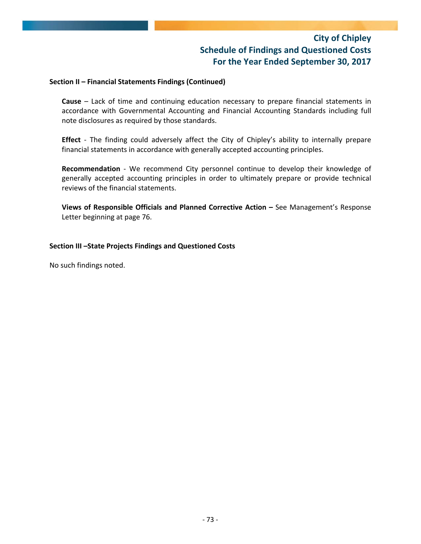# **City of Chipley Schedule of Findings and Questioned Costs For the Year Ended September 30, 2017**

### **Section II – Financial Statements Findings (Continued)**

**Cause** – Lack of time and continuing education necessary to prepare financial statements in accordance with Governmental Accounting and Financial Accounting Standards including full note disclosures as required by those standards.

Effect - The finding could adversely affect the City of Chipley's ability to internally prepare financial statements in accordance with generally accepted accounting principles.

**Recommendation** - We recommend City personnel continue to develop their knowledge of generally accepted accounting principles in order to ultimately prepare or provide technical reviews of the financial statements.

**Views of Responsible Officials and Planned Corrective Action –** See Management's Response Letter beginning at page 76.

### **Section III –State Projects Findings and Questioned Costs**

No such findings noted.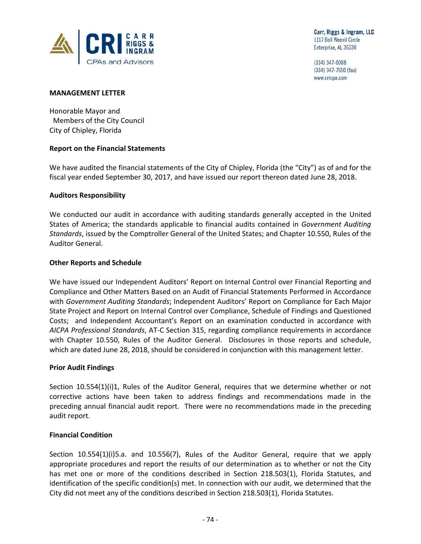

(334) 347-0088 (334) 347-7650 (fax) www.cricpa.com

### **MANAGEMENT LETTER**

Honorable Mayor and Members of the City Council City of Chipley, Florida

### **Report on the Financial Statements**

We have audited the financial statements of the City of Chipley, Florida (the "City") as of and for the fiscal year ended September 30, 2017, and have issued our report thereon dated June 28, 2018.

### **Auditors Responsibility**

We conducted our audit in accordance with auditing standards generally accepted in the United States of America; the standards applicable to financial audits contained in *Government Auditing Standards*, issued by the Comptroller General of the United States; and Chapter 10.550, Rules of the Auditor General.

### **Other Reports and Schedule**

We have issued our Independent Auditors' Report on Internal Control over Financial Reporting and Compliance and Other Matters Based on an Audit of Financial Statements Performed in Accordance with *Government Auditing Standards*; Independent Auditors' Report on Compliance for Each Major State Project and Report on Internal Control over Compliance, Schedule of Findings and Questioned Costs; and Independent Accountant's Report on an examination conducted in accordance with *AICPA Professional Standards*, AT‐C Section 315, regarding compliance requirements in accordance with Chapter 10.550, Rules of the Auditor General. Disclosures in those reports and schedule, which are dated June 28, 2018, should be considered in conjunction with this management letter.

### **Prior Audit Findings**

Section 10.554(1)(i)1, Rules of the Auditor General, requires that we determine whether or not corrective actions have been taken to address findings and recommendations made in the preceding annual financial audit report. There were no recommendations made in the preceding audit report.

### **Financial Condition**

Section 10.554(1)(i)5.a. and 10.556(7), Rules of the Auditor General, require that we apply appropriate procedures and report the results of our determination as to whether or not the City has met one or more of the conditions described in Section 218.503(1), Florida Statutes, and identification of the specific condition(s) met. In connection with our audit, we determined that the City did not meet any of the conditions described in Section 218.503(1), Florida Statutes.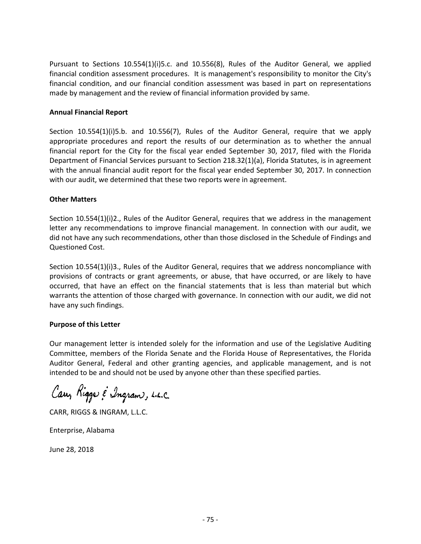Pursuant to Sections 10.554(1)(i)5.c. and 10.556(8), Rules of the Auditor General, we applied financial condition assessment procedures. It is management's responsibility to monitor the City's financial condition, and our financial condition assessment was based in part on representations made by management and the review of financial information provided by same.

### **Annual Financial Report**

Section 10.554(1)(i)5.b. and 10.556(7), Rules of the Auditor General, require that we apply appropriate procedures and report the results of our determination as to whether the annual financial report for the City for the fiscal year ended September 30, 2017, filed with the Florida Department of Financial Services pursuant to Section 218.32(1)(a), Florida Statutes, is in agreement with the annual financial audit report for the fiscal year ended September 30, 2017. In connection with our audit, we determined that these two reports were in agreement.

### **Other Matters**

Section 10.554(1)(i)2., Rules of the Auditor General, requires that we address in the management letter any recommendations to improve financial management. In connection with our audit, we did not have any such recommendations, other than those disclosed in the Schedule of Findings and Questioned Cost.

Section 10.554(1)(i)3., Rules of the Auditor General, requires that we address noncompliance with provisions of contracts or grant agreements, or abuse, that have occurred, or are likely to have occurred, that have an effect on the financial statements that is less than material but which warrants the attention of those charged with governance. In connection with our audit, we did not have any such findings.

# **Purpose of this Letter**

Our management letter is intended solely for the information and use of the Legislative Auditing Committee, members of the Florida Senate and the Florida House of Representatives, the Florida Auditor General, Federal and other granting agencies, and applicable management, and is not intended to be and should not be used by anyone other than these specified parties.

Cary Rigge & Ingram, L.L.C.

CARR, RIGGS & INGRAM, L.L.C.

Enterprise, Alabama

June 28, 2018